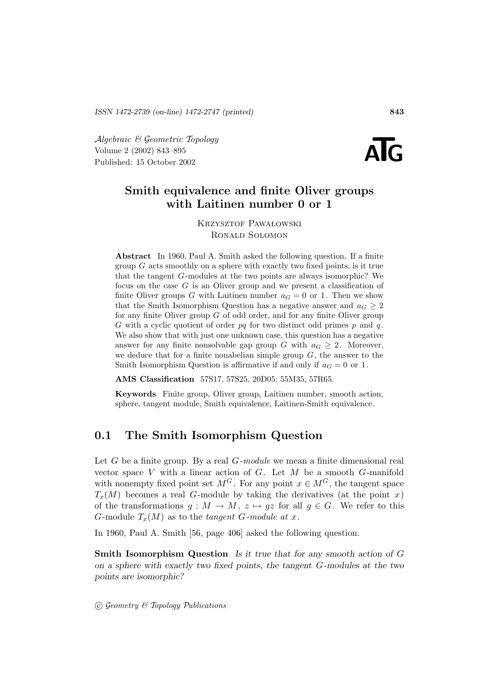Algebraic & Geometric Topology<br>
Volume 2 (2002) 843–895<br>
Published: 15 October 2002 Volume 2 (2002) 843–895



# **Smith equivalence and finite Oliver groups with Laitinen number 0 or 1**

KRZYSZTOF PAWAŁOWSKI Ronald Solomon

**Abstract** In 1960, Paul A. Smith asked the following question. If a finite group  $G$  acts smoothly on a sphere with exactly two fixed points, is it true that the tangent G-modules at the two points are always isomorphic? We focus on the case  $G$  is an Oliver group and we present a classification of finite Oliver groups G with Laitinen number  $a_G = 0$  or 1. Then we show that the Smith Isomorphism Question has a negative answer and  $a_G \geq 2$ for any finite Oliver group  $G$  of odd order, and for any finite Oliver group G with a cyclic quotient of order  $pq$  for two distinct odd primes  $p$  and  $q$ . We also show that with just one unknown case, this question has a negative answer for any finite nonsolvable gap group G with  $a_G \geq 2$ . Moreover, we deduce that for a finite nonabelian simple group  $G$ , the answer to the Smith Isomorphism Question is affirmative if and only if  $a_G = 0$  or 1.

**AMS Classification** 57S17, 57S25, 20D05; 55M35, 57R65.

**Keywords** Finite group, Oliver group, Laitinen number, smooth action, sphere, tangent module, Smith equivalence, Laitinen-Smith equivalence.

## **0.1 The Smith Isomorphism Question**

Let G be a finite group. By a real  $G$ -module we mean a finite dimensional real vector space  $V$  with a linear action of  $G$ . Let  $M$  be a smooth  $G$ -manifold with nonempty fixed point set  $M^G$ . For any point  $x \in M^G$ , the tangent space  $T_x(M)$  becomes a real G-module by taking the derivatives (at the point x) of the transformations  $g : M \to M$ ,  $z \mapsto gz$  for all  $g \in G$ . We refer to this G-module  $T_x(M)$  as to the tangent G-module at x.

In 1960, Paul A. Smith [56, page 406] asked the following question.

**Smith Isomorphism Question** *Is it true that for any smooth action of* G *on a sphere with exactly two fixed points, the tangent* G*-modules at the two points are isomorphic?*

 $\odot$  Geometry & Topology Publications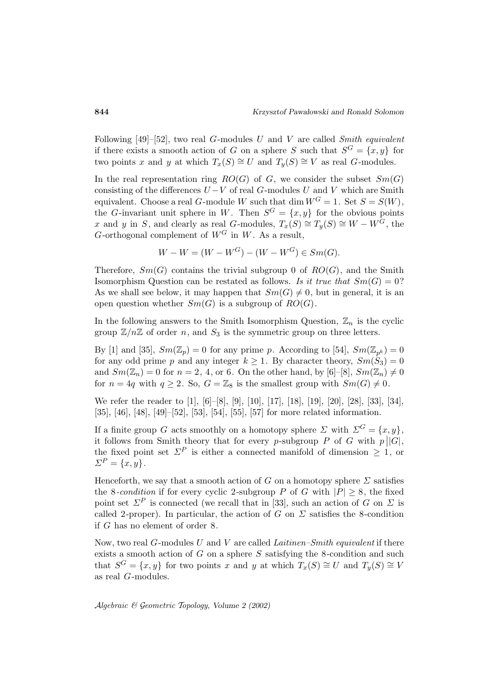Following [49]–[52], two real G-modules U and V are called Smith equivalent if there exists a smooth action of G on a sphere S such that  $S^G = \{x, y\}$  for two points x and y at which  $T_x(S) \cong U$  and  $T_y(S) \cong V$  as real G-modules.

In the real representation ring  $RO(G)$  of G, we consider the subset  $Sm(G)$ consisting of the differences  $U - V$  of real G-modules U and V which are Smith equivalent. Choose a real G-module W such that dim  $W^G = 1$ . Set  $S = S(W)$ , the G-invariant unit sphere in W. Then  $S^G = \{x, y\}$  for the obvious points x and y in S, and clearly as real G-modules,  $T_x(S) \cong T_y(S) \cong W - W^G$ , the G-orthogonal complement of  $W^G$  in W. As a result,

$$
W - W = (W - W^{G}) - (W - W^{G}) \in Sm(G).
$$

Therefore,  $Sm(G)$  contains the trivial subgroup 0 of  $RO(G)$ , and the Smith Isomorphism Question can be restated as follows. Is it true that  $Sm(G) = 0$ ? As we shall see below, it may happen that  $Sm(G) \neq 0$ , but in general, it is an open question whether  $Sm(G)$  is a subgroup of  $RO(G)$ .

In the following answers to the Smith Isomorphism Question,  $\mathbb{Z}_n$  is the cyclic group  $\mathbb{Z}/n\mathbb{Z}$  of order n, and  $S_3$  is the symmetric group on three letters.

By [1] and [35],  $Sm(\mathbb{Z}_p) = 0$  for any prime p. According to [54],  $Sm(\mathbb{Z}_{p^k}) = 0$ for any odd prime p and any integer  $k \ge 1$ . By character theory,  $Sm(S_3)=0$ and  $Sm(\mathbb{Z}_n) = 0$  for  $n = 2, 4$ , or 6. On the other hand, by [6]-[8],  $Sm(\mathbb{Z}_n) \neq 0$ for  $n = 4q$  with  $q \ge 2$ . So,  $G = \mathbb{Z}_8$  is the smallest group with  $Sm(G) \ne 0$ .

We refer the reader to [1], [6]–[8], [9], [10], [17], [18], [19], [20], [28], [33], [34], [35], [46], [48], [49]–[52], [53], [54], [55], [57] for more related information.

If a finite group G acts smoothly on a homotopy sphere  $\Sigma$  with  $\Sigma^G = \{x, y\},\$ it follows from Smith theory that for every *p*-subgroup *P* of *G* with  $p||G|$ , the fixed point set  $\Sigma^P$  is either a connected manifold of dimension  $\geq 1$ , or  $\Sigma^P = \{x, y\}.$ 

Henceforth, we say that a smooth action of G on a homotopy sphere  $\Sigma$  satisfies the 8-condition if for every cyclic 2-subgroup P of G with  $|P| \geq 8$ , the fixed point set  $\Sigma^P$  is connected (we recall that in [33], such an action of G on  $\Sigma$  is called 2-proper). In particular, the action of G on  $\Sigma$  satisfies the 8-condition if G has no element of order 8.

Now, two real  $G$ -modules U and V are called Laitinen–Smith equivalent if there exists a smooth action of  $G$  on a sphere  $S$  satisfying the 8-condition and such that  $S^G = \{x, y\}$  for two points x and y at which  $T_x(S) \cong U$  and  $T_y(S) \cong V$ as real G-modules.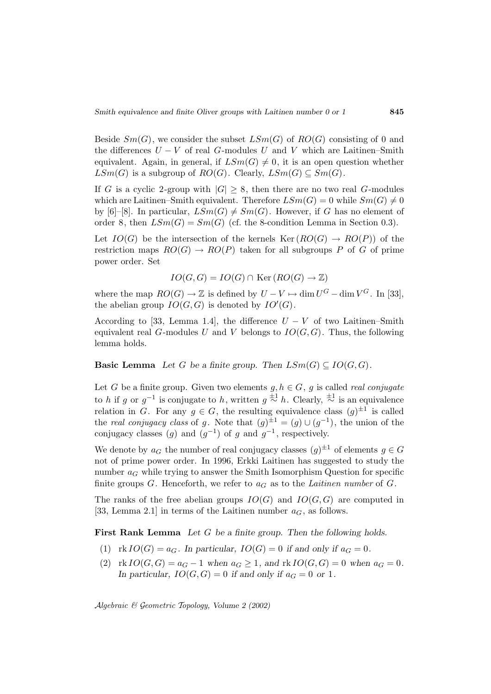Beside  $Sm(G)$ , we consider the subset  $LSm(G)$  of  $RO(G)$  consisting of 0 and the differences  $U - V$  of real G-modules U and V which are Laitinen–Smith equivalent. Again, in general, if  $LSm(G) \neq 0$ , it is an open question whether  $LSm(G)$  is a subgroup of  $RO(G)$ . Clearly,  $LSm(G) \subseteq Sm(G)$ .

If G is a cyclic 2-group with  $|G| \geq 8$ , then there are no two real G-modules which are Laitinen–Smith equivalent. Therefore  $LSm(G) = 0$  while  $Sm(G) \neq 0$ by [6]–[8]. In particular,  $LSm(G) \neq Sm(G)$ . However, if G has no element of order 8, then  $LSm(G) = Sm(G)$  (cf. the 8-condition Lemma in Section 0.3).

Let  $IO(G)$  be the intersection of the kernels  $Ker (RO(G) \rightarrow RO(P))$  of the restriction maps  $RO(G) \rightarrow RO(P)$  taken for all subgroups P of G of prime power order. Set

$$
IO(G, G) = IO(G) \cap \text{Ker}(RO(G) \rightarrow \mathbb{Z})
$$

where the map  $RO(G) \to \mathbb{Z}$  is defined by  $U - V \mapsto \dim U^G - \dim V^G$ . In [33], the abelian group  $IO(G, G)$  is denoted by  $IO'(G)$ .

According to [33, Lemma 1.4], the difference  $U - V$  of two Laitinen–Smith equivalent real G-modules U and V belongs to  $IO(G, G)$ . Thus, the following lemma holds.

**Basic Lemma** *Let* G *be a finite group. Then*  $LSm(G) \subseteq IO(G, G)$ *.* 

Let G be a finite group. Given two elements  $g, h \in G$ , g is called *real conjugate* to h if g or  $g^{-1}$  is conjugate to h, written  $g \stackrel{\pm 1}{\sim} h$ . Clearly,  $\stackrel{\pm 1}{\sim}$  is an equivalence relation in G. For any  $g \in G$ , the resulting equivalence class  $(g)^{\pm 1}$  is called the *real conjugacy class* of g. Note that  $(g)^{\pm 1} = (g) \cup (g^{-1})$ , the union of the conjugacy classes (g) and  $(g^{-1})$  of g and  $g^{-1}$ , respectively.

We denote by  $a_G$  the number of real conjugacy classes  $(g)^{\pm 1}$  of elements  $g \in G$ not of prime power order. In 1996, Erkki Laitinen has suggested to study the number  $a_G$  while trying to answer the Smith Isomorphism Question for specific finite groups  $G$ . Henceforth, we refer to  $a_G$  as to the *Laitinen number* of  $G$ .

The ranks of the free abelian groups  $IO(G)$  and  $IO(G, G)$  are computed in [33, Lemma 2.1] in terms of the Laitinen number  $a_G$ , as follows.

**First Rank Lemma** *Let* G *be a finite group. Then the following holds.*

- (1)  $\text{rk } IO(G) = a_G$ . In particular,  $IO(G) = 0$  if and only if  $a_G = 0$ .
- (2)  $\text{rk } IO(G, G) = a_G 1 \text{ when } a_G \geq 1, \text{ and } \text{rk } IO(G, G) = 0 \text{ when } a_G = 0.$ In particular,  $IO(G, G) = 0$  *if and only if*  $a_G = 0$  *or* 1*.*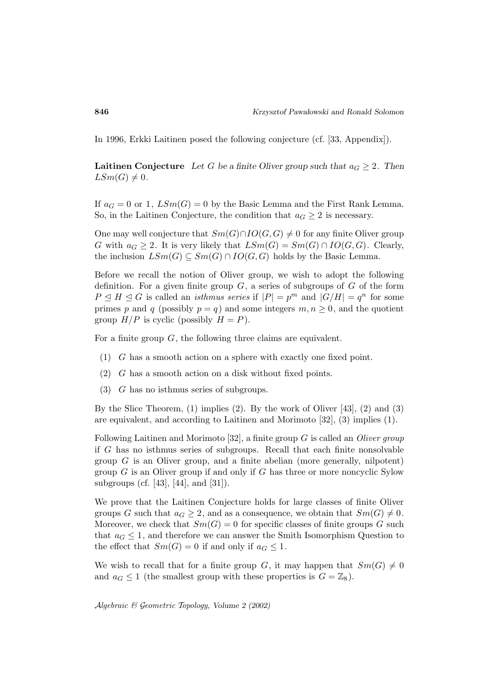In 1996, Erkki Laitinen posed the following conjecture (cf. [33, Appendix]).

**Laitinen Conjecture** *Let* G *be a finite Oliver group such that*  $a_G \geq 2$ . Then  $LSm(G) \neq 0$ .

If  $a_G = 0$  or 1,  $LSm(G) = 0$  by the Basic Lemma and the First Rank Lemma. So, in the Laitinen Conjecture, the condition that  $a_G \geq 2$  is necessary.

One may well conjecture that  $Sm(G) \cap IO(G, G) \neq 0$  for any finite Oliver group G with  $a_G \geq 2$ . It is very likely that  $LSm(G) = Sm(G) \cap IO(G, G)$ . Clearly, the inclusion  $LSm(G) \subseteq Sm(G) \cap IO(G, G)$  holds by the Basic Lemma.

Before we recall the notion of Oliver group, we wish to adopt the following definition. For a given finite group  $G$ , a series of subgroups of  $G$  of the form  $P \trianglelefteq H \trianglelefteq G$  is called an *isthmus series* if  $|P| = p^m$  and  $|G/H| = q^n$  for some primes p and q (possibly  $p = q$ ) and some integers  $m, n \geq 0$ , and the quotient group  $H/P$  is cyclic (possibly  $H = P$ ).

For a finite group  $G$ , the following three claims are equivalent.

- (1) G has a smooth action on a sphere with exactly one fixed point.
- (2) G has a smooth action on a disk without fixed points.
- (3) G has no isthmus series of subgroups.

By the Slice Theorem,  $(1)$  implies  $(2)$ . By the work of Oliver [43],  $(2)$  and  $(3)$ are equivalent, and according to Laitinen and Morimoto [32], (3) implies (1).

Following Laitinen and Morimoto [32], a finite group  $G$  is called an *Oliver group* if G has no isthmus series of subgroups. Recall that each finite nonsolvable group  $G$  is an Oliver group, and a finite abelian (more generally, nilpotent) group  $G$  is an Oliver group if and only if  $G$  has three or more noncyclic Sylow subgroups (cf. [43], [44], and [31]).

We prove that the Laitinen Conjecture holds for large classes of finite Oliver groups G such that  $a_G \geq 2$ , and as a consequence, we obtain that  $Sm(G) \neq 0$ . Moreover, we check that  $Sm(G) = 0$  for specific classes of finite groups G such that  $a_G \leq 1$ , and therefore we can answer the Smith Isomorphism Question to the effect that  $Sm(G) = 0$  if and only if  $a_G \leq 1$ .

We wish to recall that for a finite group G, it may happen that  $Sm(G) \neq 0$ and  $a_G \leq 1$  (the smallest group with these properties is  $G = \mathbb{Z}_8$ ).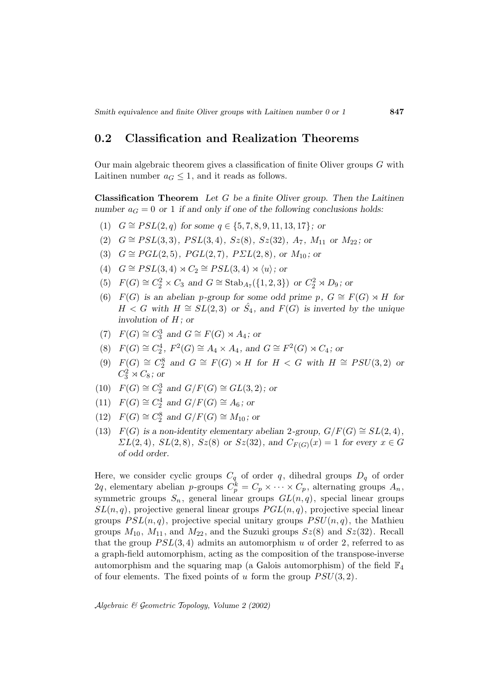# **0.2 Classification and Realization Theorems**

Our main algebraic theorem gives a classification of finite Oliver groups  $G$  with Laitinen number  $a_G \leq 1$ , and it reads as follows.

**Classification Theorem** *Let* G *be a finite Oliver group. Then the Laitinen number*  $a_G = 0$  *or* 1 *if and only if one of the following conclusions holds:* 

- (1)  $G \cong PSL(2,q)$  *for some*  $q \in \{5, 7, 8, 9, 11, 13, 17\}$ *; or*
- (2)  $G \cong PSL(3,3), PSL(3,4), Sz(8), Sz(32), A<sub>7</sub>, M<sub>11</sub>$  *or*  $M<sub>22</sub>$ ; *or*
- (3)  $G \cong PGL(2, 5)$ *, PGL*(2,7)*, PΣL*(2,8*), or*  $M_{10}$ *; or*
- (4)  $G \cong PSL(3, 4) \rtimes C_2 \cong PSL(3, 4) \rtimes \langle u \rangle$ ; or
- (5)  $F(G) \cong C_2^2 \times C_3$  *and*  $G \cong \text{Stab}_{A_7}(\{1, 2, 3\})$  *or*  $C_2^2 \rtimes D_9$ *; or*
- (6)  $F(G)$  *is an abelian p-group for some odd prime p,*  $G \cong F(G) \rtimes H$  *for*  $H < G$  with  $H \cong SL(2,3)$  or  $\hat{S}_4$ , and  $F(G)$  is inverted by the unique *involution of* H *; or*
- (7)  $F(G) \cong C_3^3$  and  $G \cong F(G) \rtimes A_4$ ; or
- (8)  $F(G) \cong C_2^4$ ,  $F^2(G) \cong A_4 \times A_4$ , and  $G \cong F^2(G) \rtimes C_4$ ; or
- (9)  $F(G) \cong C_2^8$  and  $G \cong F(G) \rtimes H$  for  $H < G$  with  $H \cong PSU(3, 2)$  or  $C_3^2 \rtimes C_8$ ; or
- (10)  $F(G) \cong C_2^3$  and  $G/F(G) \cong GL(3, 2)$ ; or
- (11)  $F(G) \cong C_2^4$  and  $G/F(G) \cong A_6$ ; or
- (12)  $F(G) \cong C_2^8$  and  $G/F(G) \cong M_{10}$ ; or
- (13)  $F(G)$  is a non-identity elementary abelian 2-group,  $G/F(G) \cong SL(2,4)$ ,  $\sum L(2, 4)$ *,*  $SL(2, 8)$ *,*  $Sz(8)$  or  $Sz(32)$ *,* and  $C_{F(G)}(x) = 1$  for every  $x \in G$ *of odd order.*

Here, we consider cyclic groups  $C_q$  of order q, dihedral groups  $D_q$  of order 2q, elementary abelian p-groups  $C_p^k = C_p \times \cdots \times C_p$ , alternating groups  $A_n$ , symmetric groups  $S_n$ , general linear groups  $GL(n, q)$ , special linear groups  $SL(n, q)$ , projective general linear groups  $PGL(n, q)$ , projective special linear groups  $PSL(n, q)$ , projective special unitary groups  $PSU(n, q)$ , the Mathieu groups  $M_{10}$ ,  $M_{11}$ , and  $M_{22}$ , and the Suzuki groups  $Sz(8)$  and  $Sz(32)$ . Recall that the group  $PSL(3, 4)$  admits an automorphism u of order 2, referred to as a graph-field automorphism, acting as the composition of the transpose-inverse automorphism and the squaring map (a Galois automorphism) of the field  $\mathbb{F}_4$ of four elements. The fixed points of u form the group  $PSU(3, 2)$ .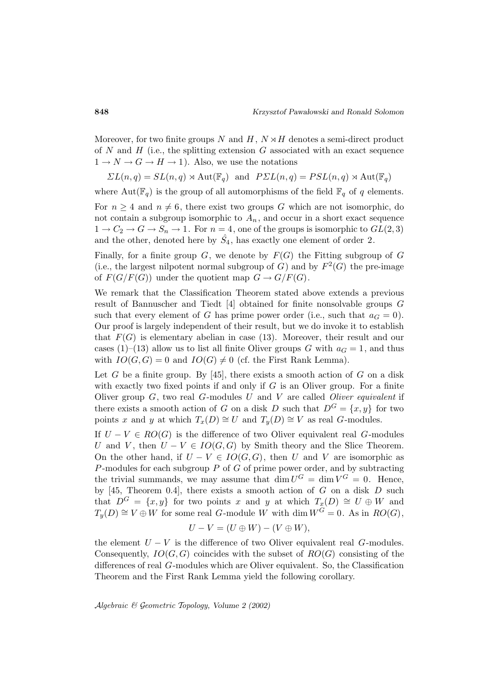Moreover, for two finite groups N and H,  $N \rtimes H$  denotes a semi-direct product of N and H (i.e., the splitting extension G associated with an exact sequence  $1 \rightarrow N \rightarrow G \rightarrow H \rightarrow 1$ . Also, we use the notations

$$
\Sigma L(n,q) = SL(n,q) \rtimes \text{Aut}(\mathbb{F}_q)
$$
 and  $P\Sigma L(n,q) = PSL(n,q) \rtimes \text{Aut}(\mathbb{F}_q)$ 

where  $Aut(\mathbb{F}_q)$  is the group of all automorphisms of the field  $\mathbb{F}_q$  of q elements.

For  $n \geq 4$  and  $n \neq 6$ , there exist two groups G which are not isomorphic, do not contain a subgroup isomorphic to  $A_n$ , and occur in a short exact sequence  $1 \rightarrow C_2 \rightarrow G \rightarrow S_n \rightarrow 1$ . For  $n = 4$ , one of the groups is isomorphic to  $GL(2,3)$ and the other, denoted here by  $\hat{S}_4$ , has exactly one element of order 2.

Finally, for a finite group  $G$ , we denote by  $F(G)$  the Fitting subgroup of  $G$ (i.e., the largest nilpotent normal subgroup of G) and by  $F^2(G)$  the pre-image of  $F(G/F(G))$  under the quotient map  $G \to G/F(G)$ .

We remark that the Classification Theorem stated above extends a previous result of Bannuscher and Tiedt [4] obtained for finite nonsolvable groups G such that every element of G has prime power order (i.e., such that  $a_G = 0$ ). Our proof is largely independent of their result, but we do invoke it to establish that  $F(G)$  is elementary abelian in case (13). Moreover, their result and our cases (1)–(13) allow us to list all finite Oliver groups G with  $a<sub>G</sub> = 1$ , and thus with  $IO(G, G) = 0$  and  $IO(G) \neq 0$  (cf. the First Rank Lemma).

Let G be a finite group. By  $[45]$ , there exists a smooth action of G on a disk with exactly two fixed points if and only if  $G$  is an Oliver group. For a finite Oliver group  $G$ , two real  $G$ -modules  $U$  and  $V$  are called *Oliver equivalent* if there exists a smooth action of G on a disk D such that  $D^G = \{x, y\}$  for two points x and y at which  $T_x(D) \cong U$  and  $T_y(D) \cong V$  as real G-modules.

If  $U - V \in RO(G)$  is the difference of two Oliver equivalent real G-modules U and V, then  $U - V \in IO(G, G)$$  by Smith theory and the Slice Theorem. On the other hand, if  $U - V \in IO(G, G)$ , then U and V are isomorphic as P-modules for each subgroup  $P$  of  $G$  of prime power order, and by subtracting the trivial summands, we may assume that  $\dim U^G = \dim V^G = 0$ . Hence, by [45, Theorem 0.4], there exists a smooth action of  $G$  on a disk  $D$  such that  $D^G = \{x, y\}$  for two points x and y at which  $T_x(D) \cong U \oplus W$  and  $T_y(D) \cong V \oplus W$  for some real G-module W with dim  $W^G = 0$ . As in  $RO(G)$ ,

$$
U - V = (U \oplus W) - (V \oplus W),
$$

the element  $U - V$  is the difference of two Oliver equivalent real G-modules. Consequently,  $IO(G, G)$  coincides with the subset of  $RO(G)$  consisting of the differences of real G-modules which are Oliver equivalent. So, the Classification Theorem and the First Rank Lemma yield the following corollary.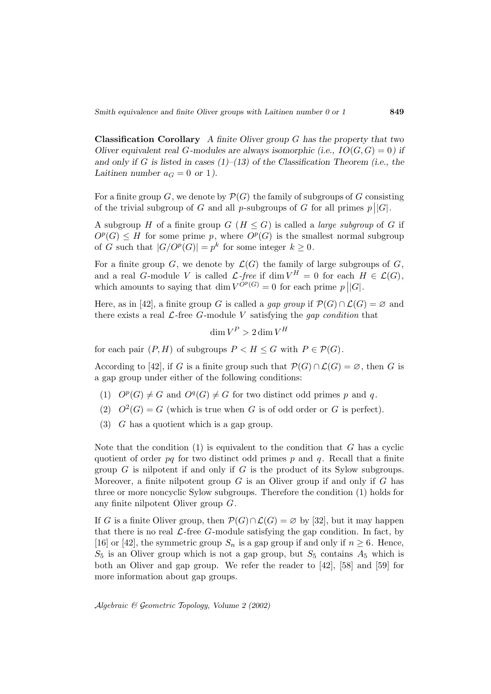**Classification Corollary** *A finite Oliver group* G *has the property that two Oliver equivalent real* G-modules are always isomorphic (i.e.,  $IO(G, G) = 0$ ) if *and only if* G *is listed in cases (1)–(13) of the Classification Theorem (i.e., the Laitinen number*  $a_G = 0$  *or* 1*)*.

For a finite group G, we denote by  $\mathcal{P}(G)$  the family of subgroups of G consisting of the trivial subgroup of G and all p-subgroups of G for all primes  $p||G|$ .

A subgroup H of a finite group  $G$  ( $H \leq G$ ) is called a *large subgroup* of G if  $O<sup>p</sup>(G) \leq H$  for some prime p, where  $O<sup>p</sup>(G)$  is the smallest normal subgroup of G such that  $|G/O^p(G)| = p^k$  for some integer  $k \geq 0$ .

For a finite group G, we denote by  $\mathcal{L}(G)$  the family of large subgroups of G, and a real G-module V is called  $\mathcal{L}\text{-free}$  if  $\dim V^H = 0$  for each  $H \in \mathcal{L}(G)$ , which amounts to saying that  $\dim V^{OP}(G) = 0$  for each prime  $p||G|$ .

Here, as in [42], a finite group G is called a gap group if  $\mathcal{P}(G) \cap \mathcal{L}(G) = \emptyset$  and there exists a real  $\mathcal{L}\text{-free }G\text{-module }V$  satisfying the gap condition that

$$
\dim V^P > 2\dim V^H
$$

for each pair  $(P, H)$  of subgroups  $P < H \leq G$  with  $P \in \mathcal{P}(G)$ .

According to [42], if G is a finite group such that  $\mathcal{P}(G) \cap \mathcal{L}(G) = \emptyset$ , then G is a gap group under either of the following conditions:

- (1)  $O^p(G) \neq G$  and  $O^q(G) \neq G$  for two distinct odd primes p and q.
- (2)  $O^2(G) = G$  (which is true when G is of odd order or G is perfect).
- $(3)$  G has a quotient which is a gap group.

Note that the condition  $(1)$  is equivalent to the condition that G has a cyclic quotient of order  $pq$  for two distinct odd primes  $p$  and  $q$ . Recall that a finite group  $G$  is nilpotent if and only if  $G$  is the product of its Sylow subgroups. Moreover, a finite nilpotent group  $G$  is an Oliver group if and only if  $G$  has three or more noncyclic Sylow subgroups. Therefore the condition (1) holds for any finite nilpotent Oliver group G.

If G is a finite Oliver group, then  $\mathcal{P}(G) \cap \mathcal{L}(G) = \emptyset$  by [32], but it may happen that there is no real  $\mathcal{L}\text{-free }G\text{-module satisfying the gap condition. In fact, by}$ [16] or [42], the symmetric group  $S_n$  is a gap group if and only if  $n \geq 6$ . Hence,  $S_5$  is an Oliver group which is not a gap group, but  $S_5$  contains  $A_5$  which is both an Oliver and gap group. We refer the reader to [42], [58] and [59] for more information about gap groups.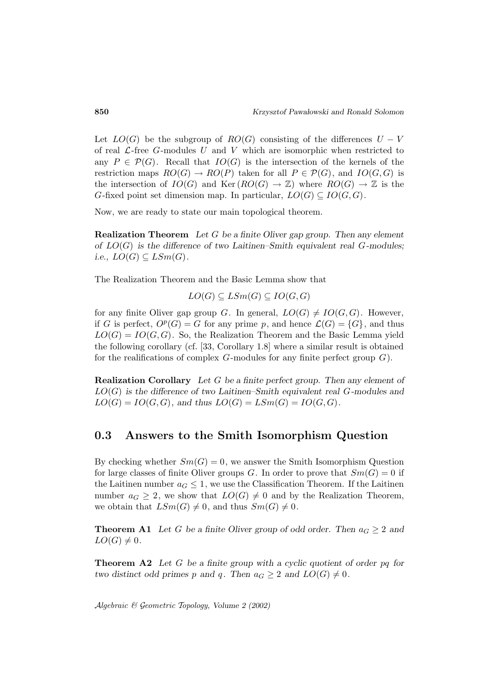Let  $LO(G)$  be the subgroup of  $RO(G)$  consisting of the differences  $U - V$ of real  $\mathcal{L}$ -free G-modules U and V which are isomorphic when restricted to any  $P \in \mathcal{P}(G)$ . Recall that  $IO(G)$  is the intersection of the kernels of the restriction maps  $RO(G) \to RO(P)$  taken for all  $P \in \mathcal{P}(G)$ , and  $IO(G, G)$  is the intersection of  $IO(G)$  and  $\text{Ker}(RO(G) \to \mathbb{Z})$  where  $RO(G) \to \mathbb{Z}$  is the G-fixed point set dimension map. In particular,  $LO(G) \subseteq IO(G, G)$ .

Now, we are ready to state our main topological theorem.

**Realization Theorem** *Let* G *be a finite Oliver gap group. Then any element of* LO(G) *is the difference of two Laitinen–Smith equivalent real* G*-modules; i.e.,*  $LO(G) \subseteq LSm(G)$ .

The Realization Theorem and the Basic Lemma show that

$$
LO(G) \subseteq LSm(G) \subseteq IO(G, G)
$$

for any finite Oliver gap group G. In general,  $LO(G) \neq IO(G, G)$ . However, if G is perfect,  $O^p(G) = G$  for any prime p, and hence  $\mathcal{L}(G) = \{G\}$ , and thus  $LO(G) = IO(G, G)$ . So, the Realization Theorem and the Basic Lemma yield the following corollary (cf. [33, Corollary 1.8] where a similar result is obtained for the realifications of complex  $G$ -modules for any finite perfect group  $G$ ).

**Realization Corollary** *Let* G *be a finite perfect group. Then any element of* LO(G) *is the difference of two Laitinen–Smith equivalent real* G*-modules and*  $LO(G) = IO(G, G)$ , and thus  $LO(G) = LSm(G) = IO(G, G)$ .

### **0.3 Answers to the Smith Isomorphism Question**

By checking whether  $Sm(G) = 0$ , we answer the Smith Isomorphism Question for large classes of finite Oliver groups G. In order to prove that  $Sm(G) = 0$  if the Laitinen number  $a_G \leq 1$ , we use the Classification Theorem. If the Laitinen number  $a_G \geq 2$ , we show that  $LO(G) \neq 0$  and by the Realization Theorem, we obtain that  $LSm(G) \neq 0$ , and thus  $Sm(G) \neq 0$ .

**Theorem A1** Let G be a finite Oliver group of odd order. Then  $a_G \geq 2$  and  $LO(G) \neq 0$ .

**Theorem A2** *Let* G *be a finite group with a cyclic quotient of order* pq *for two distinct odd primes* p and q. Then  $a_G \geq 2$  and  $LO(G) \neq 0$ .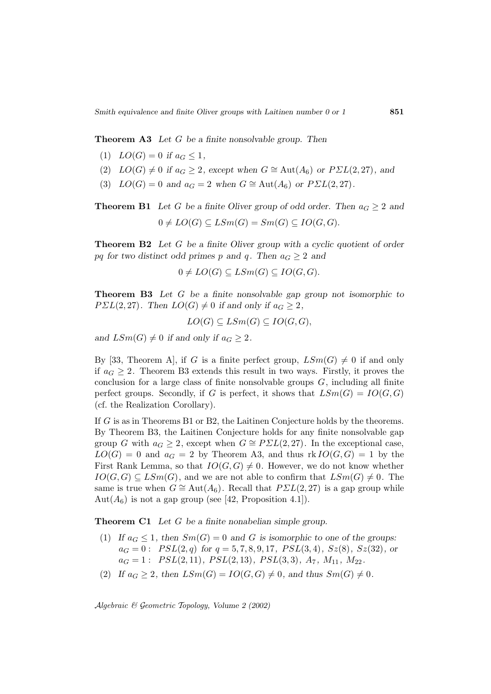**Theorem A3** *Let* G *be a finite nonsolvable group. Then*

- (1)  $LO(G) = 0$  *if*  $a_G \leq 1$ ,
- (2)  $LO(G) \neq 0$  *if*  $a_G \geq 2$ *, except when*  $G \cong \text{Aut}(A_6)$  *or*  $P\Sigma L(2, 27)$ *, and*
- (3)  $LO(G) = 0$  and  $a_G = 2$  when  $G \cong Aut(A_6)$  or  $P\Sigma L(2, 27)$ .

**Theorem B1** Let G be a finite Oliver group of odd order. Then  $a_G \geq 2$  and  $0 \neq LO(G) \subseteq LSm(G) = Sm(G) \subseteq IO(G, G).$ 

**Theorem B2** *Let* G *be a finite Oliver group with a cyclic quotient of order* pq for two distinct odd primes p and q. Then  $a_G \geq 2$  and

$$
0 \neq LO(G) \subseteq LSm(G) \subseteq IO(G, G).
$$

**Theorem B3** *Let* G *be a finite nonsolvable gap group not isomorphic to*  $P\Sigma L(2,27)$ *.* Then  $LO(G) \neq 0$  if and only if  $a_G \geq 2$ ,

$$
LO(G) \subseteq LSm(G) \subseteq IO(G, G),
$$

and  $LSm(G) \neq 0$  *if and only if*  $a_G \geq 2$ *.* 

By [33, Theorem A], if G is a finite perfect group,  $LSm(G) \neq 0$  if and only if  $a_G \geq 2$ . Theorem B3 extends this result in two ways. Firstly, it proves the conclusion for a large class of finite nonsolvable groups  $G$ , including all finite perfect groups. Secondly, if G is perfect, it shows that  $LSm(G) = IO(G, G)$ (cf. the Realization Corollary).

If G is as in Theorems B1 or B2, the Laitinen Conjecture holds by the theorems. By Theorem B3, the Laitinen Conjecture holds for any finite nonsolvable gap group G with  $a_G \geq 2$ , except when  $G \cong P\mathbb{Z}L(2,27)$ . In the exceptional case,  $LO(G) = 0$  and  $a_G = 2$  by Theorem A3, and thus  $rk\,IO(G, G) = 1$  by the First Rank Lemma, so that  $IO(G, G) \neq 0$ . However, we do not know whether  $IO(G, G) \subseteq LSm(G)$ , and we are not able to confirm that  $LSm(G) \neq 0$ . The same is true when  $G \cong \text{Aut}(A_6)$ . Recall that  $P\Sigma L(2, 27)$  is a gap group while  $Aut(A_6)$  is not a gap group (see [42, Proposition 4.1]).

**Theorem C1** *Let* G *be a finite nonabelian simple group.*

- (1) If  $a_G \leq 1$ , then  $Sm(G) = 0$  and G is isomorphic to one of the groups:  $a_G = 0$ :  $PSL(2,q)$  for  $q = 5, 7, 8, 9, 17, PSL(3,4), Sz(8), Sz(32),$  or  $a_G = 1: PSL(2, 11), PSL(2, 13), PSL(3, 3), A_7, M_{11}, M_{22}.$
- (2) If  $a_G \ge 2$ , then  $LSm(G) = IO(G, G) \ne 0$ , and thus  $Sm(G) \ne 0$ .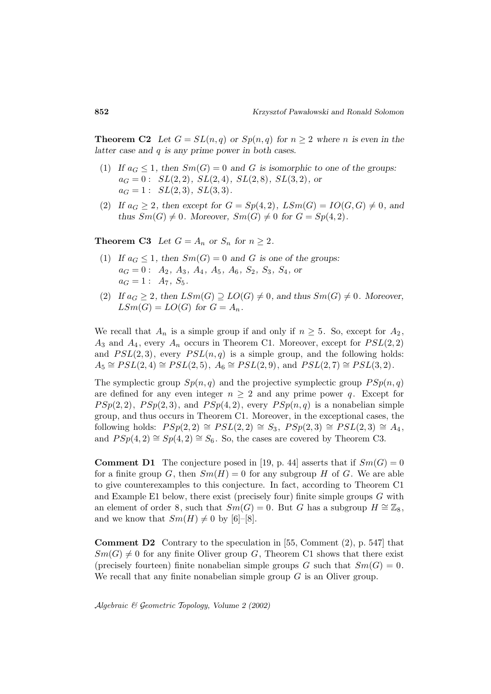**Theorem C2** Let  $G = SL(n,q)$  or  $Sp(n,q)$  for  $n \geq 2$  where n is even in the *latter case and* q *is any prime power in both cases.*

- (1) *If*  $a_G \leq 1$ , then  $Sm(G) = 0$  and *G* is isomorphic to one of the groups:  $a_G = 0$ :  $SL(2, 2)$ *,*  $SL(2, 4)$ *,*  $SL(2, 8)$ *,*  $SL(3, 2)$ *, or*  $a_G = 1: SL(2,3), SL(3,3).$
- (2) If  $a_G \geq 2$ , then except for  $G = Sp(4,2)$ ,  $LSm(G) = IO(G, G) \neq 0$ , and *thus*  $Sm(G) \neq 0$ *. Moreover,*  $Sm(G) \neq 0$  *for*  $G = Sp(4, 2)$ *.*

**Theorem C3** Let  $G = A_n$  or  $S_n$  for  $n \geq 2$ .

- (1) If  $a_G \leq 1$ , then  $Sm(G) = 0$  and G is one of the groups:  $a_G = 0: A_2, A_3, A_4, A_5, A_6, S_2, S_3, S_4,$  or  $a_G = 1: A_7, S_5.$
- (2) If  $a_G \geq 2$ , then  $LSm(G) \supseteq LO(G) \neq 0$ , and thus  $Sm(G) \neq 0$ . Moreover,  $LSm(G) = LO(G)$  for  $G = A_n$ .

We recall that  $A_n$  is a simple group if and only if  $n \geq 5$ . So, except for  $A_2$ ,  $A_3$  and  $A_4$ , every  $A_n$  occurs in Theorem C1. Moreover, except for  $PSL(2, 2)$ and  $PSL(2,3)$ , every  $PSL(n,q)$  is a simple group, and the following holds:  $A_5 \cong PSL(2, 4) \cong PSL(2, 5), A_6 \cong PSL(2, 9), \text{ and } PSL(2, 7) \cong PSL(3, 2).$ 

The symplectic group  $Sp(n, q)$  and the projective symplectic group  $PSp(n, q)$ are defined for any even integer  $n \geq 2$  and any prime power q. Except for  $PSp(2, 2)$ ,  $PSp(2, 3)$ , and  $PSp(4, 2)$ , every  $PSp(n, q)$  is a nonabelian simple group, and thus occurs in Theorem C1. Moreover, in the exceptional cases, the following holds:  $PSp(2, 2) \cong PSL(2, 2) \cong S_3$ ,  $PSp(2, 3) \cong PSL(2, 3) \cong A_4$ , and  $PSp(4, 2) \cong Sp(4, 2) \cong S_6$ . So, the cases are covered by Theorem C3.

**Comment D1** The conjecture posed in [19, p. 44] asserts that if  $Sm(G)=0$ for a finite group G, then  $Sm(H) = 0$  for any subgroup H of G. We are able to give counterexamples to this conjecture. In fact, according to Theorem C1 and Example E1 below, there exist (precisely four) finite simple groups G with an element of order 8, such that  $Sm(G) = 0$ . But G has a subgroup  $H \cong \mathbb{Z}_8$ , and we know that  $Sm(H) \neq 0$  by [6]–[8].

**Comment D2** Contrary to the speculation in [55, Comment (2), p. 547] that  $Sm(G) \neq 0$  for any finite Oliver group G, Theorem C1 shows that there exist (precisely fourteen) finite nonabelian simple groups G such that  $Sm(G) = 0$ . We recall that any finite nonabelian simple group  $G$  is an Oliver group.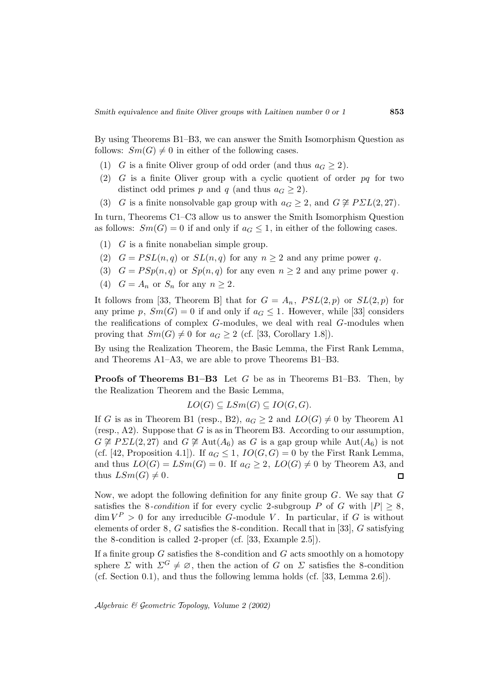By using Theorems B1–B3, we can answer the Smith Isomorphism Question as follows:  $Sm(G) \neq 0$  in either of the following cases.

- (1) G is a finite Oliver group of odd order (and thus  $a_G \geq 2$ ).
- (2) G is a finite Oliver group with a cyclic quotient of order  $pq$  for two distinct odd primes p and q (and thus  $a_G \geq 2$ ).
- (3) G is a finite nonsolvable gap group with  $a_G \geq 2$ , and  $G \not\cong P\Sigma L(2,27)$ .

In turn, Theorems C1–C3 allow us to answer the Smith Isomorphism Question as follows:  $Sm(G) = 0$  if and only if  $a_G \leq 1$ , in either of the following cases.

- (1) G is a finite nonabelian simple group.
- (2)  $G = PSL(n,q)$  or  $SL(n,q)$  for any  $n \geq 2$  and any prime power q.
- (3)  $G = PSp(n, q)$  or  $Sp(n, q)$  for any even  $n \geq 2$  and any prime power q.
- (4)  $G = A_n$  or  $S_n$  for any  $n \geq 2$ .

It follows from [33, Theorem B] that for  $G = A_n$ ,  $PSL(2, p)$  or  $SL(2, p)$  for any prime p,  $Sm(G) = 0$  if and only if  $a_G \leq 1$ . However, while [33] considers the realifications of complex G-modules, we deal with real G-modules when proving that  $Sm(G) \neq 0$  for  $a_G \geq 2$  (cf. [33, Corollary 1.8]).

By using the Realization Theorem, the Basic Lemma, the First Rank Lemma, and Theorems A1–A3, we are able to prove Theorems B1–B3.

**Proofs of Theorems B1–B3** Let G be as in Theorems B1–B3. Then, by the Realization Theorem and the Basic Lemma,

 $LO(G) \subseteq LSm(G) \subseteq IO(G, G)$ .

If G is as in Theorem B1 (resp., B2),  $a_G \geq 2$  and  $LO(G) \neq 0$  by Theorem A1 (resp., A2). Suppose that  $G$  is as in Theorem B3. According to our assumption,  $G \not\cong PSL(2,27)$  and  $G \not\cong \text{Aut}(A_6)$  as G is a gap group while  $\text{Aut}(A_6)$  is not (cf. [42, Proposition 4.1]). If  $a_G \leq 1$ ,  $IO(G, G) = 0$  by the First Rank Lemma, and thus  $LO(G) = LSm(G) = 0$ . If  $a_G \geq 2$ ,  $LO(G) \neq 0$  by Theorem A3, and thus  $LSm(G) \neq 0$ .  $\Box$ 

Now, we adopt the following definition for any finite group  $G$ . We say that  $G$ satisfies the 8-condition if for every cyclic 2-subgroup P of G with  $|P| \geq 8$ ,  $\dim V^P > 0$  for any irreducible G-module V. In particular, if G is without elements of order  $8, G$  satisfies the 8-condition. Recall that in [33],  $G$  satisfying the 8-condition is called 2-proper (cf. [33, Example 2.5]).

If a finite group  $G$  satisfies the 8-condition and  $G$  acts smoothly on a homotopy sphere  $\Sigma$  with  $\Sigma^G \neq \emptyset$ , then the action of G on  $\Sigma$  satisfies the 8-condition (cf. Section 0.1), and thus the following lemma holds (cf. [33, Lemma 2.6]).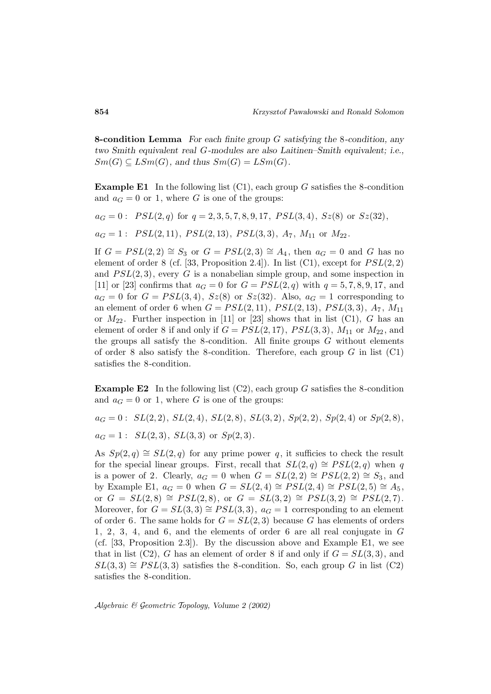**8-condition Lemma** *For each finite group* G *satisfying the* 8*-condition, any two Smith equivalent real* G*-modules are also Laitinen–Smith equivalent; i.e.,*  $Sm(G) \subseteq LSm(G)$ , and thus  $Sm(G) = LSm(G)$ .

**Example E1** In the following list (C1), each group G satisfies the 8-condition and  $a_G = 0$  or 1, where G is one of the groups:

 $a_G = 0: PSL(2,q)$  for  $q = 2,3,5,7,8,9,17, PSL(3,4), Sz(8)$  or  $Sz(32)$ ,

 $a_G = 1: PSL(2, 11), PSL(2, 13), PSL(3, 3), A_7, M_{11}$  or  $M_{22}$ .

If  $G = PSL(2, 2) \cong S_3$  or  $G = PSL(2, 3) \cong A_4$ , then  $a_G = 0$  and G has no element of order 8 (cf. [33, Proposition 2.4]). In list (C1), except for  $PSL(2,2)$ and  $PSL(2, 3)$ , every G is a nonabelian simple group, and some inspection in [11] or [23] confirms that  $a_G = 0$  for  $G = PSL(2, q)$  with  $q = 5, 7, 8, 9, 17$ , and  $a_G = 0$  for  $G = PSL(3, 4)$ ,  $Sz(8)$  or  $Sz(32)$ . Also,  $a_G = 1$  corresponding to an element of order 6 when  $G = PSL(2, 11)$ ,  $PSL(2, 13)$ ,  $PSL(3, 3)$ ,  $A_7$ ,  $M_{11}$ or  $M_{22}$ . Further inspection in [11] or [23] shows that in list (C1), G has an element of order 8 if and only if  $G = PSL(2, 17)$ ,  $PSL(3, 3)$ ,  $M_{11}$  or  $M_{22}$ , and the groups all satisfy the 8-condition. All finite groups  $G$  without elements of order 8 also satisfy the 8-condition. Therefore, each group  $G$  in list  $(C1)$ satisfies the 8-condition.

**Example E2** In the following list  $(C2)$ , each group G satisfies the 8-condition and  $a_G = 0$  or 1, where G is one of the groups:

 $a_G = 0: SL(2, 2), SL(2, 4), SL(2, 8), SL(3, 2), Sp(2, 2), Sp(2, 4)$  or  $Sp(2, 8),$ 

 $a_G = 1: SL(2,3), SL(3,3)$  or  $Sp(2,3)$ .

As  $Sp(2,q) \cong SL(2,q)$  for any prime power q, it sufficies to check the result for the special linear groups. First, recall that  $SL(2,q) \cong PSL(2,q)$  when q is a power of 2. Clearly,  $a_G = 0$  when  $G = SL(2, 2) \cong PSL(2, 2) \cong S_3$ , and by Example E1,  $a_G = 0$  when  $G = SL(2, 4) \cong PSL(2, 4) \cong PSL(2, 5) \cong A_5$ , or  $G = SL(2,8) \cong PSL(2,8)$ , or  $G = SL(3,2) \cong PSL(3,2) \cong PSL(2,7)$ . Moreover, for  $G = SL(3,3) \cong PSL(3,3)$ ,  $a_G = 1$  corresponding to an element of order 6. The same holds for  $G = SL(2,3)$  because G has elements of orders 1, 2, 3, 4, and 6, and the elements of order 6 are all real conjugate in G (cf. [33, Proposition 2.3]). By the discussion above and Example E1, we see that in list (C2), G has an element of order 8 if and only if  $G = SL(3,3)$ , and  $SL(3,3) \cong PSL(3,3)$  satisfies the 8-condition. So, each group G in list (C2) satisfies the 8-condition.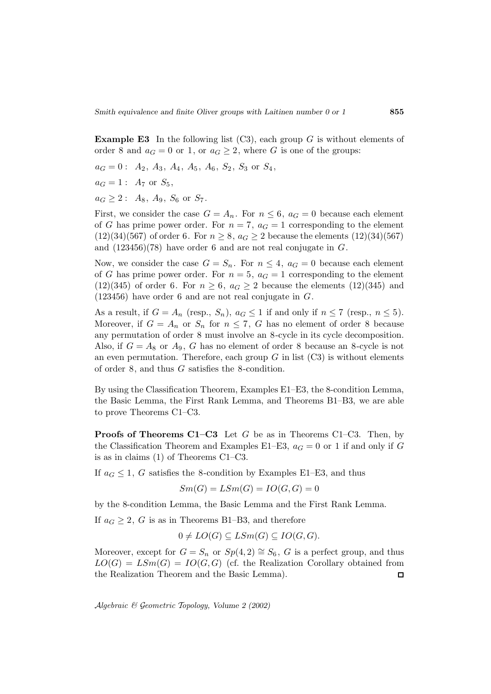**Example E3** In the following list (C3), each group G is without elements of order 8 and  $a_G = 0$  or 1, or  $a_G \geq 2$ , where G is one of the groups:

$$
a_G = 0
$$
:  $A_2$ ,  $A_3$ ,  $A_4$ ,  $A_5$ ,  $A_6$ ,  $S_2$ ,  $S_3$  or  $S_4$ ,

 $a_G = 1: A_7$  or  $S_5$ ,

 $a_G \geq 2$ :  $A_8$ ,  $A_9$ ,  $S_6$  or  $S_7$ .

First, we consider the case  $G = A_n$ . For  $n \leq 6$ ,  $a_G = 0$  because each element of G has prime power order. For  $n = 7$ ,  $a<sub>G</sub> = 1$  corresponding to the element  $(12)(34)(567)$  of order 6. For  $n \ge 8$ ,  $a_G \ge 2$  because the elements  $(12)(34)(567)$ and  $(123456)(78)$  have order 6 and are not real conjugate in G.

Now, we consider the case  $G = S_n$ . For  $n \leq 4$ ,  $a_G = 0$  because each element of G has prime power order. For  $n = 5$ ,  $a<sub>G</sub> = 1$  corresponding to the element  $(12)(345)$  of order 6. For  $n \geq 6$ ,  $a_G \geq 2$  because the elements  $(12)(345)$  and  $(123456)$  have order 6 and are not real conjugate in  $G$ .

As a result, if  $G = A_n$  (resp.,  $S_n$ ),  $a_G \leq 1$  if and only if  $n \leq 7$  (resp.,  $n \leq 5$ ). Moreover, if  $G = A_n$  or  $S_n$  for  $n \le 7$ , G has no element of order 8 because any permutation of order 8 must involve an 8-cycle in its cycle decomposition. Also, if  $G = A_8$  or  $A_9$ , G has no element of order 8 because an 8-cycle is not an even permutation. Therefore, each group  $G$  in list  $(C3)$  is without elements of order 8, and thus G satisfies the 8-condition.

By using the Classification Theorem, Examples E1–E3, the 8-condition Lemma, the Basic Lemma, the First Rank Lemma, and Theorems B1–B3, we are able to prove Theorems C1–C3.

**Proofs of Theorems C1–C3** Let G be as in Theorems C1–C3. Then, by the Classification Theorem and Examples E1–E3,  $a_G = 0$  or 1 if and only if G is as in claims (1) of Theorems C1–C3.

If  $a_G \leq 1$ , G satisfies the 8-condition by Examples E1–E3, and thus

$$
Sm(G) = LSm(G) = IO(G, G) = 0
$$

by the 8-condition Lemma, the Basic Lemma and the First Rank Lemma.

If  $a_G \geq 2$ , G is as in Theorems B1–B3, and therefore

$$
0 \neq LO(G) \subseteq LSm(G) \subseteq IO(G, G).
$$

Moreover, except for  $G = S_n$  or  $Sp(4, 2) \cong S_6$ , G is a perfect group, and thus  $LO(G) = LSm(G) = IO(G, G)$  (cf. the Realization Corollary obtained from the Realization Theorem and the Basic Lemma).  $\Box$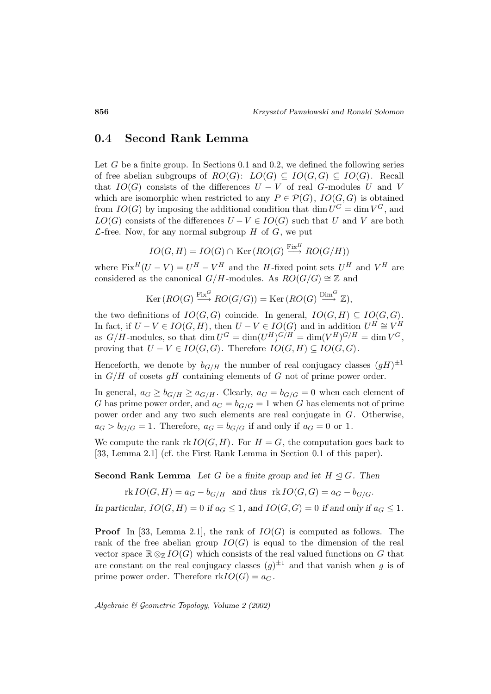## **0.4 Second Rank Lemma**

Let  $G$  be a finite group. In Sections 0.1 and 0.2, we defined the following series of free abelian subgroups of  $RO(G)$ :  $LO(G) \subseteq IO(G, G) \subseteq IO(G)$ . Recall that  $IO(G)$  consists of the differences  $U - V$  of real G-modules U and V which are isomorphic when restricted to any  $P \in \mathcal{P}(G)$ ,  $IO(G, G)$  is obtained from  $IO(G)$  by imposing the additional condition that dim  $U^G = \dim V^G$ , and  $LO(G)$  consists of the differences  $U - V \in IO(G)$  such that U and V are both  $\mathcal{L}\text{-free}$ . Now, for any normal subgroup H of G, we put

$$
IO(G, H) = IO(G) \cap \text{Ker}(RO(G) \xrightarrow{\text{Fix}^H} RO(G/H))
$$

where  $Fix^H(U - V) = U^H - V^H$  and the H-fixed point sets  $U^H$  and  $V^H$  are considered as the canonical  $G/H$ -modules. As  $RO(G/G) \cong \mathbb{Z}$  and

$$
\text{Ker}\left( RO(G) \stackrel{\text{Fix}^G}{\longrightarrow} RO(G/G) \right) = \text{Ker}\left( RO(G) \stackrel{\text{Dim}^G}{\longrightarrow} \mathbb{Z} \right),
$$

the two definitions of  $IO(G, G)$  coincide. In general,  $IO(G, H) \subseteq IO(G, G)$ . In fact, if  $U - V \in IO(G, H)$ , then  $U - V \in IO(G)$  and in addition  $U^H \cong V^H$ as  $G/H$ -modules, so that  $\dim U^G = \dim(U^H)^{G/H} = \dim(V^H)^{G/H} = \dim V^G$ , proving that  $U - V \in IO(G, G)$ . Therefore  $IO(G, H) \subseteq IO(G, G)$ .

Henceforth, we denote by  $b_{G/H}$  the number of real conjugacy classes  $(gH)^{\pm 1}$ in  $G/H$  of cosets gH containing elements of G not of prime power order.

In general,  $a_G \ge b_{G/H} \ge a_{G/H}$ . Clearly,  $a_G = b_{G/G} = 0$  when each element of G has prime power order, and  $a_G = b_{G/G} = 1$  when G has elements not of prime power order and any two such elements are real conjugate in G. Otherwise,  $a_G > b_{G/G} = 1$ . Therefore,  $a_G = b_{G/G}$  if and only if  $a_G = 0$  or 1.

We compute the rank  $rk\, IO(G,H)$ . For  $H = G$ , the computation goes back to [33, Lemma 2.1] (cf. the First Rank Lemma in Section 0.1 of this paper).

**Second Rank Lemma** *Let* G *be a finite group and let*  $H \subseteq G$ *. Then* 

 $rk IO(G, H) = a_G - b_{G/H}$  and thus  $rk IO(G, G) = a_G - b_{G/G}$ .

*In particular,*  $IO(G, H) = 0$  *if*  $a_G \leq 1$ *, and*  $IO(G, G) = 0$  *if and only if*  $a_G \leq 1$ *.* 

**Proof** In [33, Lemma 2.1], the rank of  $IO(G)$  is computed as follows. The rank of the free abelian group  $IO(G)$  is equal to the dimension of the real vector space  $\mathbb{R} \otimes_{\mathbb{Z}} IO(G)$  which consists of the real valued functions on G that are constant on the real conjugacy classes  $(g)^{\pm 1}$  and that vanish when g is of prime power order. Therefore  $rkIO(G) = a_G$ .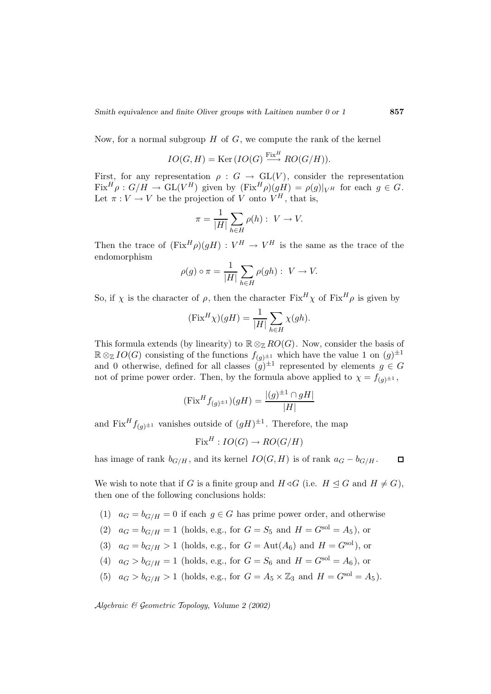Now, for a normal subgroup  $H$  of  $G$ , we compute the rank of the kernel

$$
IO(G, H) = \text{Ker}\left( IO(G) \xrightarrow{\text{Fix}H} RO(G/H)\right).
$$

First, for any representation  $\rho : G \to GL(V)$ , consider the representation  $Fix^H \rho : G/H \to GL(V^H)$  given by  $(Fix^H \rho)(gH) = \rho(g)|_{V^H}$  for each  $g \in G$ . Let  $\pi: V \to V$  be the projection of V onto  $V^H$ , that is,

$$
\pi = \frac{1}{|H|} \sum_{h \in H} \rho(h) : V \to V.
$$

Then the trace of  $(\text{Fix}^H \rho)(gH) : V^H \to V^H$  is the same as the trace of the endomorphism

$$
\rho(g) \circ \pi = \frac{1}{|H|} \sum_{h \in H} \rho(gh) : V \to V.
$$

So, if  $\chi$  is the character of  $\rho$ , then the character  $Fix^H\chi$  of  $Fix^H\rho$  is given by

$$
(\text{Fix}^H \chi)(gH) = \frac{1}{|H|} \sum_{h \in H} \chi(gh).
$$

This formula extends (by linearity) to  $\mathbb{R} \otimes_{\mathbb{Z}} RO(G)$ . Now, consider the basis of  $\mathbb{R} \otimes_{\mathbb{Z}} IO(G)$  consisting of the functions  $f_{(g)^{\pm 1}}$  which have the value 1 on  $(g)^{\pm 1}$ and 0 otherwise, defined for all classes  $(g)^{\pm 1}$  represented by elements  $g \in G$ not of prime power order. Then, by the formula above applied to  $\chi = f_{(q)} \pm 1$ ,

$$
(\text{Fix}^H f_{(g)^{\pm 1}})(gH) = \frac{|(g)^{\pm 1} \cap gH|}{|H|}
$$

and  $\operatorname{Fix}^H f_{(q)^{\pm 1}}$  vanishes outside of  $(gH)^{\pm 1}$ . Therefore, the map

 $Fix^H: IO(G) \rightarrow RO(G/H)$ 

has image of rank  $b_{G/H}$ , and its kernel  $IO(G, H)$  is of rank  $a_G - b_{G/H}$ .  $\Box$ 

We wish to note that if G is a finite group and  $H \triangleleft G$  (i.e.  $H \trianglelefteq G$  and  $H \neq G$ ), then one of the following conclusions holds:

(1)  $a_G = b_{G/H} = 0$  if each  $g \in G$  has prime power order, and otherwise

(2) 
$$
a_G = b_{G/H} = 1
$$
 (holds, e.g., for  $G = S_5$  and  $H = G^{\text{sol}} = A_5$ ), or

- (3)  $a_G = b_{G/H} > 1$  (holds, e.g., for  $G = \text{Aut}(A_6)$  and  $H = G^{\text{sol}}$ ), or
- (4)  $a_G > b_{G/H} = 1$  (holds, e.g., for  $G = S_6$  and  $H = G^{\text{sol}} = A_6$ ), or
- (5)  $a_G > b_{G/H} > 1$  (holds, e.g., for  $G = A_5 \times \mathbb{Z}_3$  and  $H = G^{\text{sol}} = A_5$ ).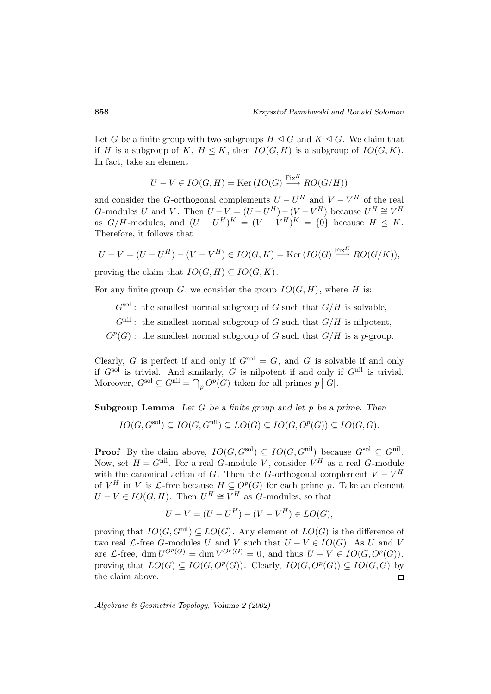Let G be a finite group with two subgroups  $H \leq G$  and  $K \leq G$ . We claim that if H is a subgroup of K,  $H \leq K$ , then  $IO(G, H)$  is a subgroup of  $IO(G, K)$ . In fact, take an element

$$
U - V \in IO(G, H) = \text{Ker}\left( IO(G) \xrightarrow{\text{Fix}H} RO(G/H) \right)
$$

and consider the G-orthogonal complements  $U - U^H$  and  $V - V^H$  of the real G-modules U and V. Then  $U - V = (U - U^H) - (V - V^H)$  because  $U^H \cong V^H$ as  $G/H$ -modules, and  $(U - U^H)^K = (V - V^H)^K = \{0\}$  because  $H \leq K$ . Therefore, it follows that

$$
U - V = (U - U^H) - (V - V^H) \in IO(G, K) = \text{Ker}(IO(G) \xrightarrow{\text{Fix} K} RO(G/K)),
$$

proving the claim that  $IO(G, H) \subseteq IO(G, K)$ .

For any finite group  $G$ , we consider the group  $IO(G, H)$ , where H is:

 $G^{\text{sol}}$ : the smallest normal subgroup of G such that  $G/H$  is solvable,

 $G^{\text{nil}}$ : the smallest normal subgroup of G such that  $G/H$  is nilpotent,

 $O<sup>p</sup>(G)$ : the smallest normal subgroup of G such that  $G/H$  is a p-group.

Clearly, G is perfect if and only if  $G^{sol} = G$ , and G is solvable if and only if  $G<sup>sol</sup>$  is trivial. And similarly, G is nilpotent if and only if  $G<sup>nil</sup>$  is trivial. Moreover,  $G^{\text{sol}} \subseteq G^{\text{nil}} = \bigcap_p O^p(G)$  taken for all primes  $p||G|$ .

**Subgroup Lemma** *Let* G *be a finite group and let* p *be a prime. Then*

$$
IO(G, G^{\text{sol}}) \subseteq IO(G, G^{\text{nil}}) \subseteq LO(G) \subseteq IO(G, O^p(G)) \subseteq IO(G, G).
$$

**Proof** By the claim above,  $IO(G, G^{\text{sol}}) \subseteq IO(G, G^{\text{nil}})$  because  $G^{\text{sol}} \subseteq G^{\text{nil}}$ . Now, set  $H = G^{\text{nil}}$ . For a real G-module V, consider  $V^H$  as a real G-module with the canonical action of G. Then the G-orthogonal complement  $V - V^H$ of  $V^H$  in V is  $\mathcal{L}$ -free because  $H \subseteq O^p(G)$  for each prime p. Take an element  $U - V \in IO(G, H)$ . Then  $U^H \cong V^H$  as G-modules, so that

$$
U - V = (U - U^{H}) - (V - V^{H}) \in LO(G),
$$

proving that  $IO(G, G^{\text{nil}}) \subseteq LO(G)$ . Any element of  $LO(G)$  is the difference of two real  $\mathcal{L}$ -free G-modules U and V such that  $U - V \in IO(G)$ . As U and V are  $\mathcal{L}\text{-free}$ , dim  $U^{O^p(G)} = \dim V^{O^p(G)} = 0$ , and thus  $U - V \in IO(G, O^p(G)),$ proving that  $LO(G) \subseteq IO(G, O^p(G))$ . Clearly,  $IO(G, O^p(G)) \subseteq IO(G, G)$  by the claim above.  $\Box$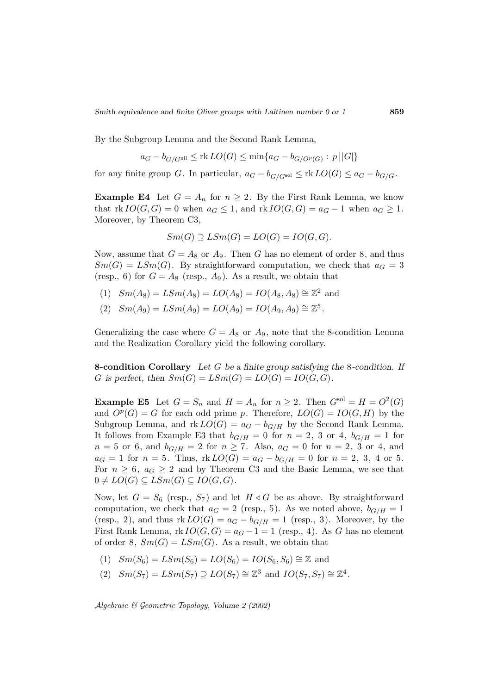By the Subgroup Lemma and the Second Rank Lemma,

$$
a_G - b_{G/G^{\text{nil}}} \leq \text{rk } LO(G) \leq \min\{a_G - b_{G/O^p(G)} : p || G | \}
$$

for any finite group G. In particular,  $a_G - b_{G/G}$ sol  $\leq$  rk  $LO(G) \leq a_G - b_{G/G}$ .

**Example E4** Let  $G = A_n$  for  $n \geq 2$ . By the First Rank Lemma, we know that  $rk \text{IO}(G, G) = 0$  when  $a_G \leq 1$ , and  $rk \text{IO}(G, G) = a_G - 1$  when  $a_G \geq 1$ . Moreover, by Theorem C3,

$$
Sm(G) \supseteq LSm(G) = LO(G) = IO(G, G).
$$

Now, assume that  $G = A_8$  or  $A_9$ . Then G has no element of order 8, and thus  $Sm(G) = LSm(G)$ . By straightforward computation, we check that  $a_G = 3$ (resp., 6) for  $G = A_8$  (resp.,  $A_9$ ). As a result, we obtain that

- (1)  $Sm(A_8) = LSm(A_8) = LO(A_8) = IO(A_8, A_8) \cong \mathbb{Z}^2$  and
- (2)  $Sm(A_9) = LSm(A_9) = LO(A_9) = IO(A_9, A_9) \cong \mathbb{Z}^5$ .

Generalizing the case where  $G = A_8$  or  $A_9$ , note that the 8-condition Lemma and the Realization Corollary yield the following corollary.

**8-condition Corollary** *Let* G *be a finite group satisfying the* 8*-condition. If* G is perfect, then  $Sm(G) = LSm(G) = LO(G) = IO(G, G)$ .

**Example E5** Let  $G = S_n$  and  $H = A_n$  for  $n \geq 2$ . Then  $G^{\text{sol}} = H = O^2(G)$ and  $O^p(G) = G$  for each odd prime p. Therefore,  $LO(G) = IO(G,H)$  by the Subgroup Lemma, and  $\text{rk } LO(G) = a_G - b_{G/H}$  by the Second Rank Lemma. It follows from Example E3 that  $b_{G/H} = 0$  for  $n = 2, 3$  or 4,  $b_{G/H} = 1$  for  $n = 5$  or 6, and  $b_{G/H} = 2$  for  $n \ge 7$ . Also,  $a_G = 0$  for  $n = 2, 3$  or 4, and  $a_G = 1$  for  $n = 5$ . Thus,  $rk\,LO(G) = a_G - b_{G/H} = 0$  for  $n = 2, 3, 4$  or 5. For  $n \geq 6$ ,  $a_G \geq 2$  and by Theorem C3 and the Basic Lemma, we see that  $0 \neq LO(G) \subseteq LSm(G) \subseteq IO(G, G)$ .

Now, let  $G = S_6$  (resp.,  $S_7$ ) and let  $H \triangleleft G$  be as above. By straightforward computation, we check that  $a_G = 2$  (resp., 5). As we noted above,  $b_{G/H} = 1$ (resp., 2), and thus  $rk\, LO(G) = a_G - b_{G/H} = 1$  (resp., 3). Moreover, by the First Rank Lemma,  $rk \text{ } IO(G, G) = a_G - 1 = 1$  (resp., 4). As G has no element of order 8,  $Sm(G) = LSm(G)$ . As a result, we obtain that

- $(1)$   $Sm(S_6) = LSm(S_6) = LO(S_6) = IO(S_6, S_6) \cong \mathbb{Z}$  and
- (2)  $Sm(S_7) = LSm(S_7) \supseteq LO(S_7) \cong \mathbb{Z}^3$  and  $IO(S_7, S_7) \cong \mathbb{Z}^4$ .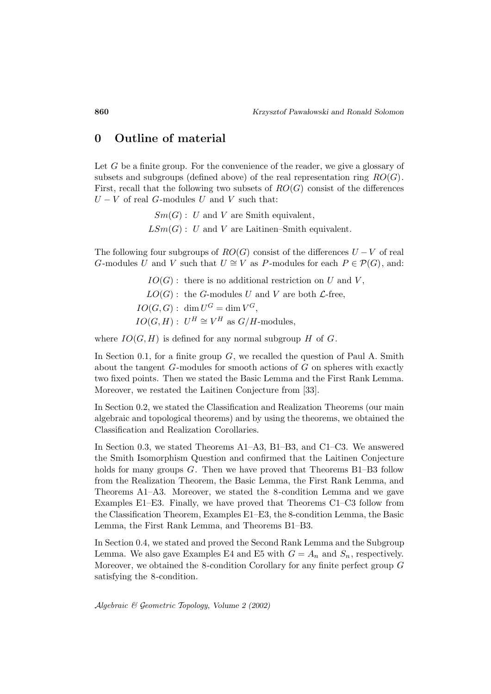## **0 Outline of material**

Let G be a finite group. For the convenience of the reader, we give a glossary of subsets and subgroups (defined above) of the real representation ring  $RO(G)$ . First, recall that the following two subsets of  $RO(G)$  consist of the differences  $U - V$  of real G-modules U and V such that:

> $Sm(G): U$  and V are Smith equivalent,  $LSm(G): U$  and V are Laitinen–Smith equivalent.

The following four subgroups of  $RO(G)$  consist of the differences  $U - V$  of real G-modules U and V such that  $U \cong V$  as P-modules for each  $P \in \mathcal{P}(G)$ , and:

> $IO(G)$ : there is no additional restriction on U and V,  $LO(G)$ : the G-modules U and V are both  $\mathcal{L}$ -free,  $IO(G, G): \dim U^G = \dim V^G,$  $IO(G, H): U^H \cong V^H$  as  $G/H$ -modules,

where  $IO(G, H)$  is defined for any normal subgroup H of G.

In Section 0.1, for a finite group  $G$ , we recalled the question of Paul A. Smith about the tangent G-modules for smooth actions of G on spheres with exactly two fixed points. Then we stated the Basic Lemma and the First Rank Lemma. Moreover, we restated the Laitinen Conjecture from [33].

In Section 0.2, we stated the Classification and Realization Theorems (our main algebraic and topological theorems) and by using the theorems, we obtained the Classification and Realization Corollaries.

In Section 0.3, we stated Theorems A1–A3, B1–B3, and C1–C3. We answered the Smith Isomorphism Question and confirmed that the Laitinen Conjecture holds for many groups  $G$ . Then we have proved that Theorems  $B1-\overline{B3}$  follow from the Realization Theorem, the Basic Lemma, the First Rank Lemma, and Theorems A1–A3. Moreover, we stated the 8-condition Lemma and we gave Examples E1–E3. Finally, we have proved that Theorems C1–C3 follow from the Classification Theorem, Examples E1–E3, the 8-condition Lemma, the Basic Lemma, the First Rank Lemma, and Theorems B1–B3.

In Section 0.4, we stated and proved the Second Rank Lemma and the Subgroup Lemma. We also gave Examples E4 and E5 with  $G = A_n$  and  $S_n$ , respectively. Moreover, we obtained the 8-condition Corollary for any finite perfect group G satisfying the 8-condition.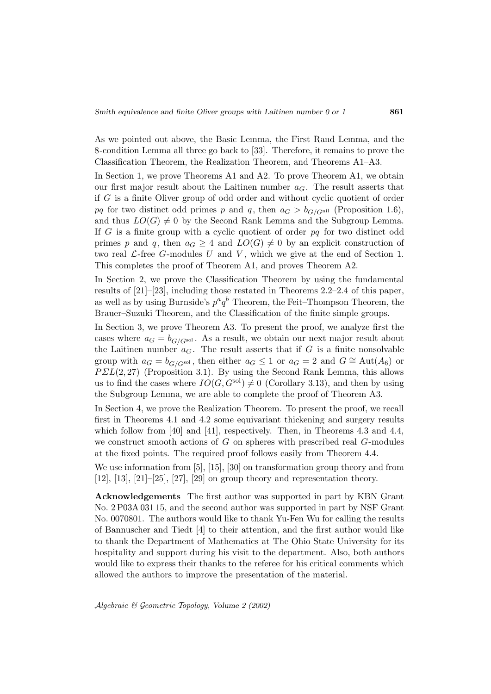As we pointed out above, the Basic Lemma, the First Rand Lemma, and the 8-condition Lemma all three go back to [33]. Therefore, it remains to prove the Classification Theorem, the Realization Theorem, and Theorems A1–A3.

In Section 1, we prove Theorems A1 and A2. To prove Theorem A1, we obtain our first major result about the Laitinen number  $a_G$ . The result asserts that if G is a finite Oliver group of odd order and without cyclic quotient of order pq for two distinct odd primes p and q, then  $a_G > b_{G/G<sup>nil</sup>}$  (Proposition 1.6), and thus  $LO(G) \neq 0$  by the Second Rank Lemma and the Subgroup Lemma. If  $G$  is a finite group with a cyclic quotient of order  $pq$  for two distinct odd primes p and q, then  $a_G \geq 4$  and  $LO(G) \neq 0$  by an explicit construction of two real  $\mathcal{L}\text{-free }G\text{-modules }U$  and V, which we give at the end of Section 1. This completes the proof of Theorem A1, and proves Theorem A2.

In Section 2, we prove the Classification Theorem by using the fundamental results of [21]–[23], including those restated in Theorems 2.2–2.4 of this paper, as well as by using Burnside's  $p^a q^b$  Theorem, the Feit–Thompson Theorem, the Brauer–Suzuki Theorem, and the Classification of the finite simple groups.

In Section 3, we prove Theorem A3. To present the proof, we analyze first the cases where  $a_G = b_{G/G^{\text{sol}}}$ . As a result, we obtain our next major result about the Laitinen number  $a_G$ . The result asserts that if G is a finite nonsolvable group with  $a_G = b_{G/G^{\text{sol}}}$ , then either  $a_G \leq 1$  or  $a_G = 2$  and  $G \cong \text{Aut}(A_6)$  or  $PSL(2, 27)$  (Proposition 3.1). By using the Second Rank Lemma, this allows us to find the cases where  $IO(G, G^{\text{sol}}) \neq 0$  (Corollary 3.13), and then by using the Subgroup Lemma, we are able to complete the proof of Theorem A3.

In Section 4, we prove the Realization Theorem. To present the proof, we recall first in Theorems 4.1 and 4.2 some equivariant thickening and surgery results which follow from [40] and [41], respectively. Then, in Theorems 4.3 and 4.4, we construct smooth actions of  $G$  on spheres with prescribed real  $G$ -modules at the fixed points. The required proof follows easily from Theorem 4.4.

We use information from [5], [15], [30] on transformation group theory and from  $[12]$ ,  $[13]$ ,  $[21]$ – $[25]$ ,  $[27]$ ,  $[29]$  on group theory and representation theory.

**Acknowledgements** The first author was supported in part by KBN Grant No. 2 P03A 031 15, and the second author was supported in part by NSF Grant No. 0070801. The authors would like to thank Yu-Fen Wu for calling the results of Bannuscher and Tiedt [4] to their attention, and the first author would like to thank the Department of Mathematics at The Ohio State University for its hospitality and support during his visit to the department. Also, both authors would like to express their thanks to the referee for his critical comments which allowed the authors to improve the presentation of the material.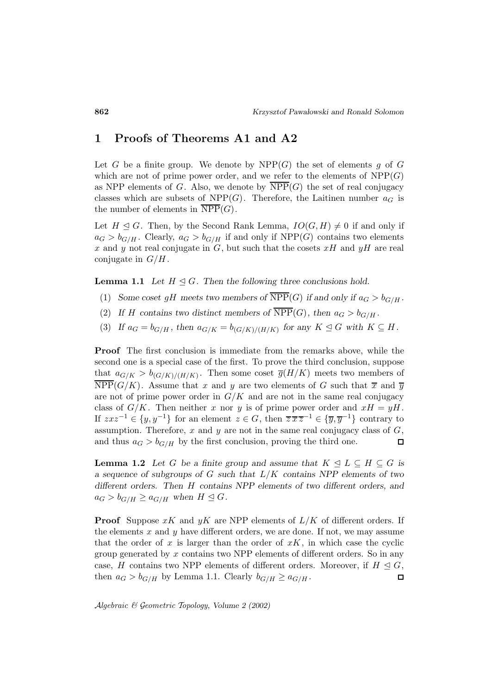## **1 Proofs of Theorems A1 and A2**

Let G be a finite group. We denote by  $NPP(G)$  the set of elements g of G which are not of prime power order, and we refer to the elements of  $NPP(G)$ as NPP elements of G. Also, we denote by  $\overline{\text{NPP}}(G)$  the set of real conjugacy classes which are subsets of  $NPP(G)$ . Therefore, the Laitinen number  $a_G$  is the number of elements in  $NPP(G)$ .

Let  $H \leq G$ . Then, by the Second Rank Lemma,  $IO(G, H) \neq 0$  if and only if  $a_G > b_{G/H}$ . Clearly,  $a_G > b_{G/H}$  if and only if NPP(G) contains two elements x and y not real conjugate in  $G$ , but such that the cosets  $xH$  and  $yH$  are real conjugate in  $G/H$ .

**Lemma 1.1** *Let*  $H \subseteq G$ *. Then the following three conclusions hold.* 

- (1) *Some coset gH* meets two members of  $\overline{\text{NPP}}(G)$  *if and only if*  $a_G > b_{G/H}$ *.*
- (2) If H contains two distinct members of  $\overline{\text{NPP}}(G)$ , then  $a_G > b_{G/H}$ .
- (3) If  $a_G = b_{G/H}$ , then  $a_{G/K} = b_{(G/K)/(H/K)}$  for any  $K \leq G$  with  $K \subseteq H$ .

**Proof** The first conclusion is immediate from the remarks above, while the second one is a special case of the first. To prove the third conclusion, suppose that  $a_{G/K} > b_{(G/K)/(H/K)}$ . Then some coset  $\overline{g}(H/K)$  meets two members of  $NPP(G/K)$ . Assume that x and y are two elements of G such that  $\bar{x}$  and  $\bar{y}$ are not of prime power order in  $G/K$  and are not in the same real conjugacy class of  $G/K$ . Then neither x nor y is of prime power order and  $xH = yH$ . If  $z x z^{-1} \in \{y, y^{-1}\}\$ for an element  $z \in G$ , then  $\overline{z} \overline{x} \overline{z}^{-1} \in \{\overline{y}, \overline{y}^{-1}\}\$ contrary to assumption. Therefore,  $x$  and  $y$  are not in the same real conjugacy class of  $G$ , and thus  $a_G > b_{G/H}$  by the first conclusion, proving the third one.  $\Box$ 

**Lemma 1.2** *Let* G *be a finite group and assume that*  $K \triangleleft L \subseteq H \subseteq G$  *is a sequence of subgroups of* G *such that* L/K *contains NPP elements of two different orders. Then* H *contains NPP elements of two different orders, and*  $a_G > b_{G/H} \ge a_{G/H}$  when  $H \le G$ .

**Proof** Suppose  $xK$  and  $yK$  are NPP elements of  $L/K$  of different orders. If the elements  $x$  and  $y$  have different orders, we are done. If not, we may assume that the order of x is larger than the order of  $xK$ , in which case the cyclic group generated by  $x$  contains two NPP elements of different orders. So in any case, H contains two NPP elements of different orders. Moreover, if  $H \trianglelefteq G$ , then  $a_G > b_{G/H}$  by Lemma 1.1. Clearly  $b_{G/H} \ge a_{G/H}$ .  $\Box$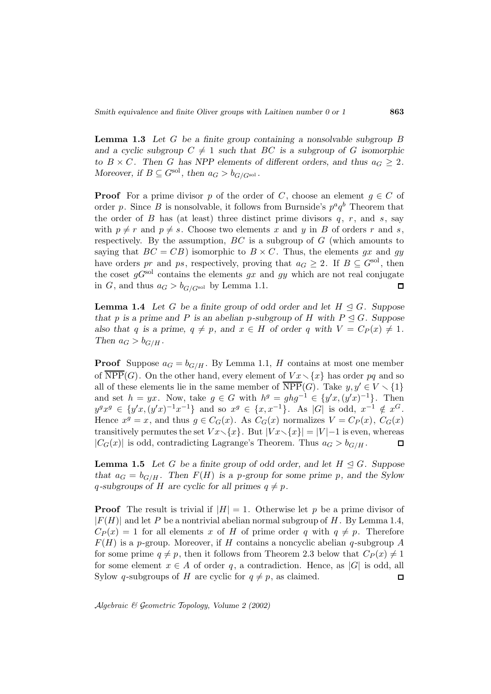**Lemma 1.3** *Let* G *be a finite group containing a nonsolvable subgroup* B and a cyclic subgroup  $C \neq 1$  such that BC is a subgroup of G isomorphic *to*  $B \times C$ *.* Then *G* has NPP elements of different orders, and thus  $a_G \geq 2$ *. Moreover, if*  $B \subseteq G^{\text{sol}}$ *, then*  $a_G > b_{G/G^{\text{sol}}}$ *.* 

**Proof** For a prime divisor p of the order of C, choose an element  $q \in C$  of order p. Since B is nonsolvable, it follows from Burnside's  $p^a q^b$  Theorem that the order of  $B$  has (at least) three distinct prime divisors  $q, r,$  and  $s,$  say with  $p \neq r$  and  $p \neq s$ . Choose two elements x and y in B of orders r and s, respectively. By the assumption,  $BC$  is a subgroup of  $G$  (which amounts to saying that  $BC = CB$ ) isomorphic to  $B \times C$ . Thus, the elements gx and gy have orders pr and ps, respectively, proving that  $a_G \geq 2$ . If  $B \subseteq G^{\text{sol}}$ , then the coset  $qG<sup>sol</sup>$  contains the elements gx and gy which are not real conjugate in G, and thus  $a_G > b_{G/G}$ sol by Lemma 1.1.  $\Box$ 

**Lemma 1.4** *Let* G *be a finite group of odd order and let*  $H \subseteq G$ *. Suppose that* p is a prime and P is an abelian p-subgroup of H with  $P \leq G$ . Suppose *also that* q *is a prime,*  $q \neq p$ *, and*  $x \in H$  *of order* q *with*  $V = C_P(x) \neq 1$ *. Then*  $a_G > b_{G/H}$ .

**Proof** Suppose  $a_G = b_{G/H}$ . By Lemma 1.1, H contains at most one member of  $\overline{\text{NPP}}(G)$ . On the other hand, every element of  $Vx\setminus\{x\}$  has order pq and so all of these elements lie in the same member of  $\overline{\text{NPP}}(G)$ . Take  $y, y' \in V \setminus \{1\}$ and set  $h = yx$ . Now, take  $g \in G$  with  $h^g = ghg^{-1} \in \{y'x, (y'x)^{-1}\}\$ . Then  $y^gx^g \in \{y'x, (y'x)^{-1}x^{-1}\}\$ and so  $x^g \in \{x, x^{-1}\}\$ . As  $|G|$  is odd,  $x^{-1} \notin x^G$ . Hence  $x^g = x$ , and thus  $g \in C_G(x)$ . As  $C_G(x)$  normalizes  $V = C_P(x)$ ,  $C_G(x)$ transitively permutes the set  $Vx\setminus\{x\}$ . But  $|Vx\setminus\{x\}| = |V|-1$  is even, whereas  $|C_G(x)|$  is odd, contradicting Lagrange's Theorem. Thus  $a_G > b_{G/H}$ .  $\Box$ 

**Lemma 1.5** *Let* G *be a finite group of odd order, and let*  $H \subseteq G$ *. Suppose that*  $a_G = b_{G/H}$ *. Then*  $F(H)$  *is a p-group for some prime p, and the Sylow* q-subgroups of H are cyclic for all primes  $q \neq p$ .

**Proof** The result is trivial if  $|H| = 1$ . Otherwise let p be a prime divisor of  $|F(H)|$  and let P be a nontrivial abelian normal subgroup of H. By Lemma 1.4,  $C_P(x) = 1$  for all elements x of H of prime order q with  $q \neq p$ . Therefore  $F(H)$  is a p-group. Moreover, if H contains a noncyclic abelian q-subgroup A for some prime  $q \neq p$ , then it follows from Theorem 2.3 below that  $C_P(x) \neq 1$ for some element  $x \in A$  of order q, a contradiction. Hence, as  $|G|$  is odd, all Sylow q-subgroups of H are cyclic for  $q \neq p$ , as claimed.  $\Box$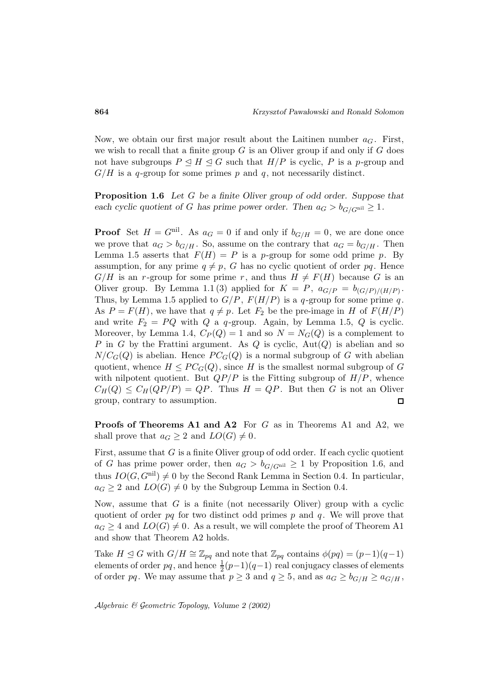Now, we obtain our first major result about the Laitinen number  $a_G$ . First, we wish to recall that a finite group  $G$  is an Oliver group if and only if  $G$  does not have subgroups  $P \subseteq H \subseteq G$  such that  $H/P$  is cyclic, P is a p-group and  $G/H$  is a q-group for some primes p and q, not necessarily distinct.

**Proposition 1.6** *Let* G *be a finite Oliver group of odd order. Suppose that each cyclic quotient of* G *has prime power order. Then*  $a_G > b_{G/G^{\text{nil}}}\geq 1$ *.* 

**Proof** Set  $H = G^{\text{nil}}$ . As  $a_G = 0$  if and only if  $b_{G/H} = 0$ , we are done once we prove that  $a_G > b_{G/H}$ . So, assume on the contrary that  $a_G = b_{G/H}$ . Then Lemma 1.5 asserts that  $F(H) = P$  is a p-group for some odd prime p. By assumption, for any prime  $q \neq p$ , G has no cyclic quotient of order pq. Hence  $G/H$  is an r-group for some prime r, and thus  $H \neq F(H)$  because G is an Oliver group. By Lemma 1.1(3) applied for  $K = P$ ,  $a_{G/P} = b_{(G/P)/(H/P)}$ . Thus, by Lemma 1.5 applied to  $G/P$ ,  $F(H/P)$  is a q-group for some prime q. As  $P = F(H)$ , we have that  $q \neq p$ . Let  $F_2$  be the pre-image in H of  $F(H/P)$ and write  $F_2 = PQ$  with Q a q-group. Again, by Lemma 1.5, Q is cyclic. Moreover, by Lemma 1.4,  $C_P(Q) = 1$  and so  $N = N_G(Q)$  is a complement to P in G by the Frattini argument. As Q is cyclic,  $Aut(Q)$  is abelian and so  $N/C_G(Q)$  is abelian. Hence  $PC_G(Q)$  is a normal subgroup of G with abelian quotient, whence  $H \leq PC_G(Q)$ , since H is the smallest normal subgroup of G with nilpotent quotient. But  $QP/P$  is the Fitting subgroup of  $H/P$ , whence  $C_H(Q) \leq C_H(QP/P) = QP$ . Thus  $H = QP$ . But then G is not an Oliver group, contrary to assumption.  $\Box$ 

**Proofs of Theorems A1 and A2** For G as in Theorems A1 and A2, we shall prove that  $a_G \geq 2$  and  $LO(G) \neq 0$ .

First, assume that  $G$  is a finite Oliver group of odd order. If each cyclic quotient of G has prime power order, then  $a_G > b_{G/G^{\text{nil}}}\geq 1$  by Proposition 1.6, and thus  $IO(G, G^{\text{nil}}) \neq 0$  by the Second Rank Lemma in Section 0.4. In particular,  $a_G \geq 2$  and  $LO(G) \neq 0$  by the Subgroup Lemma in Section 0.4.

Now, assume that  $G$  is a finite (not necessarily Oliver) group with a cyclic quotient of order  $pq$  for two distinct odd primes p and q. We will prove that  $a_G \geq 4$  and  $LO(G) \neq 0$ . As a result, we will complete the proof of Theorem A1 and show that Theorem A2 holds.

Take  $H \leq G$  with  $G/H \cong \mathbb{Z}_{pq}$  and note that  $\mathbb{Z}_{pq}$  contains  $\phi(pq)=(p-1)(q-1)$ elements of order  $pq$ , and hence  $\frac{1}{2}(p-1)(q-1)$  real conjugacy classes of elements of order pq. We may assume that  $p \geq 3$  and  $q \geq 5$ , and as  $a_G \geq b_{G/H} \geq a_{G/H}$ ,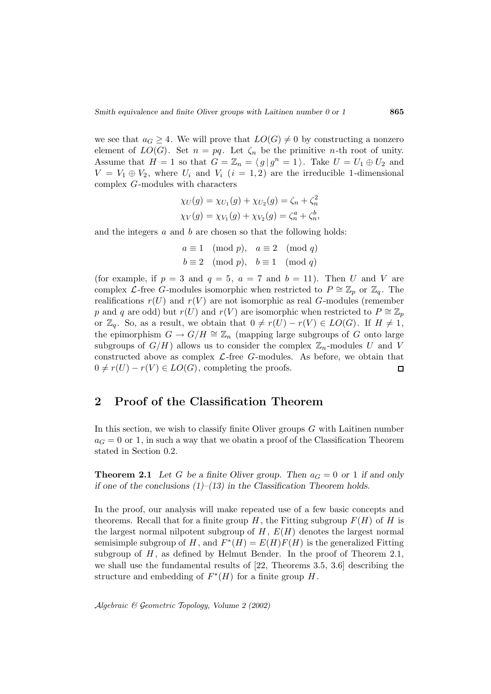we see that  $a_G \geq 4$ . We will prove that  $LO(G) \neq 0$  by constructing a nonzero element of  $LO(G)$ . Set  $n = pq$ . Let  $\zeta_n$  be the primitive *n*-th root of unity. Assume that  $H = 1$  so that  $G = \mathbb{Z}_n = \langle g | g^n = 1 \rangle$ . Take  $U = U_1 \oplus U_2$  and  $V = V_1 \oplus V_2$ , where  $U_i$  and  $V_i$   $(i = 1, 2)$  are the irreducible 1-dimensional complex G-modules with characters

$$
\chi_U(g) = \chi_{U_1}(g) + \chi_{U_2}(g) = \zeta_n + \zeta_n^2
$$
  

$$
\chi_V(g) = \chi_{V_1}(g) + \chi_{V_2}(g) = \zeta_n^a + \zeta_n^b,
$$

and the integers  $a$  and  $b$  are chosen so that the following holds:

$$
a \equiv 1 \pmod{p}, a \equiv 2 \pmod{q}
$$
  
\n $b \equiv 2 \pmod{p}, b \equiv 1 \pmod{q}$ 

(for example, if  $p = 3$  and  $q = 5$ ,  $a = 7$  and  $b = 11$ ). Then U and V are complex L-free G-modules isomorphic when restricted to  $P \cong \mathbb{Z}_p$  or  $\mathbb{Z}_q$ . The realifications  $r(U)$  and  $r(V)$  are not isomorphic as real G-modules (remember p and q are odd) but  $r(U)$  and  $r(V)$  are isomorphic when restricted to  $P \cong \mathbb{Z}_p$ or  $\mathbb{Z}_q$ . So, as a result, we obtain that  $0 \neq r(U) - r(V) \in LO(G)$ . If  $H \neq 1$ , the epimorphism  $G \to G/H \cong \mathbb{Z}_n$  (mapping large subgroups of G onto large subgroups of  $G/H$ ) allows us to consider the complex  $\mathbb{Z}_n$ -modules U and V constructed above as complex  $\mathcal{L}$ -free G-modules. As before, we obtain that  $0 \neq r(U) - r(V) \in LO(G)$ , completing the proofs.  $\Box$ 

## **2 Proof of the Classification Theorem**

In this section, we wish to classify finite Oliver groups  $G$  with Laitinen number  $a_G = 0$  or 1, in such a way that we obatin a proof of the Classification Theorem stated in Section 0.2.

**Theorem 2.1** Let G be a finite Oliver group. Then  $a_G = 0$  or 1 if and only *if one of the conclusions (1)–(13) in the Classification Theorem holds.*

In the proof, our analysis will make repeated use of a few basic concepts and theorems. Recall that for a finite group  $H$ , the Fitting subgroup  $F(H)$  of H is the largest normal nilpotent subgroup of  $H, E(H)$  denotes the largest normal semisimple subgroup of H, and  $F^*(H) = E(H)F(H)$  is the generalized Fitting subgroup of  $H$ , as defined by Helmut Bender. In the proof of Theorem 2.1, we shall use the fundamental results of [22, Theorems 3.5, 3.6] describing the structure and embedding of  $F^*(H)$  for a finite group H.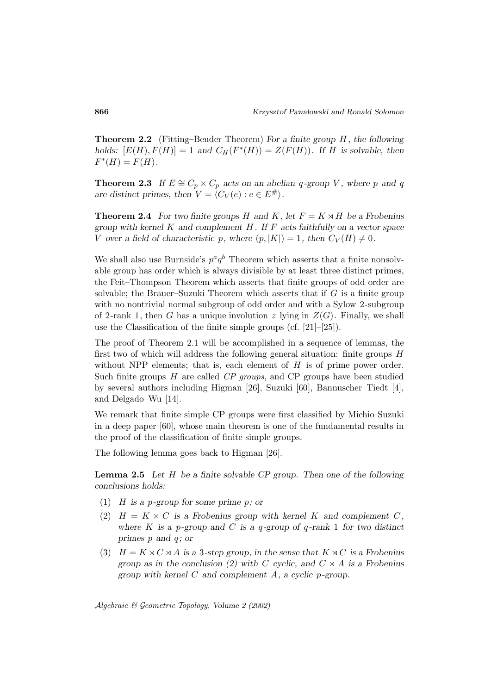**Theorem 2.2** (Fitting–Bender Theorem) For a finite group H, the following *holds:*  $[E(H), F(H)] = 1$  *and*  $C_H(F^*(H)) = Z(F(H))$ *.* If *H is solvable, then*  $F^*(H) = F(H)$ .

**Theorem 2.3** *If*  $E \cong C_p \times C_p$  *acts on an abelian* q-group *V*, where p and q *are distinct primes, then*  $V = \langle C_V(e) : e \in E^{\#} \rangle$ .

**Theorem 2.4** For two finite groups H and K, let  $F = K \rtimes H$  be a Frobenius *group with kernel* K *and complement* H *. If* F *acts faithfully on a vector space* V over a field of characteristic p, where  $(p, |K|) = 1$ , then  $C_V(H) \neq 0$ .

We shall also use Burnside's  $p^a q^b$  Theorem which asserts that a finite nonsolvable group has order which is always divisible by at least three distinct primes, the Feit–Thompson Theorem which asserts that finite groups of odd order are solvable; the Brauer–Suzuki Theorem which asserts that if  $G$  is a finite group with no nontrivial normal subgroup of odd order and with a Sylow 2-subgroup of 2-rank 1, then G has a unique involution z lying in  $Z(G)$ . Finally, we shall use the Classification of the finite simple groups (cf. [21]–[25]).

The proof of Theorem 2.1 will be accomplished in a sequence of lemmas, the first two of which will address the following general situation: finite groups  $H$ without NPP elements; that is, each element of  $H$  is of prime power order. Such finite groups H are called CP groups, and CP groups have been studied by several authors including Higman [26], Suzuki [60], Bannuscher–Tiedt [4], and Delgado–Wu [14].

We remark that finite simple CP groups were first classified by Michio Suzuki in a deep paper [60], whose main theorem is one of the fundamental results in the proof of the classification of finite simple groups.

The following lemma goes back to Higman [26].

**Lemma 2.5** *Let* H *be a finite solvable CP group. Then one of the following conclusions holds:*

- (1) H *is a* p*-group for some prime* p*; or*
- (2)  $H = K \rtimes C$  *is a Frobenius group with kernel* K *and complement* C, *where* K *is a* p*-group and* C *is a* q *-group of* q *-rank* 1 *for two distinct primes* p *and* q *; or*
- (3)  $H = K \rtimes C \rtimes A$  *is a* 3-step group, in the sense that  $K \rtimes C$  *is a Frobenius group as in the conclusion (2) with* C *cyclic, and*  $C \times A$  *is a Frobenius group with kernel* C *and complement* A*, a cyclic* p*-group.*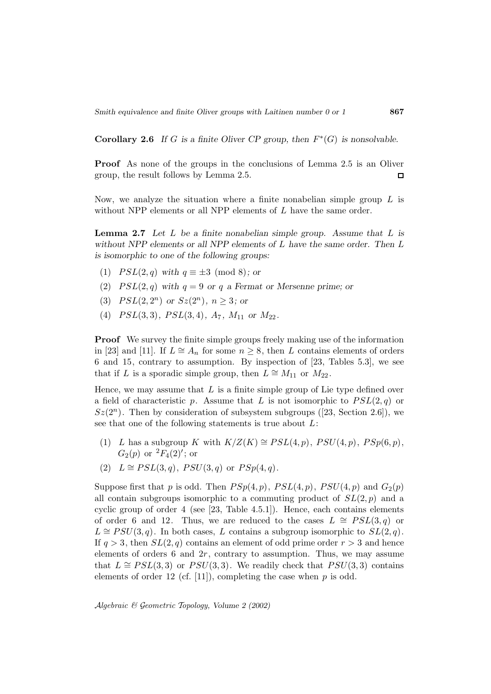**Corollary 2.6** *If* G *is a finite Oliver CP group, then*  $F^*(G)$  *is nonsolvable.* 

**Proof** As none of the groups in the conclusions of Lemma 2.5 is an Oliver group, the result follows by Lemma 2.5.  $\Box$ 

Now, we analyze the situation where a finite nonabelian simple group  $L$  is without NPP elements or all NPP elements of L have the same order.

**Lemma 2.7** *Let* L *be a finite nonabelian simple group. Assume that* L *is without NPP elements or all NPP elements of* L *have the same order. Then* L *is isomorphic to one of the following groups:*

- (1)  $PSL(2,q)$  *with*  $q \equiv \pm 3 \pmod{8}$ *; or*
- (2)  $PSL(2,q)$  *with*  $q = 9$  *or*  $q$  *a* Fermat *or* Mersenne prime; *or*
- (3)  $PSL(2, 2^n)$  *or*  $Sz(2^n)$ *, n*  $\geq$  3*; or*
- (4)  $PSL(3,3)$ *,*  $PSL(3,4)$ *, A*<sub>7</sub>*, M*<sub>11</sub> or *M*<sub>22</sub>*.*

**Proof** We survey the finite simple groups freely making use of the information in [23] and [11]. If  $L \cong A_n$  for some  $n \geq 8$ , then L contains elements of orders 6 and 15, contrary to assumption. By inspection of [23, Tables 5.3], we see that if L is a sporadic simple group, then  $L \cong M_{11}$  or  $M_{22}$ .

Hence, we may assume that  $L$  is a finite simple group of Lie type defined over a field of characteristic p. Assume that L is not isomorphic to  $PSL(2,q)$  or  $Sz(2^n)$ . Then by consideration of subsystem subgroups ([23, Section 2.6]), we see that one of the following statements is true about L:

- (1) L has a subgroup K with  $K/Z(K) \cong PSL(4,p)$ ,  $PSU(4,p)$ ,  $PSp(6,p)$ ,  $G_2(p)$  or  ${}^2F_4(2)'$ ; or
- (2)  $L \cong PSL(3,q), PSU(3,q)$  or  $PSp(4,q)$ .

Suppose first that p is odd. Then  $PSp(4, p)$ ,  $PSL(4, p)$ ,  $PSU(4, p)$  and  $G_2(p)$ all contain subgroups isomorphic to a commuting product of  $SL(2, p)$  and a cyclic group of order 4 (see [23, Table 4.5.1]). Hence, each contains elements of order 6 and 12. Thus, we are reduced to the cases  $L \cong PSL(3,q)$  or  $L \cong PSU(3, q)$ . In both cases, L contains a subgroup isomorphic to  $SL(2, q)$ . If  $q > 3$ , then  $SL(2, q)$  contains an element of odd prime order  $r > 3$  and hence elements of orders  $6$  and  $2r$ , contrary to assumption. Thus, we may assume that  $L \cong PSL(3,3)$  or  $PSU(3,3)$ . We readily check that  $PSU(3,3)$  contains elements of order 12 (cf. [11]), completing the case when  $p$  is odd.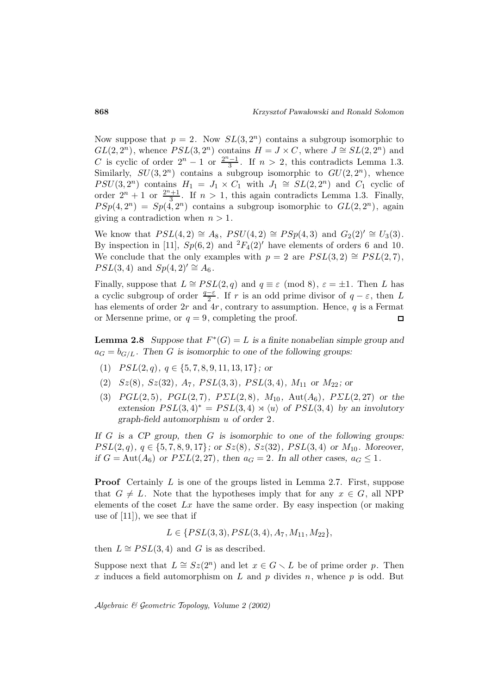Now suppose that  $p = 2$ . Now  $SL(3, 2^n)$  contains a subgroup isomorphic to  $GL(2, 2^n)$ , whence  $PSL(3, 2^n)$  contains  $H = J \times C$ , where  $J \cong SL(2, 2^n)$  and C is cyclic of order  $2^{n} - 1$  or  $\frac{2^{n}-1}{3}$ . If  $n > 2$ , this contradicts Lemma 1.3. Similarly,  $SU(3, 2^n)$  contains a subgroup isomorphic to  $GU(2, 2^n)$ , whence  $PSU(3, 2^n)$  contains  $H_1 = J_1 \times C_1$  with  $J_1 \cong SL(2, 2^n)$  and  $C_1$  cyclic of order  $2^n + 1$  or  $\frac{2^n + 1}{3}$ . If  $n > 1$ , this again contradicts Lemma 1.3. Finally,  $PSp(4, 2^n) = Sp(4, 2^n)$  contains a subgroup isomorphic to  $GL(2, 2^n)$ , again giving a contradiction when  $n > 1$ .

We know that  $PSL(4, 2) \cong A_8$ ,  $PSU(4, 2) \cong PSp(4, 3)$  and  $G_2(2)' \cong U_3(3)$ . By inspection in [11],  $Sp(6,2)$  and  ${}^{2}F_{4}(2)'$  have elements of orders 6 and 10. We conclude that the only examples with  $p = 2$  are  $PSL(3, 2) \cong PSL(2, 7)$ ,  $PSL(3, 4)$  and  $Sp(4, 2)' \cong A_6$ .

Finally, suppose that  $L \cong PSL(2,q)$  and  $q \equiv \varepsilon \pmod{8}$ ,  $\varepsilon = \pm 1$ . Then L has a cyclic subgroup of order  $\frac{q-\varepsilon}{2}$ . If r is an odd prime divisor of  $q-\varepsilon$ , then L has elements of order  $2r$  and  $4r$ , contrary to assumption. Hence,  $q$  is a Fermat or Mersenne prime, or  $q = 9$ , completing the proof.  $\Box$ 

**Lemma 2.8** *Suppose that*  $F^*(G) = L$  *is a finite nonabelian simple group and*  $a_G = b_{G/L}$ . Then G is isomorphic to one of the following groups:

- (1)  $PSL(2,q), q \in \{5, 7, 8, 9, 11, 13, 17\}$ ; or
- $(2)$   $Sz(8)$ *,*  $Sz(32)$ *<sub>,</sub>*  $A_7$ *,*  $PSL(3,3)$ *,*  $PSL(3,4)$ *,*  $M_{11}$  *or*  $M_{22}$ *; or*
- (3)  $PGL(2,5)$ *,*  $PGL(2,7)$ *,*  $PSL(2,8)$ *,*  $M_{10}$ *,*  $Aut(A_6)$ *,*  $PSL(2,27)$  *or the* extension  $PSL(3,4)^* = PSL(3,4) \rtimes \langle u \rangle$  of  $PSL(3,4)$  by an involutory *graph-field automorphism* u *of order* 2*.*

*If* G *is a CP group, then* G *is isomorphic to one of the following groups:*  $PSL(2,q), q \in \{5, 7, 8, 9, 17\};$  or  $Sz(8), Sz(32), PSL(3, 4)$  or  $M_{10}$ *.* Moreover, *if*  $G = \text{Aut}(A_6)$  *or*  $P\Sigma L(2, 27)$ *, then*  $a_G = 2$ *. In all other cases,*  $a_G \leq 1$ *.* 

**Proof** Certainly L is one of the groups listed in Lemma 2.7. First, suppose that  $G \neq L$ . Note that the hypotheses imply that for any  $x \in G$ , all NPP elements of the coset  $Lx$  have the same order. By easy inspection (or making use of [11]), we see that if

 $L \in \{PSL(3,3), PSL(3,4), A_7, M_{11}, M_{22}\},\$ 

then  $L \cong PSL(3, 4)$  and G is as described.

Suppose next that  $L \cong Sz(2^n)$  and let  $x \in G \setminus L$  be of prime order p. Then x induces a field automorphism on  $L$  and  $p$  divides  $n$ , whence  $p$  is odd. But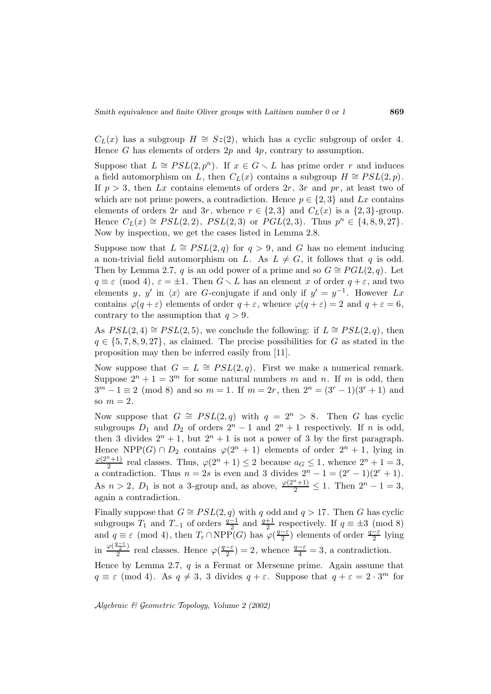$C<sub>L</sub>(x)$  has a subgroup  $H \cong Sz(2)$ , which has a cyclic subgroup of order 4. Hence G has elements of orders  $2p$  and  $4p$ , contrary to assumption.

Suppose that  $L \cong PSL(2, p^n)$ . If  $x \in G \setminus L$  has prime order r and induces a field automorphism on L, then  $C<sub>L</sub>(x)$  contains a subgroup  $H \cong PSL(2, p)$ . If  $p > 3$ , then Lx contains elements of orders  $2r$ ,  $3r$  and pr, at least two of which are not prime powers, a contradiction. Hence  $p \in \{2,3\}$  and Lx contains elements of orders 2r and 3r, whence  $r \in \{2,3\}$  and  $C<sub>L</sub>(x)$  is a  $\{2,3\}$ -group. Hence  $C_L(x) \cong PSL(2, 2)$ ,  $PSL(2, 3)$  or  $PGL(2, 3)$ . Thus  $p^n \in \{4, 8, 9, 27\}$ . Now by inspection, we get the cases listed in Lemma 2.8.

Suppose now that  $L \cong PSL(2,q)$  for  $q > 9$ , and G has no element inducing a non-trivial field automorphism on L. As  $L \neq G$ , it follows that q is odd. Then by Lemma 2.7, q is an odd power of a prime and so  $G \cong PGL(2, q)$ . Let  $q \equiv \varepsilon \pmod{4}$ ,  $\varepsilon = \pm 1$ . Then  $G \setminus L$  has an element x of order  $q + \varepsilon$ , and two elements y, y' in  $\langle x \rangle$  are G-conjugate if and only if  $y' = y^{-1}$ . However Lx contains  $\varphi(q+\varepsilon)$  elements of order  $q+\varepsilon$ , whence  $\varphi(q+\varepsilon)=2$  and  $q+\varepsilon=6$ , contrary to the assumption that  $q > 9$ .

As  $PSL(2, 4) \cong PSL(2, 5)$ , we conclude the following: if  $L \cong PSL(2, q)$ , then  $q \in \{5, 7, 8, 9, 27\}$ , as claimed. The precise possibilities for G as stated in the proposition may then be inferred easily from [11].

Now suppose that  $G = L \cong PSL(2,q)$ . First we make a numerical remark. Suppose  $2^n + 1 = 3^m$  for some natural numbers m and n. If m is odd, then  $3^m - 1 \equiv 2 \pmod{8}$  and so  $m = 1$ . If  $m = 2r$ , then  $2^n = (3^r - 1)(3^r + 1)$  and so  $m=2$ .

Now suppose that  $G \cong PSL(2,q)$  with  $q = 2^n > 8$ . Then G has cyclic subgroups  $D_1$  and  $D_2$  of orders  $2^n - 1$  and  $2^n + 1$  respectively. If n is odd, then 3 divides  $2^n + 1$ , but  $2^n + 1$  is not a power of 3 by the first paragraph. Hence NPP(G) ∩  $D_2$  contains  $\varphi(2^n + 1)$  elements of order  $2^n + 1$ , lying in  $\frac{\varphi(2^{n}+1)}{2}$  real classes. Thus,  $\varphi(2^{n}+1) \leq 2$  because  $a_G \leq 1$ , whence  $2^{n}+1=3$ , a contradiction. Thus  $n = 2s$  is even and 3 divides  $2^{n} - 1 = (2^{r} - 1)(2^{r} + 1)$ . As  $n > 2$ ,  $D_1$  is not a 3-group and, as above,  $\frac{\varphi(2^n+1)}{2} \leq 1$ . Then  $2^n - 1 = 3$ , again a contradiction.

Finally suppose that  $G \cong PSL(2,q)$  with q odd and  $q > 17$ . Then G has cyclic subgroups  $T_1$  and  $T_{-1}$  of orders  $\frac{q-1}{2}$  and  $\frac{q+1}{2}$  respectively. If  $q \equiv \pm 3 \pmod{8}$ and  $q \equiv \varepsilon \pmod{4}$ , then  $T_{\varepsilon} \cap \text{NPP}(G)$  has  $\varphi(\frac{q-\varepsilon}{2})$  elements of order  $\frac{q-\varepsilon}{2}$  lying in  $\frac{\varphi(\frac{q-\varepsilon}{2})}{2}$  real classes. Hence  $\varphi(\frac{q-\varepsilon}{2})=2$ , whence  $\frac{q-\varepsilon}{4}=3$ , a contradiction.

Hence by Lemma 2.7,  $q$  is a Fermat or Mersenne prime. Again assume that  $q \equiv \varepsilon \pmod{4}$ . As  $q \neq 3$ , 3 divides  $q + \varepsilon$ . Suppose that  $q + \varepsilon = 2 \cdot 3^m$  for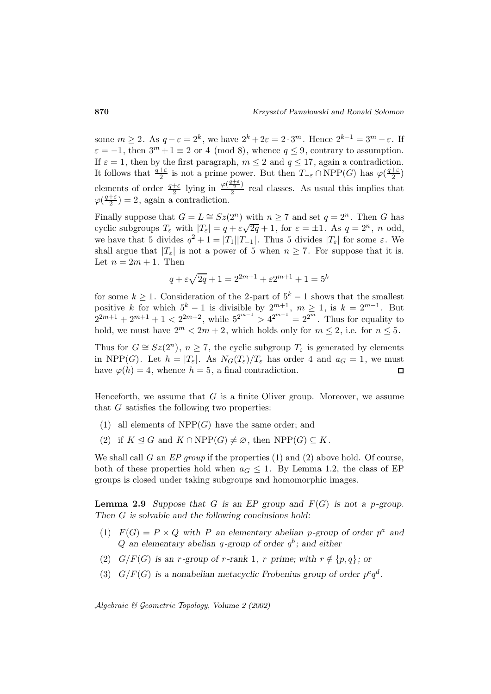some  $m \ge 2$ . As  $q - \varepsilon = 2^k$ , we have  $2^k + 2\varepsilon = 2 \cdot 3^m$ . Hence  $2^{k-1} = 3^m - \varepsilon$ . If  $\varepsilon = -1$ , then  $3^m + 1 \equiv 2$  or 4 (mod 8), whence  $q \le 9$ , contrary to assumption. If  $\varepsilon = 1$ , then by the first paragraph,  $m \le 2$  and  $q \le 17$ , again a contradiction. It follows that  $\frac{q+\varepsilon}{2}$  is not a prime power. But then  $T_{-\varepsilon} \cap \text{NPP}(G)$  has  $\varphi(\frac{q+\varepsilon}{2})$ elements of order  $\frac{q+\varepsilon}{2}$  lying in  $\frac{\varphi(\frac{q+\varepsilon}{2})}{2}$  real classes. As usual this implies that  $\varphi(\frac{q+\varepsilon}{2})=2$ , again a contradiction.

Finally suppose that  $G = L \cong Sz(2^n)$  with  $n \geq 7$  and set  $q = 2^n$ . Then G has Finally suppose that  $G = E = 52(2)$  with  $h \ge 7$  and set  $q = 2$ . Then O has eyelic subgroups  $T_{\varepsilon}$  with  $|T_{\varepsilon}| = q + \varepsilon \sqrt{2q} + 1$ , for  $\varepsilon = \pm 1$ . As  $q = 2^n$ , n odd, we have that 5 divides  $q^2 + 1 = |T_1||T_{-1}|$ . Thus 5 divides  $|T_{\varepsilon}|$  for some  $\varepsilon$ . We shall argue that  $|T_{\varepsilon}|$  is not a power of 5 when  $n \geq 7$ . For suppose that it is. Let  $n = 2m + 1$ . Then

$$
q + \varepsilon \sqrt{2q} + 1 = 2^{2m+1} + \varepsilon 2^{m+1} + 1 = 5^k
$$

for some  $k \geq 1$ . Consideration of the 2-part of  $5^k - 1$  shows that the smallest positive k for which  $5^k - 1$  is divisible by  $2^{m+1}$ ,  $m \ge 1$ , is  $k = 2^{m-1}$ . But  $2^{2m+1} + 2^{m+1} + 1 < 2^{2m+2}$ , while  $5^{2^{m-1}} > 4^{2^{m-1}} = 2^{2^m}$ . Thus for equality to hold, we must have  $2^m < 2m + 2$ , which holds only for  $m \le 2$ , i.e. for  $n \le 5$ .

Thus for  $G \cong Sz(2^n)$ ,  $n \ge 7$ , the cyclic subgroup  $T_{\varepsilon}$  is generated by elements in NPP(G). Let  $h = |T_{\varepsilon}|$ . As  $N_G(T_{\varepsilon})/T_{\varepsilon}$  has order 4 and  $a_G = 1$ , we must have  $\varphi(h) = 4$ , whence  $h = 5$ , a final contradiction.  $\Box$ 

Henceforth, we assume that  $G$  is a finite Oliver group. Moreover, we assume that G satisfies the following two properties:

- (1) all elements of  $NPP(G)$  have the same order; and
- (2) if  $K \trianglelefteq G$  and  $K \cap \text{NPP}(G) \neq \emptyset$ , then  $\text{NPP}(G) \subseteq K$ .

We shall call G an  $EP$  group if the properties (1) and (2) above hold. Of course, both of these properties hold when  $a_G \leq 1$ . By Lemma 1.2, the class of EP groups is closed under taking subgroups and homomorphic images.

**Lemma 2.9** *Suppose that* G *is an EP group and*  $F(G)$  *is not a p-group. Then* G *is solvable and the following conclusions hold:*

- (1)  $F(G) = P \times Q$  with P an elementary abelian p-group of order  $p^a$  and  $Q$  *an elementary abelian q-group of order*  $q<sup>b</sup>$ ; and either
- (2)  $G/F(G)$  *is an r-group of r-rank* 1*, r prime; with*  $r \notin \{p,q\}$ *; or*
- (3)  $G/F(G)$  is a nonabelian metacyclic Frobenius group of order  $p^c q^d$ .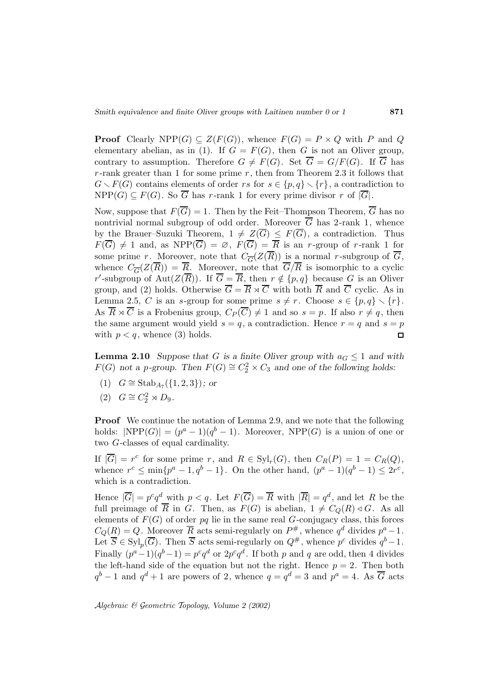**Proof** Clearly NPP(G)  $\subseteq Z(F(G))$ , whence  $F(G) = P \times Q$  with P and Q elementary abelian, as in (1). If  $G = F(G)$ , then G is not an Oliver group, contrary to assumption. Therefore  $G \neq F(G)$ . Set  $\overline{G} = G/F(G)$ . If  $\overline{G}$  has  $r$ -rank greater than 1 for some prime  $r$ , then from Theorem 2.3 it follows that  $G \setminus F(G)$  contains elements of order rs for  $s \in \{p,q\} \setminus \{r\}$ , a contradiction to  $NPP(G) \subseteq F(G)$ . So  $\overline{G}$  has r-rank 1 for every prime divisor r of  $|\overline{G}|$ .

Now, suppose that  $F(\overline{G}) = 1$ . Then by the Feit–Thompson Theorem,  $\overline{G}$  has no nontrivial normal subgroup of odd order. Moreover  $\overline{G}$  has 2-rank 1, whence by the Brauer–Suzuki Theorem,  $1 \neq Z(G) \leq F(G)$ , a contradiction. Thus  $F(G) \neq 1$  and, as  $NPP(G) = \emptyset$ ,  $F(G) = R$  is an r-group of r-rank 1 for some prime r. Moreover, note that  $C_{\overline{G}}(Z(\overline{R}))$  is a normal r-subgroup of  $\overline{G}$ , whence  $C_{\overline{G}}(Z(\overline{R})) = \overline{R}$ . Moreover, note that  $\overline{G}/\overline{R}$  is isomorphic to a cyclic r'-subgroup of Aut $(Z(R))$ . If  $G = R$ , then  $r \notin \{p,q\}$  because G is an Oliver group, and (2) holds. Otherwise  $\overline{G} = \overline{R} \rtimes \overline{C}$  with both  $\overline{R}$  and  $\overline{C}$  cyclic. As in Lemma 2.5, C is an s-group for some prime  $s \neq r$ . Choose  $s \in \{p, q\} \setminus \{r\}.$ As  $\overline{R} \rtimes \overline{C}$  is a Frobenius group,  $C_P(\overline{C}) \neq 1$  and so  $s = p$ . If also  $r \neq q$ , then the same argument would yield  $s = q$ , a contradiction. Hence  $r = q$  and  $s = p$ with  $p < q$ , whence (3) holds.  $\Box$ 

**Lemma 2.10** *Suppose that* G *is a finite Oliver group with*  $a_G \leq 1$  *and with*  $F(G)$  not a p-group. Then  $F(G) \cong C_2^2 \times C_3$  and one of the following holds:

- (1)  $G ≅$  Stab<sub>A7</sub>({1, 2, 3})*;* or
- (2)  $G \cong C_2^2 \rtimes D_9$ .

**Proof** We continue the notation of Lemma 2.9, and we note that the following holds:  $|NPP(G)| = (p^a - 1)(q^b - 1)$ . Moreover,  $NPP(G)$  is a union of one or two G-classes of equal cardinality.

If  $|\overline{G}| = r^c$  for some prime r, and  $R \in \text{Syl}_r(G)$ , then  $C_R(P) = 1 = C_R(Q)$ , whence  $r^c \n\t\leq \min\{p^a-1,q^b-1\}$ . On the other hand,  $(p^a-1)(q^b-1) \leq 2r^c$ , which is a contradiction.

Hence  $|\overline{G}| = p^c q^d$  with  $p < q$ . Let  $F(\overline{G}) = \overline{R}$  with  $|\overline{R}| = q^d$ , and let R be the full preimage of  $\overline{R}$  in G. Then, as  $F(G)$  is abelian,  $1 \neq C<sub>O</sub>(R) \triangleleft G$ . As all elements of  $F(G)$  of order pq lie in the same real G-conjugacy class, this forces  $C_Q(R) = Q$ . Moreover  $\overline{R}$  acts semi-regularly on  $P^{\#}$ , whence  $q^d$  divides  $p^a - 1$ . Let  $\overline{S} \in \text{Syl}_p(\overline{G})$ . Then  $\overline{S}$  acts semi-regularly on  $Q^{\#}$ , whence  $p^c$  divides  $q^b-1$ . Finally  $(p^a-1)(q^b-1) = p^c q^d$  or  $2p^c q^d$ . If both p and q are odd, then 4 divides the left-hand side of the equation but not the right. Hence  $p = 2$ . Then both  $q^{b}-1$  and  $q^{d}+1$  are powers of 2, whence  $q=\tilde{q}^{d}=3$  and  $p^{a}=4$ . As  $\overline{G}$  acts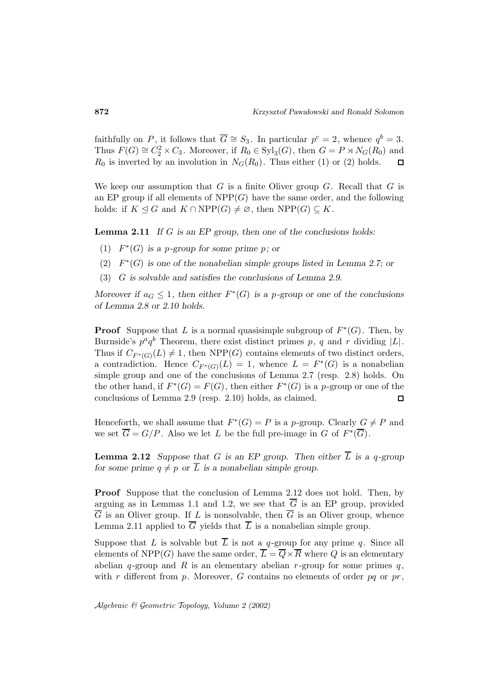faithfully on P, it follows that  $\overline{G} \cong S_3$ . In particular  $p^c = 2$ , whence  $q^b = 3$ . Thus  $F(G) \cong C_2^2 \times C_3$ . Moreover, if  $R_0 \in \text{Syl}_3(G)$ , then  $G = P \rtimes N_G(R_0)$  and  $R_0$  is inverted by an involution in  $N_G(R_0)$ . Thus either (1) or (2) holds.  $\Box$ 

We keep our assumption that  $G$  is a finite Oliver group  $G$ . Recall that  $G$  is an EP group if all elements of  $NPP(G)$  have the same order, and the following holds: if  $K \leq G$  and  $K \cap \text{NPP}(G) \neq \emptyset$ , then  $\text{NPP}(G) \subseteq K$ .

**Lemma 2.11** *If* G *is an EP group, then one of the conclusions holds:*

- (1) F∗(G) *is a* p*-group for some prime* p*; or*
- (2) F∗(G) *is one of the nonabelian simple groups listed in Lemma 2.7; or*
- (3) G *is solvable and satisfies the conclusions of Lemma 2.9.*

*Moreover if*  $a_G \leq 1$ , then either  $F^*(G)$  is a p-group or one of the conclusions *of Lemma 2.8 or 2.10 holds.*

**Proof** Suppose that L is a normal quasisimple subgroup of  $F^*(G)$ . Then, by Burnside's  $p^a q^b$  Theorem, there exist distinct primes p, q and r dividing  $|L|$ . Thus if  $C_{F^*(G)}(L) \neq 1$ , then NPP(G) contains elements of two distinct orders, a contradiction. Hence  $C_{F^*(G)}(L) = 1$ , whence  $L = F^*(G)$  is a nonabelian simple group and one of the conclusions of Lemma 2.7 (resp. 2.8) holds. On the other hand, if  $F^*(G) = F(G)$ , then either  $F^*(G)$  is a p-group or one of the conclusions of Lemma 2.9 (resp. 2.10) holds, as claimed.  $\Box$ 

Henceforth, we shall assume that  $F^*(G) = P$  is a p-group. Clearly  $G \neq P$  and we set  $\overline{G} = G/P$ . Also we let L be the full pre-image in G of  $F^*(\overline{G})$ .

**Lemma 2.12** *Suppose that* G *is an EP group. Then either*  $\overline{L}$  *is a q-group for some prime*  $q \neq p$  *or*  $\overline{L}$  *is a nonabelian simple group.* 

**Proof** Suppose that the conclusion of Lemma 2.12 does not hold. Then, by arguing as in Lemmas 1.1 and 1.2, we see that  $\overline{G}$  is an EP group, provided  $\overline{G}$  is an Oliver group. If L is nonsolvable, then  $\overline{G}$  is an Oliver group, whence Lemma 2.11 applied to  $\overline{G}$  yields that  $\overline{L}$  is a nonabelian simple group.

Suppose that L is solvable but  $\overline{L}$  is not a q-group for any prime q. Since all elements of NPP(G) have the same order,  $\overline{L} = \overline{Q} \times \overline{R}$  where Q is an elementary abelian q-group and R is an elementary abelian  $r$ -group for some primes  $q$ , with r different from p. Moreover, G contains no elements of order pq or  $pr$ ,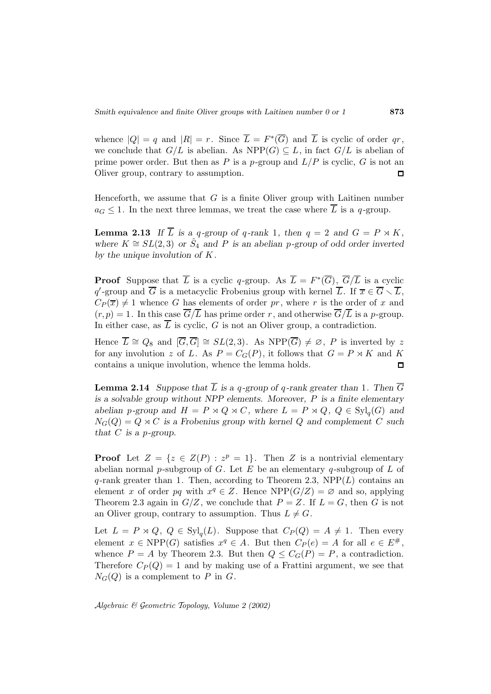whence  $|Q| = q$  and  $|R| = r$ . Since  $\overline{L} = F^*(\overline{G})$  and  $\overline{L}$  is cyclic of order qr, we conclude that  $G/L$  is abelian. As  $NPP(G) \subseteq L$ , in fact  $G/L$  is abelian of prime power order. But then as P is a p-group and  $L/P$  is cyclic, G is not an Oliver group, contrary to assumption.  $\Box$ 

Henceforth, we assume that  $G$  is a finite Oliver group with Laitinen number  $a_G \leq 1$ . In the next three lemmas, we treat the case where  $\overline{L}$  is a q-group.

**Lemma 2.13** If  $\overline{L}$  is a q-group of q-rank 1, then  $q = 2$  and  $G = P \rtimes K$ , *where*  $K \cong SL(2,3)$  *or*  $\hat{S}_4$  *and P is an abelian p*-group of odd order inverted *by the unique involution of* K*.*

**Proof** Suppose that  $\overline{L}$  is a cyclic q-group. As  $\overline{L} = F^*(\overline{G})$ ,  $\overline{G}/\overline{L}$  is a cyclic  $q'$ -group and G is a metacyclic Frobenius group with kernel L. If  $\overline{x} \in G \setminus L$ ,  $C_P(\overline{x}) \neq 1$  whence G has elements of order pr, where r is the order of x and  $(r, p) = 1$ . In this case  $\overline{G}/\overline{L}$  has prime order r, and otherwise  $\overline{G}/\overline{L}$  is a p-group. In either case, as  $\overline{L}$  is cyclic, G is not an Oliver group, a contradiction.

Hence  $\overline{L} \cong Q_8$  and  $[\overline{G}, \overline{G}] \cong SL(2,3)$ . As NPP $(\overline{G}) \neq \emptyset$ , P is inverted by z for any involution z of L. As  $P = C_G(P)$ , it follows that  $G = P \rtimes K$  and K contains a unique involution, whence the lemma holds.  $\Box$ 

**Lemma 2.14** *Suppose that*  $\overline{L}$  *is a q-group of q-rank greater than* 1*. Then*  $\overline{G}$ *is a solvable group without NPP elements. Moreover,* P *is a finite elementary abelian* p-group and  $H = P \rtimes Q \rtimes C$ , where  $L = P \rtimes Q$ ,  $Q \in \text{Syl}_q(G)$  and  $N_G(Q) = Q \rtimes C$  *is a Frobenius group with kernel* Q and complement C such *that* C *is a* p*-group.*

**Proof** Let  $Z = \{z \in Z(P) : z^p = 1\}$ . Then Z is a nontrivial elementary abelian normal p-subgroup of G. Let E be an elementary q-subgroup of L of q-rank greater than 1. Then, according to Theorem 2.3,  $NPP(L)$  contains an element x of order pq with  $x^q \in Z$ . Hence NPP( $G/Z$ ) =  $\varnothing$  and so, applying Theorem 2.3 again in  $G/Z$ , we conclude that  $P = Z$ . If  $L = G$ , then G is not an Oliver group, contrary to assumption. Thus  $L \neq G$ .

Let  $L = P \rtimes Q$ ,  $Q \in \text{Syl}_q(L)$ . Suppose that  $C_P(Q) = A \neq 1$ . Then every element  $x \in \text{NPP}(G)$  satisfies  $x^q \in A$ . But then  $C_P(e) = A$  for all  $e \in E^{\#}$ , whence  $P = A$  by Theorem 2.3. But then  $Q \leq C_G(P) = P$ , a contradiction. Therefore  $C_P(Q) = 1$  and by making use of a Frattini argument, we see that  $N_G(Q)$  is a complement to P in G.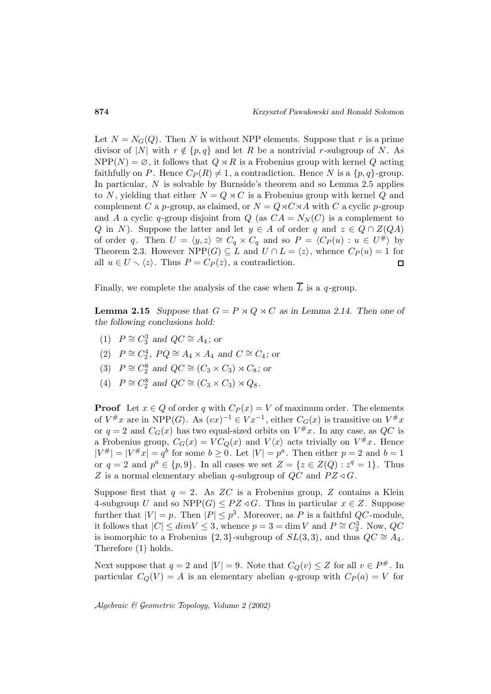Let  $N = N_G(Q)$ . Then N is without NPP elements. Suppose that r is a prime divisor of |N| with  $r \notin \{p, q\}$  and let R be a nontrivial r-subgroup of N. As  $NPP(N) = \emptyset$ , it follows that  $Q \rtimes R$  is a Frobenius group with kernel Q acting faithfully on P. Hence  $C_P(R) \neq 1$ , a contradiction. Hence N is a  $\{p,q\}$ -group. In particular, N is solvable by Burnside's theorem and so Lemma 2.5 applies to N, yielding that either  $N = Q \rtimes C$  is a Frobenius group with kernel Q and complement C a p-group, as claimed, or  $N = Q \rtimes C \rtimes A$  with C a cyclic p-group and A a cyclic q-group disjoint from  $Q$  (as  $CA = N<sub>N</sub>(C)$  is a complement to Q in N). Suppose the latter and let  $y \in A$  of order q and  $z \in Q \cap Z(QA)$ of order q. Then  $U = \langle y, z \rangle \cong C_q \times C_q$  and so  $P = \langle C_P (u) : u \in U^{\#} \rangle$  by Theorem 2.3. However NPP(G)  $\subseteq L$  and  $U \cap L = \langle z \rangle$ , whence  $C_P(u) = 1$  for all  $u \in U \setminus \langle z \rangle$ . Thus  $P = C_P(z)$ , a contradiction.  $\Box$ 

Finally, we complete the analysis of the case when  $\overline{L}$  is a q-group.

**Lemma 2.15** *Suppose that*  $G = P \rtimes Q \rtimes C$  *as in Lemma 2.14. Then one of the following conclusions hold:*

- (1)  $P \cong C_3^3$  and  $QC \cong A_4$ ; or
- (2)  $P \cong C_2^4$ ,  $PQ \cong A_4 \times A_4$  and  $C \cong C_4$ ; or
- (3)  $P \cong C_2^8$  and  $QC \cong (C_3 \times C_3) \rtimes C_8$ ; or
- (4)  $P \cong C_2^8$  and  $QC \cong (C_3 \times C_3) \rtimes Q_8$ .

**Proof** Let  $x \in Q$  of order q with  $C_P(x) = V$  of maximum order. The elements of  $V^{\#}x$  are in NPP(G). As  $(vx)^{-1} \in Vx^{-1}$ , either  $C_G(x)$  is transitive on  $V^{\#}x$ or  $q = 2$  and  $C_G(x)$  has two equal-sized orbits on  $V^{\#}x$ . In any case, as QC is a Frobenius group,  $C_G(x) = VC_Q(x)$  and  $V\langle x \rangle$  acts trivially on  $V^{\#}x$ . Hence  $|V^{\#}| = |V^{\#}x| = q^b$  for some  $b \geq 0$ . Let  $|V| = p^a$ . Then either  $p = 2$  and  $b = 1$ or  $q = 2$  and  $p^a \in \{p, 9\}$ . In all cases we set  $Z = \{z \in Z(Q) : z^q = 1\}$ . Thus Z is a normal elementary abelian q-subgroup of  $QC$  and  $PZ \triangleleft G$ .

Suppose first that  $q = 2$ . As ZC is a Frobenius group, Z contains a Klein 4-subgroup U and so NPP $(G) \leq PZ \triangleleft G$ . Thus in particular  $x \in Z$ . Suppose further that  $|V| = p$ . Then  $|P| \leq p^3$ . Moreover, as P is a faithful QC-module, it follows that  $|C| \le dim V \le 3$ , whence  $p = 3 = \dim V$  and  $P \cong C_3^3$ . Now,  $QC$ is isomorphic to a Frobenius  $\{2,3\}$ -subgroup of  $SL(3,3)$ , and thus  $QC \cong A_4$ . Therefore (1) holds.

Next suppose that  $q = 2$  and  $|V| = 9$ . Note that  $C_Q(v) \leq Z$  for all  $v \in P^{\#}$ . In particular  $C_Q(V) = A$  is an elementary abelian q-group with  $C_P(a) = V$  for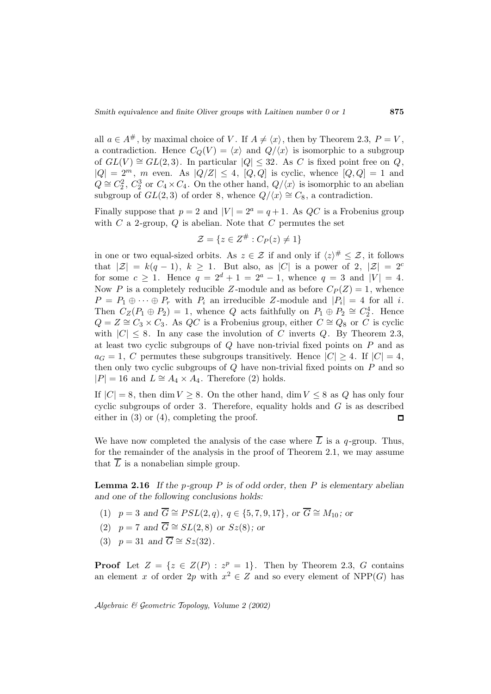all  $a \in A^{\#}$ , by maximal choice of V. If  $A \neq \langle x \rangle$ , then by Theorem 2.3,  $P = V$ , a contradiction. Hence  $C_Q(V) = \langle x \rangle$  and  $Q/\langle x \rangle$  is isomorphic to a subgroup of  $GL(V) \cong GL(2,3)$ . In particular  $|Q| \leq 32$ . As C is fixed point free on Q,  $|Q| = 2^m$ , m even. As  $|Q/Z| \leq 4$ ,  $[Q,Q]$  is cyclic, whence  $[Q,Q] = 1$  and  $Q \cong C_2^2$ ,  $C_2^3$  or  $C_4 \times C_4$ . On the other hand,  $Q/\langle x \rangle$  is isomorphic to an abelian subgroup of  $GL(2,3)$  of order 8, whence  $Q/\langle x \rangle \cong C_8$ , a contradiction.

Finally suppose that  $p = 2$  and  $|V| = 2^a = q + 1$ . As QC is a Frobenius group with  $C$  a 2-group,  $Q$  is abelian. Note that  $C$  permutes the set

$$
\mathcal{Z} = \{ z \in Z^{\# }: C_P(z) \neq 1 \}
$$

in one or two equal-sized orbits. As  $z \in \mathcal{Z}$  if and only if  $\langle z \rangle^{\#} \leq \mathcal{Z}$ , it follows that  $|\mathcal{Z}| = k(q-1)$ ,  $k \geq 1$ . But also, as |C| is a power of 2,  $|\mathcal{Z}| = 2^c$ for some  $c \ge 1$ . Hence  $q = 2^d + 1 = 2^a - 1$ , whence  $q = 3$  and  $|V| = 4$ . Now P is a completely reducible Z-module and as before  $C_P(Z) = 1$ , whence  $P = P_1 \oplus \cdots \oplus P_r$  with  $P_i$  an irreducible Z-module and  $|P_i| = 4$  for all i. Then  $C_Z(P_1 \oplus P_2) = 1$ , whence Q acts faithfully on  $P_1 \oplus P_2 \cong C_2^4$ . Hence  $Q = Z \cong C_3 \times C_3$ . As QC is a Frobenius group, either  $C \cong Q_8$  or C is cyclic with  $|C| \leq 8$ . In any case the involution of C inverts Q. By Theorem 2.3, at least two cyclic subgroups of  $Q$  have non-trivial fixed points on  $P$  and as  $a_G = 1, C$  permutes these subgroups transitively. Hence  $|C| \geq 4$ . If  $|C| = 4$ , then only two cyclic subgroups of  $Q$  have non-trivial fixed points on  $P$  and so  $|P| = 16$  and  $L \cong A_4 \times A_4$ . Therefore (2) holds.

If  $|C| = 8$ , then dim  $V \ge 8$ . On the other hand, dim  $V \le 8$  as Q has only four cyclic subgroups of order 3. Therefore, equality holds and  $G$  is as described either in (3) or (4), completing the proof. П

We have now completed the analysis of the case where  $\overline{L}$  is a q-group. Thus, for the remainder of the analysis in the proof of Theorem 2.1, we may assume that  $\overline{L}$  is a nonabelian simple group.

**Lemma 2.16** *If the* p*-group* P *is of odd order, then* P *is elementary abelian and one of the following conclusions holds:*

- (1)  $p = 3$  *and*  $\overline{G} \cong PSL(2, q)$ *,*  $q \in \{5, 7, 9, 17\}$ *, or*  $\overline{G} \cong M_{10}$ *; or*
- (2)  $p = 7$  *and*  $\overline{G} \cong SL(2,8)$  *or*  $Sz(8)$ *; or*
- (3)  $p = 31$  *and*  $\overline{G} \cong Sz(32)$ *.*

**Proof** Let  $Z = \{z \in Z(P) : z^p = 1\}$ . Then by Theorem 2.3, G contains an element x of order 2p with  $x^2 \in Z$  and so every element of NPP(G) has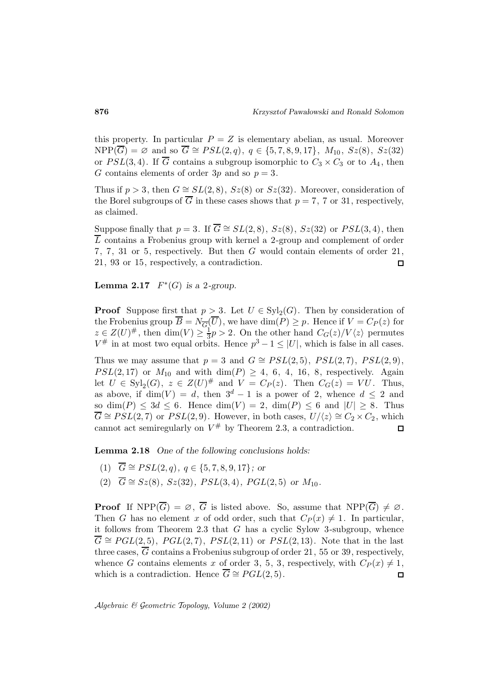this property. In particular  $P = Z$  is elementary abelian, as usual. Moreover  $NPP(\overline{G}) = \emptyset$  and so  $\overline{G} \cong PSL(2,q)$ ,  $q \in \{5,7,8,9,17\}$ ,  $M_{10}$ ,  $Sz(8)$ ,  $Sz(32)$ or  $PSL(3, 4)$ . If  $\overline{G}$  contains a subgroup isomorphic to  $C_3 \times C_3$  or to  $A_4$ , then G contains elements of order 3p and so  $p = 3$ .

Thus if  $p > 3$ , then  $G \cong SL(2,8)$ ,  $Sz(8)$  or  $Sz(32)$ . Moreover, consideration of the Borel subgroups of  $\overline{G}$  in these cases shows that  $p = 7, 7$  or 31, respectively, as claimed.

Suppose finally that  $p = 3$ . If  $\overline{G} \cong SL(2,8)$ ,  $Sz(8)$ ,  $Sz(32)$  or  $PSL(3,4)$ , then  $\overline{L}$  contains a Frobenius group with kernel a 2-group and complement of order 7, 7, 31 or 5, respectively. But then G would contain elements of order 21, 21, 93 or 15, respectively, a contradiction.  $\Box$ 

**Lemma 2.17**  $F^*(G)$  *is a* 2*-group.* 

**Proof** Suppose first that  $p > 3$ . Let  $U \in \mathrm{Syl}_2(G)$ . Then by consideration of the Frobenius group  $\overline{B} = N_{\overline{G}}(\overline{U})$ , we have  $\dim(P) \geq p$ . Hence if  $V = C_P(z)$  for  $z \in Z(U)^{\#}$ , then  $\dim(V) \geq \frac{1}{3}p > 2$ . On the other hand  $C_G(z)/V\langle z \rangle$  permutes  $V^{\#}$  in at most two equal orbits. Hence  $p^3 - 1 \leq |U|$ , which is false in all cases.

Thus we may assume that  $p = 3$  and  $G \cong PSL(2, 5)$ ,  $PSL(2, 7)$ ,  $PSL(2, 9)$ ,  $PSL(2, 17)$  or  $M_{10}$  and with dim(P)  $\geq 4, 6, 4, 16, 8$ , respectively. Again let  $U \in \text{Syl}_2(G)$ ,  $z \in Z(U)^{\#}$  and  $V = C_P(z)$ . Then  $C_G(z) = VU$ . Thus, as above, if  $\dim(V) = d$ , then  $3^d - 1$  is a power of 2, whence  $d \leq 2$  and so dim(P)  $\leq 3d \leq 6$ . Hence dim(V) = 2, dim(P)  $\leq 6$  and  $|U| \geq 8$ . Thus  $\overline{G} \cong PSL(2, 7)$  or  $PSL(2, 9)$ . However, in both cases,  $U/\langle z \rangle \cong C_2 \times C_2$ , which cannot act semiregularly on  $V^{\#}$  by Theorem 2.3, a contradiction.  $\Box$ 

**Lemma 2.18** *One of the following conclusions holds:*

- (1)  $\overline{G} \cong PSL(2,q), q \in \{5, 7, 8, 9, 17\}$ *; or*
- (2)  $\overline{G} \cong Sz(8), Sz(32), PSL(3,4), PGL(2,5)$  *or*  $M_{10}$ *.*

**Proof** If  $NPP(\overline{G}) = \emptyset$ ,  $\overline{G}$  is listed above. So, assume that  $NPP(\overline{G}) \neq \emptyset$ . Then G has no element x of odd order, such that  $C_P(x) \neq 1$ . In particular, it follows from Theorem 2.3 that  $G$  has a cyclic Sylow 3-subgroup, whence  $\overline{G} \cong PGL(2,5)$ ,  $PGL(2,7)$ ,  $PSL(2,11)$  or  $PSL(2,13)$ . Note that in the last three cases,  $\overline{G}$  contains a Frobenius subgroup of order 21, 55 or 39, respectively, whence G contains elements x of order 3, 5, 3, respectively, with  $C_P(x) \neq 1$ , which is a contradiction. Hence  $\overline{G} \cong PGL(2,5)$ .  $\Box$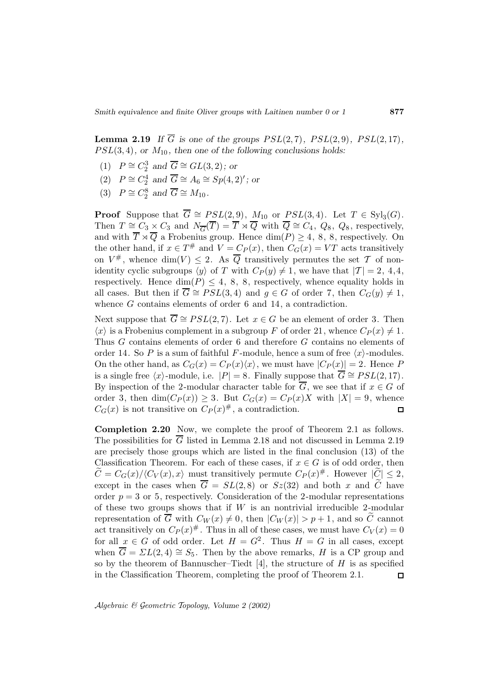**Lemma 2.19** *If*  $\overline{G}$  *is one of the groups PSL(2,7), PSL(2,9), PSL(2,17),*  $PSL(3, 4)$ , or  $M_{10}$ , then one of the following conclusions holds:

- (1)  $P \cong C_2^3$  and  $\overline{G} \cong GL(3,2)$ ; or
- (2)  $P \cong C_2^4$  and  $\overline{G} \cong A_6 \cong Sp(4, 2)';$  or
- (3)  $P \cong C_2^8$  and  $\overline{G} \cong M_{10}$ .

**Proof** Suppose that  $\overline{G} \cong PSL(2, 9)$ ,  $M_{10}$  or  $PSL(3, 4)$ . Let  $T \in Syl_3(G)$ . Then  $T \cong C_3 \times C_3$  and  $N_{\overline{G}}(\overline{T}) = \overline{T} \rtimes \overline{Q}$  with  $\overline{Q} \cong C_4$ ,  $Q_8$ ,  $Q_8$ , respectively, and with  $\overline{T} \rtimes \overline{Q}$  a Frobenius group. Hence  $\dim(P) \geq 4$ , 8, 8, respectively. On the other hand, if  $x \in T^{\#}$  and  $V = C_P(x)$ , then  $C_G(x) = VT$  acts transitively on  $V^{\#}$ , whence dim(V)  $\leq$  2. As  $\overline{Q}$  transitively permutes the set  $\mathcal T$  of nonidentity cyclic subgroups  $\langle y \rangle$  of T with  $C_P(y) \neq 1$ , we have that  $|T| = 2, 4,4,$ respectively. Hence  $\dim(P) \leq 4$ , 8, 8, respectively, whence equality holds in all cases. But then if  $\overline{G} \cong PSL(3, 4)$  and  $g \in G$  of order 7, then  $C_G(y) \neq 1$ , whence G contains elements of order 6 and 14, a contradiction.

Next suppose that  $\overline{G} \cong PSL(2, 7)$ . Let  $x \in G$  be an element of order 3. Then  $\langle x \rangle$  is a Frobenius complement in a subgroup F of order 21, whence  $C_P (x) \neq 1$ . Thus G contains elements of order 6 and therefore G contains no elements of order 14. So P is a sum of faithful F-module, hence a sum of free  $\langle x \rangle$ -modules. On the other hand, as  $C_G(x) = C_P(x)\langle x \rangle$ , we must have  $|C_P(x)| = 2$ . Hence P is a single free  $\langle x \rangle$ -module, i.e.  $|P| = 8$ . Finally suppose that  $\overline{G} \cong PSL(2, 17)$ . By inspection of the 2-modular character table for  $\overline{G}$ , we see that if  $x \in G$  of order 3, then  $\dim(C_P(x)) \geq 3$ . But  $C_G(x) = C_P(x)X$  with  $|X| = 9$ , whence  $C_G(x)$  is not transitive on  $C_P(x)^{\#}$ , a contradiction.  $\Box$ 

**Completion 2.20** Now, we complete the proof of Theorem 2.1 as follows. The possibilities for G listed in Lemma 2.18 and not discussed in Lemma 2.19 are precisely those groups which are listed in the final conclusion (13) of the Classification Theorem. For each of these cases, if  $x \in G$  is of odd order, then  $\widetilde{C}=C_G(x)/\langle C_V(x), x \rangle$  must transitively permute  $C_P(x)^\#$ . However  $|\widetilde{C}| \leq 2$ , except in the cases when  $\overline{G} = SL(2,8)$  or  $Sz(32)$  and both x and C have order  $p = 3$  or 5, respectively. Consideration of the 2-modular representations of these two groups shows that if  $W$  is an nontrivial irreducible 2-modular representation of  $\overline{G}$  with  $C_W(x) \neq 0$ , then  $|C_W(x)| > p+1$ , and so  $\overline{C}$  cannot act transitively on  $C_P(x)^\#$ . Thus in all of these cases, we must have  $C_V(x)=0$ for all  $x \in G$  of odd order. Let  $H = G^2$ . Thus  $H = G$  in all cases, except when  $\overline{G} = \Sigma L(2, 4) \cong S_5$ . Then by the above remarks, H is a CP group and so by the theorem of Bannuscher–Tiedt [4], the structure of  $H$  is as specified in the Classification Theorem, completing the proof of Theorem 2.1.  $\Box$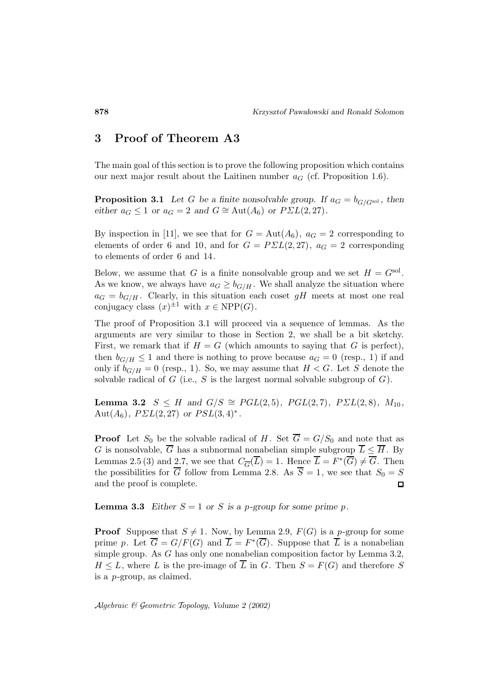# **3 Proof of Theorem A3**

The main goal of this section is to prove the following proposition which contains our next major result about the Laitinen number  $a_G$  (cf. Proposition 1.6).

**Proposition 3.1** *Let* G *be a finite nonsolvable group. If*  $a_G = b_{G/G^{\text{sol}}}$ *, then either*  $a_G \leq 1$  *or*  $a_G = 2$  *and*  $G \cong \text{Aut}(A_6)$  *or*  $P\Sigma L(2, 27)$ *.* 

By inspection in [11], we see that for  $G = Aut(A_6)$ ,  $a_G = 2$  corresponding to elements of order 6 and 10, and for  $G = P\Sigma L(2,27)$ ,  $a_G = 2$  corresponding to elements of order 6 and 14.

Below, we assume that G is a finite nonsolvable group and we set  $H = G<sup>sol</sup>$ . As we know, we always have  $a_G \geq b_{G/H}$ . We shall analyze the situation where  $a_G = b_{G/H}$ . Clearly, in this situation each coset gH meets at most one real conjugacy class  $(x)^{\pm 1}$  with  $x \in \text{NPP}(G)$ .

The proof of Proposition 3.1 will proceed via a sequence of lemmas. As the arguments are very similar to those in Section 2, we shall be a bit sketchy. First, we remark that if  $H = G$  (which amounts to saying that G is perfect), then  $b_{G/H} \leq 1$  and there is nothing to prove because  $a_G = 0$  (resp., 1) if and only if  $b_{G/H} = 0$  (resp., 1). So, we may assume that  $H < G$ . Let S denote the solvable radical of  $G$  (i.e.,  $S$  is the largest normal solvable subgroup of  $G$ ).

**Lemma 3.2**  $S \leq H$  and  $G/S \cong PGL(2,5)$ *,*  $PGL(2,7)$ *,*  $PSL(2,8)$ *,*  $M_{10}$ *,* Aut $(A_6)$ *, P* $\Sigma L(2, 27)$  *or PSL* $(3, 4)$ <sup>\*</sup>.

**Proof** Let  $S_0$  be the solvable radical of H. Set  $\overline{G} = G/S_0$  and note that as G is nonsolvable,  $\overline{G}$  has a subnormal nonabelian simple subgroup  $\overline{L} \leq \overline{H}$ . By Lemmas 2.5 (3) and 2.7, we see that  $C_{\overline{G}}(\overline{L}) = 1$ . Hence  $\overline{L} = F^*(\overline{G}) \neq \overline{G}$ . Then the possibilities for  $\overline{G}$  follow from Lemma 2.8. As  $\overline{S} = 1$ , we see that  $S_0 = S$ and the proof is complete.  $\Box$ 

**Lemma 3.3** *Either*  $S = 1$  *or S is a p-group for some prime p.* 

**Proof** Suppose that  $S \neq 1$ . Now, by Lemma 2.9,  $F(G)$  is a p-group for some prime p. Let  $\overline{G} = G/F(G)$  and  $\overline{L} = F^*(\overline{G})$ . Suppose that  $\overline{L}$  is a nonabelian simple group. As G has only one nonabelian composition factor by Lemma 3.2,  $H \leq L$ , where L is the pre-image of  $\overline{L}$  in G. Then  $S = F(G)$  and therefore S is a p-group, as claimed.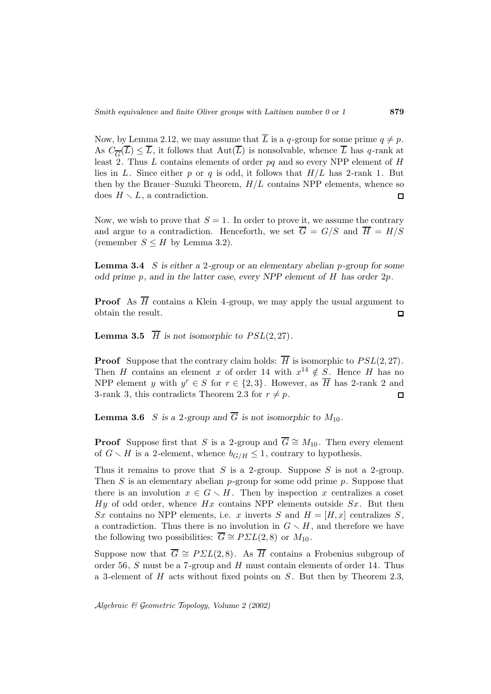Now, by Lemma 2.12, we may assume that  $\overline{L}$  is a q-group for some prime  $q \neq p$ . As  $C_{\overline{G}}(\overline{L}) \leq \overline{L}$ , it follows that  $Aut(\overline{L})$  is nonsolvable, whence  $\overline{L}$  has q-rank at least 2. Thus  $L$  contains elements of order  $pq$  and so every NPP element of  $H$ lies in L. Since either p or q is odd, it follows that  $H/L$  has 2-rank 1. But then by the Brauer–Suzuki Theorem,  $H/L$  contains NPP elements, whence so does  $H \setminus L$ , a contradiction.  $\Box$ 

Now, we wish to prove that  $S = 1$ . In order to prove it, we assume the contrary and argue to a contradiction. Henceforth, we set  $\overline{G} = G/S$  and  $\overline{H} = H/S$ (remember  $S \leq H$  by Lemma 3.2).

**Lemma 3.4** S *is either a* 2*-group or an elementary abelian* p*-group for some odd prime* p*, and in the latter case, every NPP element of* H *has order* 2p*.*

**Proof** As  $\overline{H}$  contains a Klein 4-group, we may apply the usual argument to obtain the result.  $\Box$ 

**Lemma 3.5**  $\overline{H}$  *is not isomorphic to PSL(2, 27)*.

**Proof** Suppose that the contrary claim holds:  $\overline{H}$  is isomorphic to  $PSL(2, 27)$ . Then H contains an element x of order 14 with  $x^{14} \notin S$ . Hence H has no NPP element y with  $y^r \in S$  for  $r \in \{2,3\}$ . However, as  $\overline{H}$  has 2-rank 2 and 3-rank 3, this contradicts Theorem 2.3 for  $r \neq p$ .  $\Box$ 

**Lemma 3.6** S is a 2-group and  $\overline{G}$  is not isomorphic to  $M_{10}$ .

**Proof** Suppose first that S is a 2-group and  $\overline{G} \cong M_{10}$ . Then every element of  $G \setminus H$  is a 2-element, whence  $b_{G/H} \leq 1$ , contrary to hypothesis.

Thus it remains to prove that  $S$  is a 2-group. Suppose  $S$  is not a 2-group. Then  $S$  is an elementary abelian  $p$ -group for some odd prime  $p$ . Suppose that there is an involution  $x \in G \setminus H$ . Then by inspection x centralizes a coset Hy of odd order, whence  $Hx$  contains NPP elements outside  $Sx$ . But then Sx contains no NPP elements, i.e. x inverts S and  $H = [H, x]$  centralizes S, a contradiction. Thus there is no involution in  $G \setminus H$ , and therefore we have the following two possibilities:  $\overline{G} \cong P\Sigma L(2,8)$  or  $M_{10}$ .

Suppose now that  $\overline{G} \cong P\Sigma L(2,8)$ . As  $\overline{H}$  contains a Frobenius subgroup of order 56, S must be a 7-group and H must contain elements of order 14. Thus a 3-element of  $H$  acts without fixed points on  $S$ . But then by Theorem 2.3,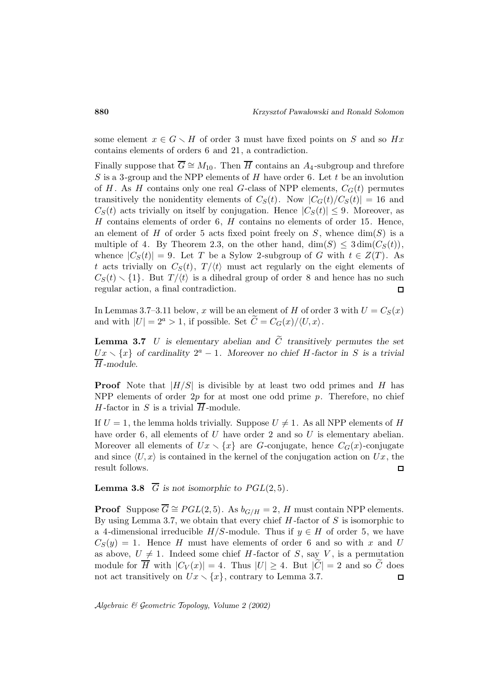some element  $x \in G \setminus H$  of order 3 must have fixed points on S and so  $Hx$ contains elements of orders 6 and 21, a contradiction.

Finally suppose that  $\overline{G} \cong M_{10}$ . Then  $\overline{H}$  contains an A<sub>4</sub>-subgroup and threfore S is a 3-group and the NPP elements of  $H$  have order 6. Let  $t$  be an involution of H. As H contains only one real G-class of NPP elements,  $C_G(t)$  permutes transitively the nonidentity elements of  $C_S(t)$ . Now  $|C_G(t)/C_S(t)| = 16$  and  $C_S(t)$  acts trivially on itself by conjugation. Hence  $|C_S(t)| \leq 9$ . Moreover, as  $H$  contains elements of order 6,  $H$  contains no elements of order 15. Hence, an element of H of order 5 acts fixed point freely on S, whence  $\dim(S)$  is a multiple of 4. By Theorem 2.3, on the other hand,  $\dim(S) \leq 3 \dim(C_S(t)),$ whence  $|C_S(t)| = 9$ . Let T be a Sylow 2-subgroup of G with  $t \in Z(T)$ . As t acts trivially on  $C_S(t)$ ,  $T/\langle t \rangle$  must act regularly on the eight elements of  $C_S(t) \setminus \{1\}$ . But  $T / \langle t \rangle$  is a dihedral group of order 8 and hence has no such regular action, a final contradiction.  $\Box$ 

In Lemmas 3.7–3.11 below, x will be an element of H of order 3 with  $U = C_S(x)$ and with  $|U| = 2^a > 1$ , if possible. Set  $\widetilde{C} = C_G(x)/\langle U, x \rangle$ .

**Lemma 3.7** U is elementary abelian and  $\widetilde{C}$  transitively permutes the set  $Ux \setminus \{x\}$  of cardinality  $2^a - 1$ . Moreover no chief H *-factor* in S is a trivial H *-module.*

**Proof** Note that  $|H/S|$  is divisible by at least two odd primes and H has NPP elements of order  $2p$  for at most one odd prime  $p$ . Therefore, no chief H-factor in S is a trivial  $\overline{H}$ -module.

If  $U = 1$ , the lemma holds trivially. Suppose  $U \neq 1$ . As all NPP elements of H have order 6, all elements of  $U$  have order 2 and so  $U$  is elementary abelian. Moreover all elements of  $Ux \setminus \{x\}$  are G-conjugate, hence  $C_G(x)$ -conjugate and since  $\langle U, x \rangle$  is contained in the kernel of the conjugation action on  $Ux$ , the result follows. 口

**Lemma 3.8**  $\overline{G}$  *is not isomorphic to*  $PGL(2,5)$ *.* 

**Proof** Suppose  $\overline{G} \cong PGL(2, 5)$ . As  $b_{G/H} = 2$ , H must contain NPP elements. By using Lemma 3.7, we obtain that every chief  $H$ -factor of  $S$  is isomorphic to a 4-dimensional irreducible  $H/S$ -module. Thus if  $y \in H$  of order 5, we have  $C_S(y) = 1$ . Hence H must have elements of order 6 and so with x and U as above,  $U \neq 1$ . Indeed some chief H-factor of S, say V, is a permutation module for  $\overline{H}$  with  $|C_V(x)| = 4$ . Thus  $|U| \ge 4$ . But  $|\overline{C}| = 2$  and so  $\overline{C}$  does not act transitively on  $Ux \setminus \{x\}$ , contrary to Lemma 3.7. not act transitively on  $Ux \setminus \{x\}$ , contrary to Lemma 3.7.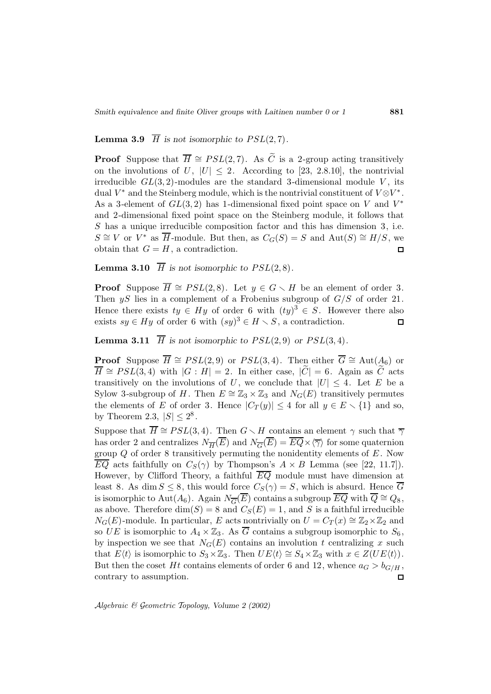#### **Lemma 3.9**  $\overline{H}$  *is not isomorphic to PSL*(2,7)*.*

**Proof** Suppose that  $\overline{H} \cong PSL(2, 7)$ . As  $\widetilde{C}$  is a 2-group acting transitively on the involutions of  $U$ ,  $|U| \leq 2$ . According to [23, 2.8.10], the nontrivial irreducible  $GL(3, 2)$ -modules are the standard 3-dimensional module V, its dual  $V^*$  and the Steinberg module, which is the nontrivial constituent of  $V \otimes V^*$ . As a 3-element of  $GL(3,2)$  has 1-dimensional fixed point space on V and  $V^*$ and 2-dimensional fixed point space on the Steinberg module, it follows that S has a unique irreducible composition factor and this has dimension 3, i.e.  $S \cong V$  or  $V^*$  as  $\overline{H}$ -module. But then, as  $C_G(S) = S$  and  $Aut(S) \cong H/S$ , we obtain that  $G = H$ , a contradiction.  $\Box$ 

**Lemma 3.10**  $\overline{H}$  *is not isomorphic to PSL(2,8).* 

**Proof** Suppose  $\overline{H} \cong PSL(2, 8)$ . Let  $y \in G \setminus H$  be an element of order 3. Then  $yS$  lies in a complement of a Frobenius subgroup of  $G/S$  of order 21. Hence there exists  $ty \in Hy$  of order 6 with  $(ty)^3 \in S$ . However there also exists  $sy \in Hy$  of order 6 with  $(sy)^3 \in H \setminus S$ , a contradiction.  $\Box$ 

**Lemma 3.11**  $\overline{H}$  *is not isomorphic to*  $PSL(2,9)$  *or*  $PSL(3,4)$ *.* 

**Proof** Suppose  $\overline{H} \cong PSL(2, 9)$  or  $PSL(3, 4)$ . Then either  $\overline{G} \cong \text{Aut}(A_6)$  or  $\overline{H} \cong PSL(3,4)$  with  $|G : H| = 2$ . In either case,  $|\overline{C}| = 6$ . Again as  $\overline{C}$  acts transitively on the involutions of U, we conclude that  $|U| \leq 4$ . Let E be a Sylow 3-subgroup of H. Then  $E \cong \mathbb{Z}_3 \times \mathbb{Z}_3$  and  $N_G(E)$  transitively permutes the elements of E of order 3. Hence  $|C_T(y)| \leq 4$  for all  $y \in E \setminus \{1\}$  and so, by Theorem 2.3,  $|S| \leq 2^8$ .

Suppose that  $\overline{H} \cong PSL(3, 4)$ . Then  $G \setminus H$  contains an element  $\gamma$  such that  $\overline{\gamma}$ has order 2 and centralizes  $N_{\overline{H}}(\overline{E})$  and  $N_{\overline{G}}(\overline{E}) = \overline{EQ} \times \langle \overline{\gamma} \rangle$  for some quaternion group  $Q$  of order 8 transitively permuting the nonidentity elements of  $E$ . Now  $\overline{EQ}$  acts faithfully on  $C_S(\gamma)$  by Thompson's  $A \times B$  Lemma (see [22, 11.7]). However, by Clifford Theory, a faithful  $\overline{EQ}$  module must have dimension at least 8. As dim  $S \leq 8$ , this would force  $C_S(\gamma) = S$ , which is absurd. Hence  $\overline{G}$ is isomorphic to Aut( $A_6$ ). Again  $N_{\overline{G}}(\overline{E})$  contains a subgroup  $\overline{EQ}$  with  $\overline{Q} \cong Q_8$ , as above. Therefore  $\dim(S) = 8$  and  $C_S(E) = 1$ , and S is a faithful irreducible  $N_G(E)$ -module. In particular, E acts nontrivially on  $U = C_T(x) \cong \mathbb{Z}_2 \times \mathbb{Z}_2$  and so UE is isomorphic to  $A_4 \times \mathbb{Z}_3$ . As  $\overline{G}$  contains a subgroup isomorphic to  $S_6$ , by inspection we see that  $N_G(E)$  contains an involution t centralizing x such that  $E(t)$  is isomorphic to  $S_3 \times \mathbb{Z}_3$ . Then  $UE\langle t \rangle \cong S_4 \times \mathbb{Z}_3$  with  $x \in Z(UE\langle t \rangle)$ . But then the coset Ht contains elements of order 6 and 12, whence  $a_G > b_{G/H}$ , contrary to assumption.  $\Box$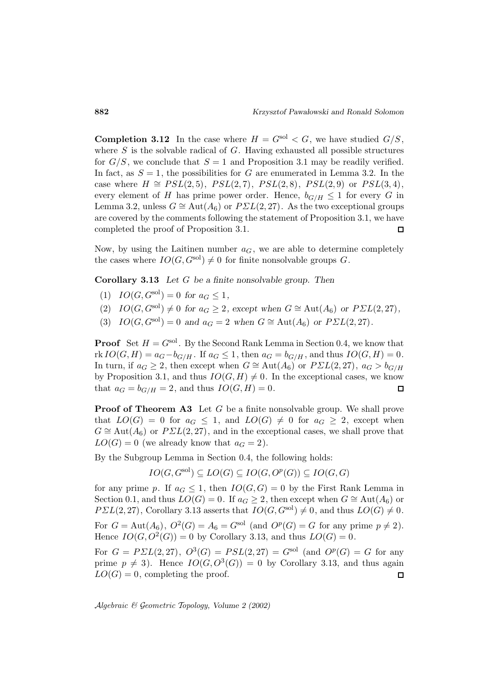**Completion 3.12** In the case where  $H = G<sup>sol</sup> < G$ , we have studied  $G/S$ , where  $S$  is the solvable radical of  $G$ . Having exhausted all possible structures for  $G/S$ , we conclude that  $S = 1$  and Proposition 3.1 may be readily verified. In fact, as  $S = 1$ , the possibilities for G are enumerated in Lemma 3.2. In the case where  $H \cong PSL(2, 5)$ ,  $PSL(2, 7)$ ,  $PSL(2, 8)$ ,  $PSL(2, 9)$  or  $PSL(3, 4)$ , every element of H has prime power order. Hence,  $b_{G/H} \leq 1$  for every G in Lemma 3.2, unless  $G \cong \text{Aut}(A_6)$  or  $P\Sigma L(2, 27)$ . As the two exceptional groups are covered by the comments following the statement of Proposition 3.1, we have completed the proof of Proposition 3.1.  $\Box$ 

Now, by using the Laitinen number  $a_G$ , we are able to determine completely the cases where  $IO(G, G^{\text{sol}}) \neq 0$  for finite nonsolvable groups G.

**Corollary 3.13** *Let* G *be a finite nonsolvable group. Then*

- (1)  $IO(G, G^{\text{sol}})=0$  for  $a_G \leq 1$ ,
- (2)  $IO(G, G^{\text{sol}}) \neq 0$  for  $a_G \geq 2$ , except when  $G \cong \text{Aut}(A_6)$  or  $P\Sigma L(2, 27)$ ,
- (3)  $IO(G, G^{\text{sol}})=0$  and  $a_G = 2$  when  $G \cong \text{Aut}(A_6)$  or  $P\Sigma L(2, 27)$ *.*

**Proof** Set  $H = G<sup>sol</sup>$ . By the Second Rank Lemma in Section 0.4, we know that rk  $IO(G, H) = a_G - b_{G/H}$ . If  $a_G \leq 1$ , then  $a_G = b_{G/H}$ , and thus  $IO(G, H) = 0$ . In turn, if  $a_G \geq 2$ , then except when  $G \cong \text{Aut}(A_6)$  or  $P\Sigma L(2,27)$ ,  $a_G > b_{G/H}$ by Proposition 3.1, and thus  $IO(G, H) \neq 0$ . In the exceptional cases, we know that  $a_G = b_{G/H} = 2$ , and thus  $IO(G, H) = 0$ .  $\Box$ 

**Proof of Theorem A3** Let G be a finite nonsolvable group. We shall prove that  $LO(G) = 0$  for  $a_G \leq 1$ , and  $LO(G) \neq 0$  for  $a_G \geq 2$ , except when  $G \cong \text{Aut}(A_6)$  or  $P\Sigma L(2,27)$ , and in the exceptional cases, we shall prove that  $LO(G) = 0$  (we already know that  $a_G = 2$ ).

By the Subgroup Lemma in Section 0.4, the following holds:

$$
IO(G, G^{\text{sol}}) \subseteq LO(G) \subseteq IO(G, O^p(G)) \subseteq IO(G, G)
$$

for any prime p. If  $a_G \leq 1$ , then  $IO(G, G) = 0$  by the First Rank Lemma in Section 0.1, and thus  $LO(G) = 0$ . If  $a_G \geq 2$ , then except when  $G \cong Aut(A_6)$  or  $PSL(2,27)$ , Corollary 3.13 asserts that  $IO(G, G^{\text{sol}}) \neq 0$ , and thus  $LO(G) \neq 0$ .

For  $G = \text{Aut}(A_6)$ ,  $O^2(G) = A_6 = G^{\text{sol}}$  (and  $O^p(G) = G$  for any prime  $p \neq 2$ ). Hence  $IO(G, O^2(G)) = 0$  by Corollary 3.13, and thus  $LO(G) = 0$ .

For  $G = P\sum L(2, 27)$ ,  $O^3(G) = PSL(2, 27) = G^{sol}$  (and  $O^p(G) = G$  for any prime  $p \neq 3$ ). Hence  $IO(G, O^3(G)) = 0$  by Corollary 3.13, and thus again  $LO(G) = 0$ , completing the proof.  $\Box$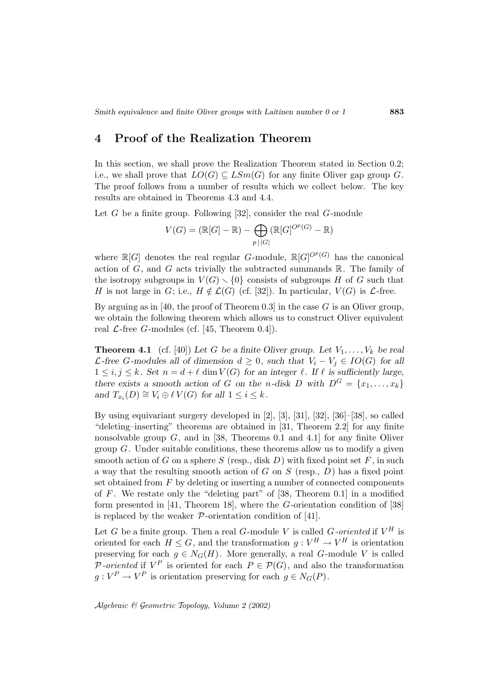## **4 Proof of the Realization Theorem**

In this section, we shall prove the Realization Theorem stated in Section 0.2; i.e., we shall prove that  $LO(G) \subseteq LSm(G)$  for any finite Oliver gap group G. The proof follows from a number of results which we collect below. The key results are obtained in Theorems 4.3 and 4.4.

Let  $G$  be a finite group. Following [32], consider the real  $G$ -module

$$
V(G) = (\mathbb{R}[G] - \mathbb{R}) - \bigoplus_{p \mid |G|} (\mathbb{R}[G]^{O^p(G)} - \mathbb{R})
$$

where  $\mathbb{R}[G]$  denotes the real regular G-module,  $\mathbb{R}[G]^{O^p(G)}$  has the canonical action of  $G$ , and  $G$  acts trivially the subtracted summands  $\mathbb{R}$ . The family of the isotropy subgroups in  $V(G) \setminus \{0\}$  consists of subgroups H of G such that H is not large in G; i.e.,  $H \notin \mathcal{L}(G)$  (cf. [32]). In particular,  $V(G)$  is  $\mathcal{L}$ -free.

By arguing as in [40, the proof of Theorem 0.3] in the case  $G$  is an Oliver group, we obtain the following theorem which allows us to construct Oliver equivalent real  $\mathcal{L}\text{-free }G\text{-modules}$  (cf. [45, Theorem 0.4]).

**Theorem 4.1** (cf. [40]) Let G be a finite Oliver group. Let  $V_1, \ldots, V_k$  be real  $\mathcal{L}$ -free *G*-modules all of dimension  $d \geq 0$ , such that  $V_i - V_j \in IO(G)$  for all  $1 \leq i, j \leq k$ . Set  $n = d + \ell \dim V(G)$  for an integer  $\ell$ . If  $\ell$  is sufficiently large, *there exists a smooth action of* G *on the*  $n$ -disk D with  $D^G = \{x_1, \ldots, x_k\}$ *and*  $T_{x_i}(D) \cong V_i \oplus \ell V(G)$  *for all*  $1 \leq i \leq k$ *.* 

By using equivariant surgery developed in [2], [3], [31], [32], [36]–[38], so called "deleting–inserting" theorems are obtained in [31, Theorem 2.2] for any finite nonsolvable group  $G$ , and in [38, Theorems 0.1 and 4.1] for any finite Oliver group  $G$ . Under suitable conditions, these theorems allow us to modify a given smooth action of G on a sphere S (resp., disk D) with fixed point set F, in such a way that the resulting smooth action of G on S (resp.,  $D$ ) has a fixed point set obtained from  $F$  by deleting or inserting a number of connected components of  $F$ . We restate only the "deleting part" of [38, Theorem 0.1] in a modified form presented in [41, Theorem 18], where the G-orientation condition of [38] is replaced by the weaker  $P$ -orientation condition of [41].

Let G be a finite group. Then a real G-module V is called G-oriented if  $V^H$  is oriented for each  $H \leq G$ , and the transformation  $g: V^H \to V^H$  is orientation preserving for each  $g \in N_G(H)$ . More generally, a real G-module V is called P-oriented if  $V^P$  is oriented for each  $P \in \mathcal{P}(G)$ , and also the transformation  $g: V^P \to V^P$  is orientation preserving for each  $g \in N_G(P)$ .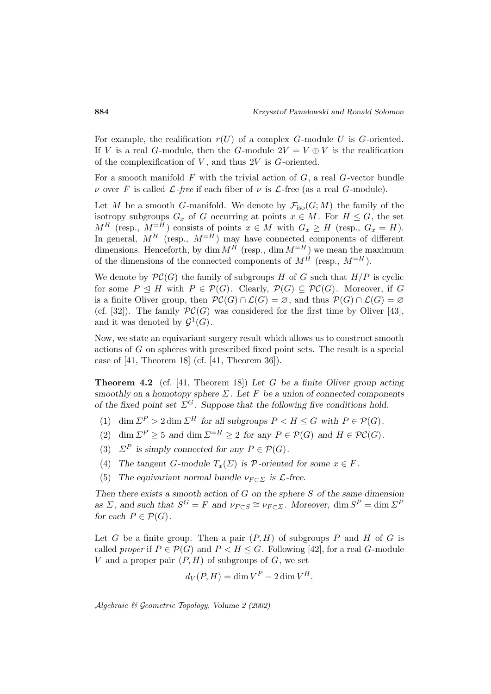For example, the realification  $r(U)$  of a complex G-module U is G-oriented. If V is a real G-module, then the G-module  $2V = V \oplus V$  is the realification of the complexification of  $V$ , and thus  $2V$  is  $G$ -oriented.

For a smooth manifold  $F$  with the trivial action of  $G$ , a real  $G$ -vector bundle ν over F is called  $\mathcal{L}$ -free if each fiber of ν is  $\mathcal{L}$ -free (as a real G-module).

Let M be a smooth G-manifold. We denote by  $\mathcal{F}_{\text{iso}}(G;M)$  the family of the isotropy subgroups  $G_x$  of G occurring at points  $x \in M$ . For  $H \leq G$ , the set  $M^H$  (resp.,  $M^{-H}$ ) consists of points  $x \in M$  with  $G_x \geq H$  (resp.,  $G_x = H$ ). In general,  $M^H$  (resp.,  $M^{-H}$ ) may have connected components of different dimensions. Henceforth, by dim  $M^{\tilde{H}}$  (resp., dim  $M=H$ ) we mean the maximum of the dimensions of the connected components of  $M^H$  (resp.,  $M^{=H}$ ).

We denote by  $\mathcal{PC}(G)$  the family of subgroups H of G such that  $H/P$  is cyclic for some  $P \trianglelefteq H$  with  $P \in \mathcal{P}(G)$ . Clearly,  $\mathcal{P}(G) \subseteq \mathcal{PC}(G)$ . Moreover, if G is a finite Oliver group, then  $\mathcal{PC}(G) \cap \mathcal{L}(G) = \emptyset$ , and thus  $\mathcal{P}(G) \cap \mathcal{L}(G) = \emptyset$ (cf. [32]). The family  $\mathcal{PC}(G)$  was considered for the first time by Oliver [43], and it was denoted by  $\mathcal{G}^1(G)$ .

Now, we state an equivariant surgery result which allows us to construct smooth actions of G on spheres with prescribed fixed point sets. The result is a special case of [41, Theorem 18] (cf. [41, Theorem 36]).

**Theorem 4.2** (cf. [41, Theorem 18]) *Let* G *be a finite Oliver group acting smoothly on a homotopy sphere* Σ*. Let* F *be a union of connected components of the fixed point set*  $\Sigma^G$ *. Suppose that the following five conditions hold.* 

- (1) dim  $\Sigma^P > 2$  dim  $\Sigma^H$  for all subgroups  $P < H \leq G$  with  $P \in \mathcal{P}(G)$ .
- (2) dim  $\Sigma^P \geq 5$  *and* dim  $\Sigma^{=H} \geq 2$  *for any*  $P \in \mathcal{P}(G)$  *and*  $H \in \mathcal{PC}(G)$ *.*
- (3)  $\Sigma^P$  *is simply connected for any*  $P \in \mathcal{P}(G)$ *.*
- (4) *The tangent G*-module  $T_x(\Sigma)$  *is*  $\mathcal{P}$ -oriented for some  $x \in F$ *.*
- (5) The equivariant normal bundle  $\nu_{F \subset \Sigma}$  is  $\mathcal{L}$ -free.

*Then there exists a smooth action of* G *on the sphere* S *of the same dimension as*  $\Sigma$ *, and such that*  $S^G = F$  *and*  $\nu_{F \subset S} \cong \nu_{F \subset \Sigma}$ *. Moreover,* dim  $S^P = \dim \Sigma^P$ *for each*  $P \in \mathcal{P}(G)$ *.* 

Let G be a finite group. Then a pair  $(P, H)$  of subgroups P and H of G is called proper if  $P \in \mathcal{P}(G)$  and  $P \leq H \leq G$ . Following [42], for a real G-module V and a proper pair  $(P, H)$  of subgroups of G, we set

$$
d_V(P, H) = \dim V^P - 2\dim V^H.
$$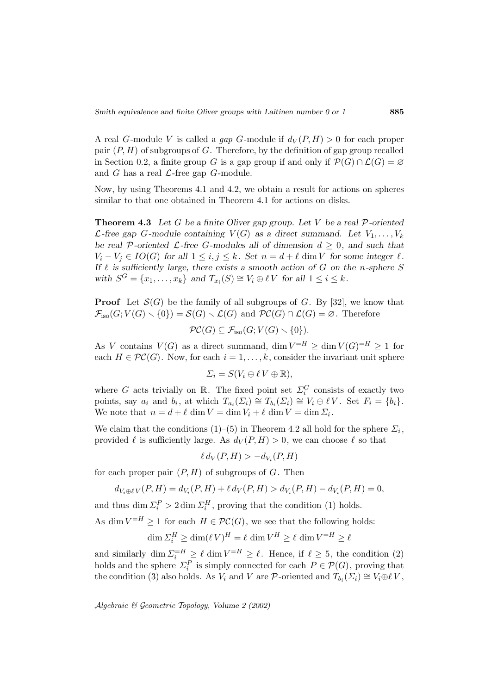A real G-module V is called a gap G-module if  $d_V(P,H) > 0$  for each proper pair  $(P, H)$  of subgroups of G. Therefore, by the definition of gap group recalled in Section 0.2, a finite group G is a gap group if and only if  $\mathcal{P}(G) \cap \mathcal{L}(G) = \emptyset$ and  $G$  has a real  $\mathcal{L}\text{-free}$  gap  $G\text{-module}$ .

Now, by using Theorems 4.1 and 4.2, we obtain a result for actions on spheres similar to that one obtained in Theorem 4.1 for actions on disks.

**Theorem 4.3** *Let* G *be a finite Oliver gap group. Let* V *be a real* P*-oriented* L-free gap G-module containing  $V(G)$  as a direct summand. Let  $V_1, \ldots, V_k$ *be real* P-oriented  $\mathcal{L}$ -free G-modules all of dimension  $d \geq 0$ , and such that  $V_i - V_j \in IO(G)$  for all  $1 \leq i, j \leq k$ . Set  $n = d + \ell$  dim V for some integer  $\ell$ . *If*  $\ell$  is sufficiently large, there exists a smooth action of  $G$  on the *n*-sphere  $S$ *with*  $S^G = \{x_1, \ldots, x_k\}$  *and*  $T_{x_i}(S) \cong V_i \oplus \ell V$  *for all*  $1 \leq i \leq k$ *.* 

**Proof** Let  $\mathcal{S}(G)$  be the family of all subgroups of G. By [32], we know that  $\mathcal{F}_{\text{iso}}(G; V(G) \setminus \{0\}) = \mathcal{S}(G) \setminus \mathcal{L}(G)$  and  $\mathcal{PC}(G) \cap \mathcal{L}(G) = \emptyset$ . Therefore

$$
\mathcal{PC}(G) \subseteq \mathcal{F}_{\text{iso}}(G; V(G) \setminus \{0\}).
$$

As V contains  $V(G)$  as a direct summand,  $\dim V = H \ge \dim V(G) = H \ge 1$  for each  $H \in \mathcal{PC}(G)$ . Now, for each  $i = 1, ..., k$ , consider the invariant unit sphere

$$
\Sigma_i = S(V_i \oplus \ell V \oplus \mathbb{R}),
$$

where G acts trivially on  $\mathbb{R}$ . The fixed point set  $\Sigma_i^G$  consists of exactly two points, say  $a_i$  and  $b_i$ , at which  $T_{a_i}(\Sigma_i) \cong T_{b_i}(\Sigma_i) \cong V_i \oplus \ell V$ . Set  $F_i = \{b_i\}.$ We note that  $n = d + \ell \dim V = \dim V_i + \ell \dim V = \dim \Sigma_i$ .

We claim that the conditions (1)–(5) in Theorem 4.2 all hold for the sphere  $\Sigma_i$ , provided  $\ell$  is sufficiently large. As  $d_V(P,H) > 0$ , we can choose  $\ell$  so that

$$
\ell d_V(P, H) > -d_{V_i}(P, H)
$$

for each proper pair  $(P, H)$  of subgroups of  $G$ . Then

$$
d_{V_i \oplus \ell V}(P, H) = d_{V_i}(P, H) + \ell d_V(P, H) > d_{V_i}(P, H) - d_{V_i}(P, H) = 0,
$$

and thus dim  $\Sigma_i^P > 2 \dim \Sigma_i^H$ , proving that the condition (1) holds.

As dim  $V = H \ge 1$  for each  $H \in \mathcal{PC}(G)$ , we see that the following holds:

$$
\dim \Sigma_i^H \ge \dim (\ell V)^H = \ell \, \dim V^H \ge \ell \, \dim V^{=H} \ge \ell
$$

and similarly dim  $\sum_{i=1}^{n} \sum_{i=1}^{\infty} \ell \dim V = H \ge \ell$ . Hence, if  $\ell \ge 5$ , the condition (2) holds and the sphere  $\Sigma_i^P$  is simply connected for each  $P \in \mathcal{P}(G)$ , proving that the condition (3) also holds. As  $V_i$  and V are P-oriented and  $T_{b_i}(\Sigma_i) \cong V_i \oplus \ell V$ ,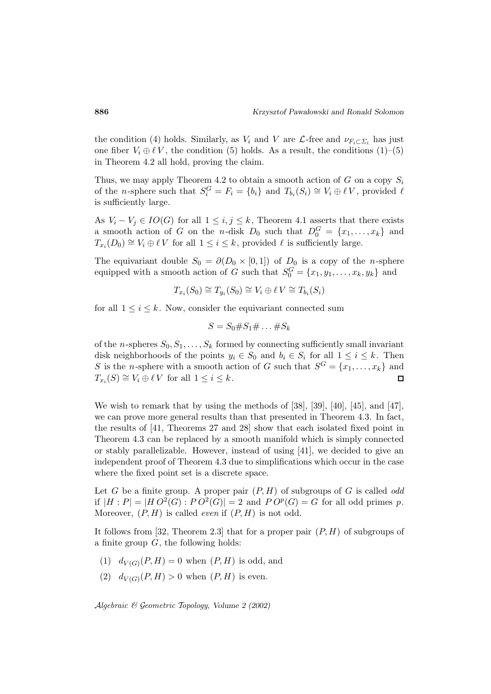the condition (4) holds. Similarly, as  $V_i$  and V are  $\mathcal{L}$ -free and  $\nu_{F_i \subset \Sigma_i}$  has just one fiber  $V_i \oplus \ell V$ , the condition (5) holds. As a result, the conditions (1)–(5) in Theorem 4.2 all hold, proving the claim.

Thus, we may apply Theorem 4.2 to obtain a smooth action of G on a copy  $S_i$ of the *n*-sphere such that  $S_i^G = F_i = \{b_i\}$  and  $T_{b_i}(S_i) \cong V_i \oplus \ell V$ , provided  $\ell$ is sufficiently large.

As  $V_i - V_j \in IO(G)$  for all  $1 \leq i, j \leq k$ , Theorem 4.1 asserts that there exists a smooth action of G on the *n*-disk  $D_0$  such that  $D_0^G = \{x_1, \ldots, x_k\}$  and  $T_{x_i}(D_0) \cong V_i \oplus \ell V$  for all  $1 \leq i \leq k$ , provided  $\ell$  is sufficiently large.

The equivariant double  $S_0 = \partial(D_0 \times [0,1])$  of  $D_0$  is a copy of the *n*-sphere equipped with a smooth action of G such that  $S_0^G = \{x_1, y_1, \ldots, x_k, y_k\}$  and

$$
T_{x_i}(S_0) \cong T_{y_i}(S_0) \cong V_i \oplus \ell V \cong T_{b_i}(S_i)
$$

for all  $1 \leq i \leq k$ . Now, consider the equivariant connected sum

$$
S = S_0 \# S_1 \# \dots \# S_k
$$

of the *n*-spheres  $S_0, S_1, \ldots, S_k$  formed by connecting sufficiently small invariant disk neighborhoods of the points  $y_i \in S_0$  and  $b_i \in S_i$  for all  $1 \leq i \leq k$ . Then S is the *n*-sphere with a smooth action of G such that  $S^G = \{x_1, \ldots, x_k\}$  and  $T_{x_i}(S) \cong V_i \oplus \ell V$  for all  $1 \leq i \leq k$ .  $\Box$ 

We wish to remark that by using the methods of [38], [39], [40], [45], and [47], we can prove more general results than that presented in Theorem 4.3. In fact, the results of [41, Theorems 27 and 28] show that each isolated fixed point in Theorem 4.3 can be replaced by a smooth manifold which is simply connected or stably parallelizable. However, instead of using [41], we decided to give an independent proof of Theorem 4.3 due to simplifications which occur in the case where the fixed point set is a discrete space.

Let G be a finite group. A proper pair  $(P, H)$  of subgroups of G is called *odd* if  $|H : P| = |H O^2(G) : PO^2(G)| = 2$  and  $PO^p(G) = G$  for all odd primes p. Moreover,  $(P, H)$  is called *even* if  $(P, H)$  is not odd.

It follows from [32, Theorem 2.3] that for a proper pair  $(P, H)$  of subgroups of a finite group  $G$ , the following holds:

- (1)  $d_{V(G)}(P,H) = 0$  when  $(P,H)$  is odd, and
- (2)  $d_{V(G)}(P,H) > 0$  when  $(P,H)$  is even.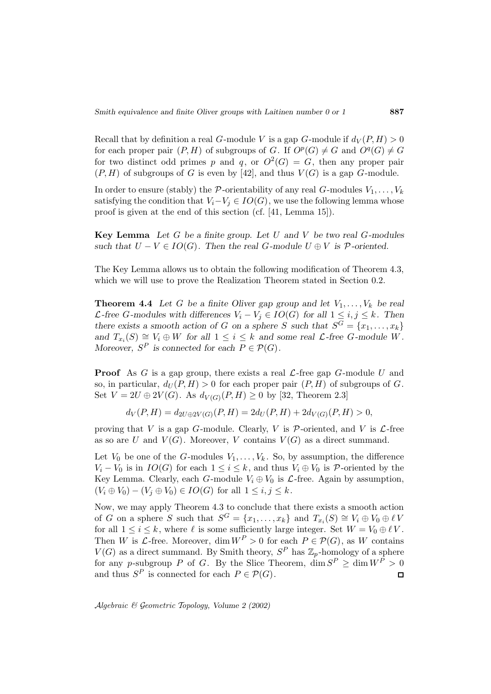Recall that by definition a real G-module V is a gap G-module if  $d_V(P,H) > 0$ for each proper pair  $(P, H)$  of subgroups of G. If  $O^p(G) \neq G$  and  $O^q(G) \neq G$ for two distinct odd primes p and q, or  $O^2(G) = G$ , then any proper pair  $(P, H)$  of subgroups of G is even by [42], and thus  $V(G)$  is a gap G-module.

In order to ensure (stably) the P-orientability of any real G-modules  $V_1, \ldots, V_k$ satisfying the condition that  $V_i-V_j \in IO(G)$ , we use the following lemma whose proof is given at the end of this section (cf. [41, Lemma 15]).

**Key Lemma** *Let* G *be a finite group. Let* U *and* V *be two real* G*-modules such that*  $U - V \in IO(G)$ *. Then the real G-module*  $U \oplus V$  *is*  $P$ -oriented.

The Key Lemma allows us to obtain the following modification of Theorem 4.3, which we will use to prove the Realization Theorem stated in Section 0.2.

**Theorem 4.4** Let G be a finite Oliver gap group and let  $V_1, \ldots, V_k$  be real  $\mathcal{L}\text{-free }G\text{-modules with differences }V_i - V_j \in IO(G) \text{ for all } 1 \leq i, j \leq k. \text{ Then}$ *there exists a smooth action of* G *on a sphere* S *such that*  $S^G = \{x_1, \ldots, x_k\}$ *and*  $T_{x_i}(S) \cong V_i \oplus W$  *for all*  $1 \leq i \leq k$  *and some real*  $\mathcal{L}$ *-free*  $G$ *-module*  $W$ *. Moreover,*  $S^P$  *is connected for each*  $P \in \mathcal{P}(G)$ *.* 

**Proof** As G is a gap group, there exists a real  $\mathcal{L}$ -free gap G-module U and so, in particular,  $d_U(P, H) > 0$  for each proper pair  $(P, H)$  of subgroups of G. Set  $V = 2U \oplus 2V(G)$ . As  $d_{V(G)}(P,H) \ge 0$  by [32, Theorem 2.3]

$$
d_V(P, H) = d_{2U \oplus 2V(G)}(P, H) = 2d_U(P, H) + 2d_{V(G)}(P, H) > 0,
$$

proving that V is a gap G-module. Clearly, V is  $P$ -oriented, and V is  $\mathcal{L}$ -free as so are U and  $V(G)$ . Moreover, V contains  $V(G)$  as a direct summand.

Let  $V_0$  be one of the G-modules  $V_1, \ldots, V_k$ . So, by assumption, the difference  $V_i - V_0$  is in  $IO(G)$  for each  $1 \leq i \leq k$ , and thus  $V_i \oplus V_0$  is  $P$ -oriented by the Key Lemma. Clearly, each G-module  $V_i \oplus V_0$  is  $\mathcal{L}$ -free. Again by assumption,  $(V_i \oplus V_0) - (V_i \oplus V_0) \in IO(G)$  for all  $1 \leq i, j \leq k$ .

Now, we may apply Theorem 4.3 to conclude that there exists a smooth action of G on a sphere S such that  $S^G = \{x_1, \ldots, x_k\}$  and  $T_{x_i}(S) \cong V_i \oplus V_0 \oplus \ell V$ for all  $1 \leq i \leq k$ , where  $\ell$  is some sufficiently large integer. Set  $W = V_0 \oplus \ell V$ . Then W is  $\mathcal{L}$ -free. Moreover, dim  $W^P > 0$  for each  $P \in \mathcal{P}(G)$ , as W contains  $V(G)$  as a direct summand. By Smith theory,  $S^P$  has  $\mathbb{Z}_p$ -homology of a sphere for any p-subgroup P of G. By the Slice Theorem,  $\dim S^P \geq \dim W^P > 0$ and thus  $S^P$  is connected for each  $P \in \mathcal{P}(G)$ .  $\Box$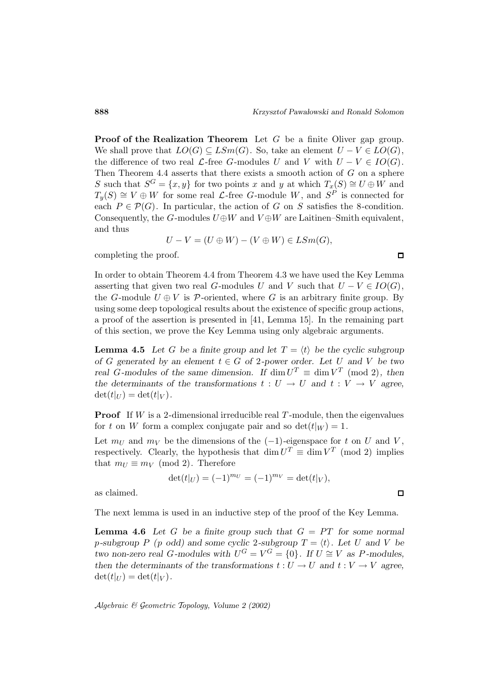**Proof of the Realization Theorem** Let G be a finite Oliver gap group. We shall prove that  $LO(G) \subseteq LSm(G)$ . So, take an element  $U - V \in LO(G)$ , the difference of two real  $\mathcal{L}$ -free G-modules U and V with  $U - V \in IO(G)$ . Then Theorem 4.4 asserts that there exists a smooth action of  $G$  on a sphere S such that  $S^G = \{x, y\}$  for two points x and y at which  $T_x(S) \cong U \oplus W$  and  $T_y(S) \cong V \oplus W$  for some real  $\mathcal{L}$ -free G-module W, and  $S^P$  is connected for each  $P \in \mathcal{P}(G)$ . In particular, the action of G on S satisfies the 8-condition. Consequently, the G-modules  $U \oplus W$  and  $V \oplus W$  are Laitinen–Smith equivalent, and thus

$$
U - V = (U \oplus W) - (V \oplus W) \in LSm(G),
$$

completing the proof.

In order to obtain Theorem 4.4 from Theorem 4.3 we have used the Key Lemma asserting that given two real G-modules U and V such that  $U - V \in IO(G)$ , the G-module  $U \oplus V$  is P-oriented, where G is an arbitrary finite group. By using some deep topological results about the existence of specific group actions, a proof of the assertion is presented in [41, Lemma 15]. In the remaining part of this section, we prove the Key Lemma using only algebraic arguments.

**Lemma 4.5** Let G be a finite group and let  $T = \langle t \rangle$  be the cyclic subgroup *of* G generated by an element  $t \in G$  *of* 2*-power order.* Let U and V *be two real* G-modules of the same dimension. If  $\dim U^T \equiv \dim V^T$  (mod 2), then *the determinants of the transformations*  $t : U \to U$  *and*  $t : V \to V$  *agree,*  $\det(t|_U) = \det(t|_V)$ .

**Proof** If W is a 2-dimensional irreducible real  $T$ -module, then the eigenvalues for t on W form a complex conjugate pair and so  $\det(t|_W) = 1$ .

Let  $m_U$  and  $m_V$  be the dimensions of the (-1)-eigenspace for t on U and V, respectively. Clearly, the hypothesis that dim  $U^T \equiv \dim V^T$  (mod 2) implies that  $m_U \equiv m_V \pmod{2}$ . Therefore

$$
\det(t|_U) = (-1)^{m_U} = (-1)^{m_V} = \det(t|_V),
$$

as claimed.

The next lemma is used in an inductive step of the proof of the Key Lemma.

**Lemma 4.6** Let G be a finite group such that  $G = PT$  for some normal *p*-subgroup P (*p* odd) and some cyclic 2-subgroup  $T = \langle t \rangle$ . Let U and V be *two non-zero real G-modules with*  $U^G = V^G = \{0\}$ . If  $U \cong V$  *as* P-modules, *then the determinants of the transformations*  $t: U \to U$  *and*  $t: V \to V$  *agree,*  $\det(t|_U) = \det(t|_V)$ .

Algebraic & Geometric Topology*, Volume 2 (2002)*

 $\Box$ 

 $\Box$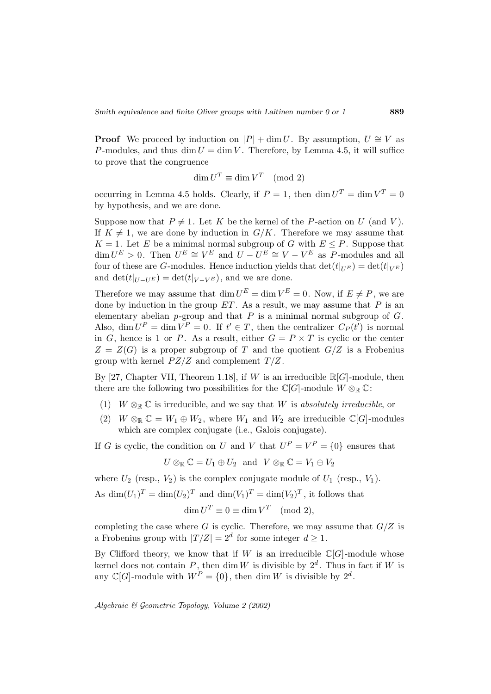**Proof** We proceed by induction on  $|P| + \dim U$ . By assumption,  $U \cong V$  as P-modules, and thus dim  $U = \dim V$ . Therefore, by Lemma 4.5, it will suffice to prove that the congruence

$$
\dim U^T \equiv \dim V^T \pmod{2}
$$

occurring in Lemma 4.5 holds. Clearly, if  $P = 1$ , then  $\dim U^T = \dim V^T = 0$ by hypothesis, and we are done.

Suppose now that  $P \neq 1$ . Let K be the kernel of the P-action on U (and V). If  $K \neq 1$ , we are done by induction in  $G/K$ . Therefore we may assume that  $K = 1$ . Let E be a minimal normal subgroup of G with  $E \leq P$ . Suppose that  $\dim U^E > 0$ . Then  $U^E \cong V^E$  and  $U - U^E \cong V - V^E$  as P-modules and all four of these are G-modules. Hence induction yields that  $\det(t|_{UE}) = \det(t|_{VE})$ and det( $t|_{U-U^E}$ ) = det( $t|_{V-V^E}$ ), and we are done.

Therefore we may assume that  $\dim U^E = \dim V^E = 0$ . Now, if  $E \neq P$ , we are done by induction in the group  $ET$ . As a result, we may assume that  $P$  is an elementary abelian  $p$ -group and that  $P$  is a minimal normal subgroup of  $G$ . Also, dim  $U^P = \dim V^P = 0$ . If  $t' \in T$ , then the centralizer  $C_P(t')$  is normal in G, hence is 1 or P. As a result, either  $G = P \times T$  is cyclic or the center  $Z = Z(G)$  is a proper subgroup of T and the quotient  $G/Z$  is a Frobenius group with kernel  $PZ/Z$  and complement  $T/Z$ .

By [27, Chapter VII, Theorem 1.18], if W is an irreducible  $\mathbb{R}[G]$ -module, then there are the following two possibilities for the  $\mathbb{C}[G]$ -module  $W \otimes_{\mathbb{R}} \mathbb{C}$ :

- (1)  $W \otimes_{\mathbb{R}} \mathbb{C}$  is irreducible, and we say that W is absolutely irreducible, or
- (2)  $W \otimes_{\mathbb{R}} \mathbb{C} = W_1 \oplus W_2$ , where  $W_1$  and  $W_2$  are irreducible  $\mathbb{C}[G]$ -modules which are complex conjugate (i.e., Galois conjugate).

If G is cyclic, the condition on U and V that  $U^P = V^P = \{0\}$  ensures that

$$
U\otimes_{\mathbb{R}}\mathbb{C}=U_1\oplus U_2\ \text{ and }\ V\otimes_{\mathbb{R}}\mathbb{C}=V_1\oplus V_2
$$

where  $U_2$  (resp.,  $V_2$ ) is the complex conjugate module of  $U_1$  (resp.,  $V_1$ ).

As  $\dim(U_1)^T = \dim(U_2)^T$  and  $\dim(V_1)^T = \dim(V_2)^T$ , it follows that

$$
\dim U^T \equiv 0 \equiv \dim V^T \pmod{2},
$$

completing the case where G is cyclic. Therefore, we may assume that  $G/Z$  is a Frobenius group with  $|T/Z| = 2^d$  for some integer  $d \geq 1$ .

By Clifford theory, we know that if W is an irreducible  $\mathbb{C}[G]$ -module whose kernel does not contain P, then dim W is divisible by  $2^d$ . Thus in fact if W is any  $\mathbb{C}[G]$ -module with  $W^P = \{0\}$ , then dim W is divisible by  $2^d$ .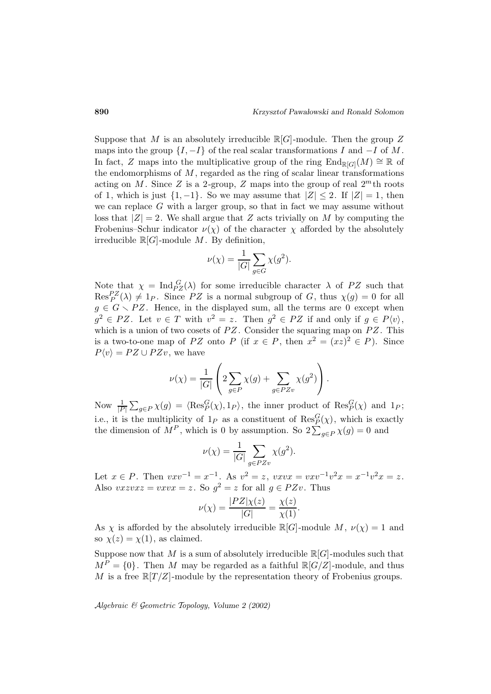Suppose that M is an absolutely irreducible  $\mathbb{R}[G]$ -module. Then the group Z maps into the group  $\{I, -I\}$  of the real scalar transformations I and  $-I$  of M. In fact, Z maps into the multiplicative group of the ring  $\text{End}_{\mathbb{R}[G]}(M) \cong \mathbb{R}$  of the endomorphisms of  $M$ , regarded as the ring of scalar linear transformations acting on M. Since Z is a 2-group, Z maps into the group of real  $2^m$ th roots of 1, which is just  $\{1, -1\}$ . So we may assume that  $|Z| \leq 2$ . If  $|Z| = 1$ , then we can replace  $G$  with a larger group, so that in fact we may assume without loss that  $|Z| = 2$ . We shall argue that Z acts trivially on M by computing the Frobenius–Schur indicator  $\nu(\chi)$  of the character  $\chi$  afforded by the absolutely irreducible  $\mathbb{R}[G]$ -module M. By definition,

$$
\nu(\chi) = \frac{1}{|G|} \sum_{g \in G} \chi(g^2).
$$

Note that  $\chi = \text{Ind}_{PZ}^G(\lambda)$  for some irreducible character  $\lambda$  of PZ such that  $\text{Res}_{P}^{PZ}(\lambda) \neq 1_P$ . Since PZ is a normal subgroup of G, thus  $\chi(g) = 0$  for all  $g \in G \setminus PZ$ . Hence, in the displayed sum, all the terms are 0 except when  $g^2 \in PZ$ . Let  $v \in T$  with  $v^2 = z$ . Then  $g^2 \in PZ$  if and only if  $g \in P\langle v \rangle$ , which is a union of two cosets of  $PZ$ . Consider the squaring map on  $PZ$ . This is a two-to-one map of PZ onto P (if  $x \in P$ , then  $x^2 = (xz)^2 \in P$ ). Since  $P\langle v \rangle = P Z \cup P Z v$ , we have

$$
\nu(\chi) = \frac{1}{|G|} \left( 2 \sum_{g \in P} \chi(g) + \sum_{g \in PZv} \chi(g^2) \right).
$$

Now  $\frac{1}{|P|}\sum_{g\in P}\chi(g) = \langle \text{Res}_{P}^{G}(\chi), 1_{P} \rangle$ , the inner product of  $\text{Res}_{P}^{G}(\chi)$  and  $1_{P}$ ; i.e., it is the multiplicity of  $1_P$  as a constituent of  $\operatorname{Res}_P^G(\chi)$ , which is exactly the dimension of  $M^P$ , which is 0 by assumption. So  $2\sum_{g\in P}\chi(g)=0$  and

$$
\nu(\chi) = \frac{1}{|G|} \sum_{g \in PZv} \chi(g^2).
$$

Let  $x \in P$ . Then  $vxv^{-1} = x^{-1}$ . As  $v^2 = z$ ,  $vxvx = vxv^{-1}v^2x = x^{-1}v^2x = z$ . Also  $vxzvxz = vxvx = z$ . So  $g^2 = z$  for all  $g \in PZv$ . Thus

$$
\nu(\chi) = \frac{|PZ|\chi(z)}{|G|} = \frac{\chi(z)}{\chi(1)}.
$$

As  $\chi$  is afforded by the absolutely irreducible  $\mathbb{R}[G]$ -module  $M, \nu(\chi) = 1$  and so  $\chi(z) = \chi(1)$ , as claimed.

Suppose now that M is a sum of absolutely irreducible  $\mathbb{R}[G]$ -modules such that  $M^P = \{0\}$ . Then M may be regarded as a faithful  $\mathbb{R}[G/Z]$ -module, and thus M is a free  $\mathbb{R}[T/Z]$ -module by the representation theory of Frobenius groups.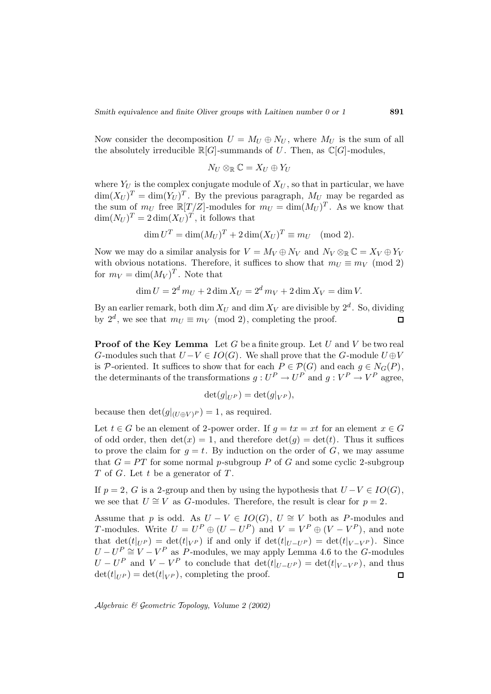Now consider the decomposition  $U = M_U \oplus N_U$ , where  $M_U$  is the sum of all the absolutely irreducible  $\mathbb{R}[G]$ -summands of U. Then, as  $\mathbb{C}[G]$ -modules,

$$
N_U \otimes_{\mathbb{R}} \mathbb{C} = X_U \oplus Y_U
$$

where  $Y_U$  is the complex conjugate module of  $X_U$ , so that in particular, we have  $\dim(X_U)^T = \dim(Y_U)^T$ . By the previous paragraph,  $M_U$  may be regarded as the sum of  $m_U$  free  $\mathbb{R}[T/Z]$ -modules for  $m_U = \dim(M_U)^T$ . As we know that  $\dim(N_U)^T = 2 \dim(X_U)^T$ , it follows that

$$
\dim U^T = \dim (M_U)^T + 2\dim (X_U)^T \equiv m_U \pmod{2}.
$$

Now we may do a similar analysis for  $V = M_V \oplus N_V$  and  $N_V \otimes_{\mathbb{R}} \mathbb{C} = X_V \oplus Y_V$ with obvious notations. Therefore, it suffices to show that  $m_U \equiv m_V \pmod{2}$ for  $m_V = \dim(M_V)^T$ . Note that

$$
\dim U = 2^d m_U + 2 \dim X_U = 2^d m_V + 2 \dim X_V = \dim V.
$$

By an earlier remark, both dim  $X_U$  and dim  $X_V$  are divisible by  $2^d$ . So, dividing by  $2^d$ , we see that  $m_U \equiv m_V \pmod{2}$ , completing the proof.  $\Box$ 

**Proof of the Key Lemma** Let G be a finite group. Let U and V be two real G-modules such that  $U-V \in IO(G)$ . We shall prove that the G-module  $U \oplus V$ is P-oriented. It suffices to show that for each  $P \in \mathcal{P}(G)$  and each  $g \in N_G(P)$ , the determinants of the transformations  $g: U^P \to U^P$  and  $g: V^P \to V^P$  agree,

$$
\det(g|_{U^P}) = \det(g|_{V^P}),
$$

because then  $\det(g|_{(U \oplus V)^P}) = 1$ , as required.

Let  $t \in G$  be an element of 2-power order. If  $g = tx = xt$  for an element  $x \in G$ of odd order, then  $det(x) = 1$ , and therefore  $det(q) = det(t)$ . Thus it suffices to prove the claim for  $q = t$ . By induction on the order of G, we may assume that  $G = PT$  for some normal p-subgroup P of G and some cyclic 2-subgroup  $T$  of  $G$ . Let  $t$  be a generator of  $T$ .

If  $p = 2$ , G is a 2-group and then by using the hypothesis that  $U - V \in IO(G)$ , we see that  $U \cong V$  as G-modules. Therefore, the result is clear for  $p = 2$ .

Assume that p is odd. As  $U - V \in IO(G), U \cong V$  both as P-modules and T-modules. Write  $U = U^P \oplus (U - U^P)$  and  $V = V^P \oplus (V - V^P)$ , and note that  $\det(t|_{U^P}) = \det(t|_{V^P})$  if and only if  $\det(t|_{U-U^P}) = \det(t|_{V-V^P})$ . Since  $U - U^P \cong V - V^P$  as P-modules, we may apply Lemma 4.6 to the G-modules  $U - U^P$  and  $V - V^P$  to conclude that  $\det(t|_{U-U^P}) = \det(t|_{V-V^P})$ , and thus  $\det(t|_{U^P}) = \det(t|_{V^P})$ , completing the proof.  $\det(t|_{U^P}) = \det(t|_{V^P})$ , completing the proof.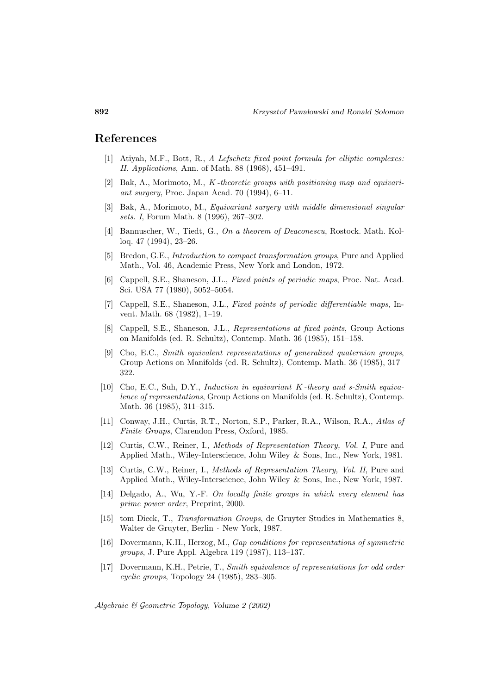#### **References**

- [1] Atiyah, M.F., Bott, R., A Lefschetz fixed point formula for elliptic complexes: II. Applications, Ann. of Math. 88 (1968), 451–491.
- [2] Bak, A., Morimoto, M.,  $K$ -theoretic groups with positioning map and equivariant surgery, Proc. Japan Acad. 70 (1994), 6–11.
- [3] Bak, A., Morimoto, M., Equivariant surgery with middle dimensional singular sets. I, Forum Math. 8 (1996), 267–302.
- [4] Bannuscher, W., Tiedt, G., On a theorem of Deaconescu, Rostock. Math. Kolloq. 47 (1994), 23–26.
- [5] Bredon, G.E., Introduction to compact transformation groups, Pure and Applied Math., Vol. 46, Academic Press, New York and London, 1972.
- [6] Cappell, S.E., Shaneson, J.L., Fixed points of periodic maps, Proc. Nat. Acad. Sci. USA 77 (1980), 5052–5054.
- [7] Cappell, S.E., Shaneson, J.L., Fixed points of periodic differentiable maps, Invent. Math. 68 (1982), 1–19.
- [8] Cappell, S.E., Shaneson, J.L., Representations at fixed points, Group Actions on Manifolds (ed. R. Schultz), Contemp. Math. 36 (1985), 151–158.
- [9] Cho, E.C., Smith equivalent representations of generalized quaternion groups, Group Actions on Manifolds (ed. R. Schultz), Contemp. Math. 36 (1985), 317– 322.
- [10] Cho, E.C., Suh, D.Y., Induction in equivariant K -theory and s-Smith equivalence of representations, Group Actions on Manifolds (ed. R. Schultz), Contemp. Math. 36 (1985), 311–315.
- [11] Conway, J.H., Curtis, R.T., Norton, S.P., Parker, R.A., Wilson, R.A., Atlas of Finite Groups, Clarendon Press, Oxford, 1985.
- [12] Curtis, C.W., Reiner, I., Methods of Representation Theory, Vol. I, Pure and Applied Math., Wiley-Interscience, John Wiley & Sons, Inc., New York, 1981.
- [13] Curtis, C.W., Reiner, I., Methods of Representation Theory, Vol. II, Pure and Applied Math., Wiley-Interscience, John Wiley & Sons, Inc., New York, 1987.
- [14] Delgado, A., Wu, Y.-F. On locally finite groups in which every element has prime power order, Preprint, 2000.
- [15] tom Dieck, T., Transformation Groups, de Gruyter Studies in Mathematics 8, Walter de Gruyter, Berlin · New York, 1987.
- [16] Dovermann, K.H., Herzog, M., Gap conditions for representations of symmetric groups, J. Pure Appl. Algebra 119 (1987), 113–137.
- [17] Dovermann, K.H., Petrie, T., Smith equivalence of representations for odd order cyclic groups, Topology 24 (1985), 283–305.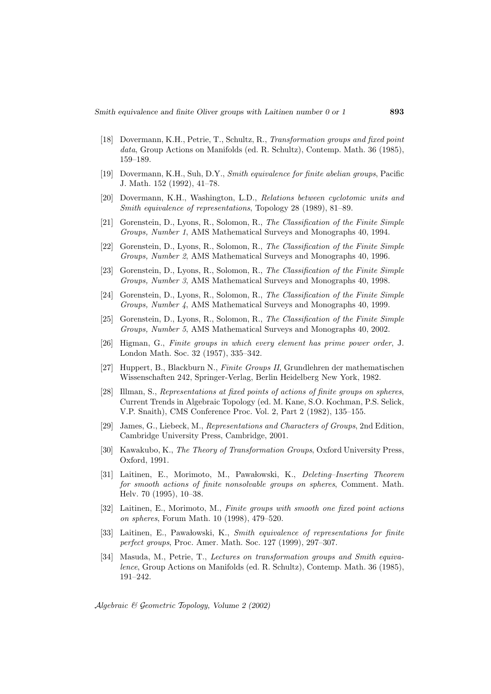- [18] Dovermann, K.H., Petrie, T., Schultz, R., Transformation groups and fixed point data, Group Actions on Manifolds (ed. R. Schultz), Contemp. Math. 36 (1985), 159–189.
- [19] Dovermann, K.H., Suh, D.Y., Smith equivalence for finite abelian groups, Pacific J. Math. 152 (1992), 41–78.
- [20] Dovermann, K.H., Washington, L.D., Relations between cyclotomic units and Smith equivalence of representations, Topology 28 (1989), 81–89.
- [21] Gorenstein, D., Lyons, R., Solomon, R., The Classification of the Finite Simple Groups, Number 1, AMS Mathematical Surveys and Monographs 40, 1994.
- [22] Gorenstein, D., Lyons, R., Solomon, R., The Classification of the Finite Simple Groups, Number 2, AMS Mathematical Surveys and Monographs 40, 1996.
- [23] Gorenstein, D., Lyons, R., Solomon, R., The Classification of the Finite Simple Groups, Number 3, AMS Mathematical Surveys and Monographs 40, 1998.
- [24] Gorenstein, D., Lyons, R., Solomon, R., The Classification of the Finite Simple Groups, Number 4, AMS Mathematical Surveys and Monographs 40, 1999.
- [25] Gorenstein, D., Lyons, R., Solomon, R., The Classification of the Finite Simple Groups, Number 5, AMS Mathematical Surveys and Monographs 40, 2002.
- [26] Higman, G., Finite groups in which every element has prime power order, J. London Math. Soc. 32 (1957), 335–342.
- [27] Huppert, B., Blackburn N., Finite Groups II, Grundlehren der mathematischen Wissenschaften 242, Springer-Verlag, Berlin Heidelberg New York, 1982.
- [28] Illman, S., Representations at fixed points of actions of finite groups on spheres, Current Trends in Algebraic Topology (ed. M. Kane, S.O. Kochman, P.S. Selick, V.P. Snaith), CMS Conference Proc. Vol. 2, Part 2 (1982), 135–155.
- [29] James, G., Liebeck, M., Representations and Characters of Groups, 2nd Edition, Cambridge University Press, Cambridge, 2001.
- [30] Kawakubo, K., The Theory of Transformation Groups, Oxford University Press, Oxford, 1991.
- [31] Laitinen, E., Morimoto, M., Pawalowski, K., *Deleting–Inserting Theorem* for smooth actions of finite nonsolvable groups on spheres, Comment. Math. Helv. 70 (1995), 10–38.
- [32] Laitinen, E., Morimoto, M., Finite groups with smooth one fixed point actions on spheres, Forum Math. 10 (1998), 479–520.
- [33] Laitinen, E., Pawałowski, K., Smith equivalence of representations for finite perfect groups, Proc. Amer. Math. Soc. 127 (1999), 297–307.
- [34] Masuda, M., Petrie, T., Lectures on transformation groups and Smith equivalence, Group Actions on Manifolds (ed. R. Schultz), Contemp. Math. 36 (1985), 191–242.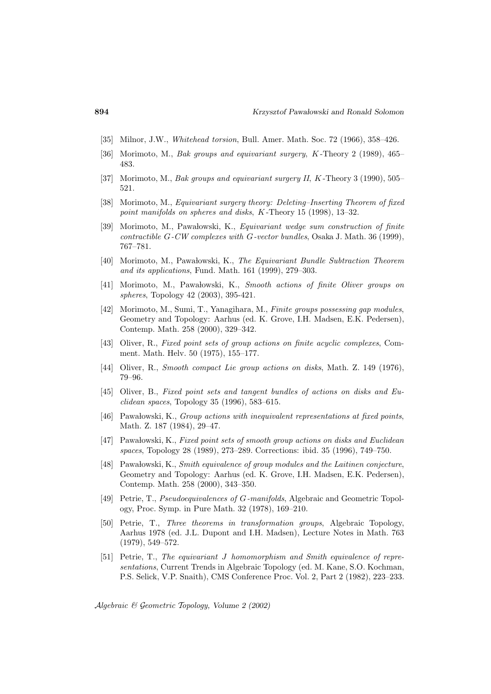- [35] Milnor, J.W., Whitehead torsion, Bull. Amer. Math. Soc. 72 (1966), 358–426.
- [36] Morimoto, M., Bak groups and equivariant surgery, K -Theory 2 (1989), 465– 483.
- [37] Morimoto, M., Bak groups and equivariant surgery II, K -Theory 3 (1990), 505– 521.
- [38] Morimoto, M., Equivariant surgery theory: Deleting–Inserting Theorem of fixed point manifolds on spheres and disks, K-Theory 15 (1998), 13-32.
- [39] Morimoto, M., Pawalowski, K., *Equivariant wedge sum construction of finite* contractible G-CW complexes with G-vector bundles, Osaka J. Math. 36 (1999), 767–781.
- [40] Morimoto, M., Pawa lowski, K., The Equivariant Bundle Subtraction Theorem and its applications, Fund. Math. 161 (1999), 279–303.
- [41] Morimoto, M., Pawalowski, K., Smooth actions of finite Oliver groups on spheres, Topology 42 (2003), 395-421.
- [42] Morimoto, M., Sumi, T., Yanagihara, M., Finite groups possessing gap modules, Geometry and Topology: Aarhus (ed. K. Grove, I.H. Madsen, E.K. Pedersen), Contemp. Math. 258 (2000), 329–342.
- [43] Oliver, R., Fixed point sets of group actions on finite acyclic complexes, Comment. Math. Helv. 50 (1975), 155–177.
- [44] Oliver, R., Smooth compact Lie group actions on disks, Math. Z. 149 (1976), 79–96.
- [45] Oliver, B., Fixed point sets and tangent bundles of actions on disks and Euclidean spaces, Topology 35 (1996), 583–615.
- [46] Pawalowski, K., *Group actions with inequivalent representations at fixed points*, Math. Z. 187 (1984), 29–47.
- [47] Pawałowski, K., Fixed point sets of smooth group actions on disks and Euclidean spaces, Topology 28 (1989), 273–289. Corrections: ibid. 35 (1996), 749–750.
- [48] Pawałowski, K., Smith equivalence of group modules and the Laitinen conjecture, Geometry and Topology: Aarhus (ed. K. Grove, I.H. Madsen, E.K. Pedersen), Contemp. Math. 258 (2000), 343–350.
- [49] Petrie, T., Pseudoequivalences of G-manifolds, Algebraic and Geometric Topology, Proc. Symp. in Pure Math. 32 (1978), 169–210.
- [50] Petrie, T., Three theorems in transformation groups, Algebraic Topology, Aarhus 1978 (ed. J.L. Dupont and I.H. Madsen), Lecture Notes in Math. 763 (1979), 549–572.
- [51] Petrie, T., The equivariant J homomorphism and Smith equivalence of representations, Current Trends in Algebraic Topology (ed. M. Kane, S.O. Kochman, P.S. Selick, V.P. Snaith), CMS Conference Proc. Vol. 2, Part 2 (1982), 223–233.